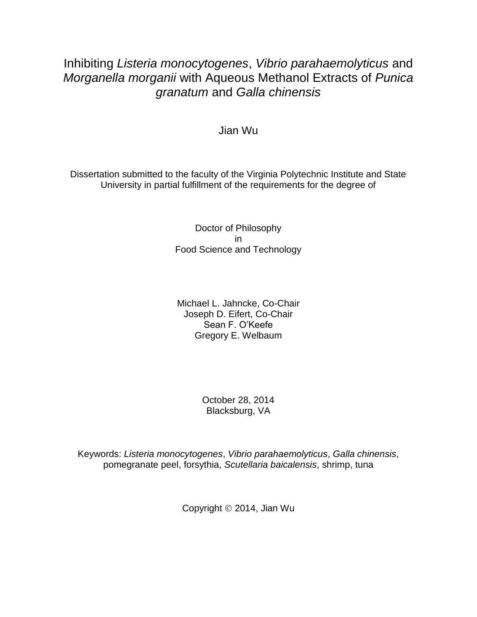# Inhibiting *Listeria monocytogenes*, *Vibrio parahaemolyticus* and *Morganella morganii* with Aqueous Methanol Extracts of *Punica granatum* and *Galla chinensis*

### Jian Wu

Dissertation submitted to the faculty of the Virginia Polytechnic Institute and State University in partial fulfillment of the requirements for the degree of

> Doctor of Philosophy in Food Science and Technology

Michael L. Jahncke, Co-Chair Joseph D. Eifert, Co-Chair Sean F. O'Keefe Gregory E. Welbaum

> October 28, 2014 Blacksburg, VA

Keywords: *Listeria monocytogenes*, *Vibrio parahaemolyticus*, *Galla chinensis*, pomegranate peel, forsythia, *Scutellaria baicalensis*, shrimp, tuna

Copyright 2014, Jian Wu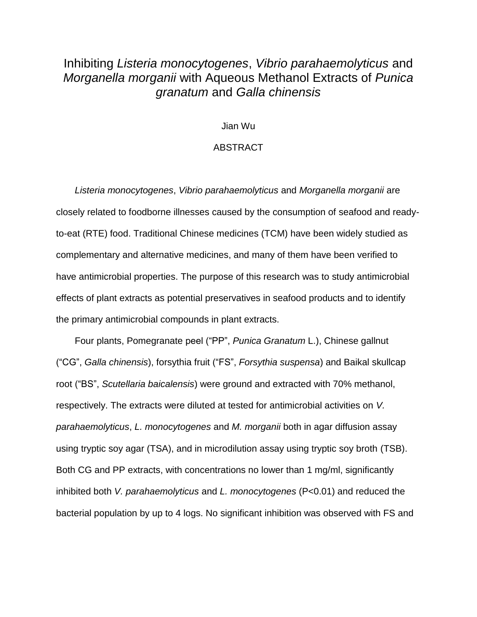## Inhibiting *Listeria monocytogenes*, *Vibrio parahaemolyticus* and *Morganella morganii* with Aqueous Methanol Extracts of *Punica granatum* and *Galla chinensis*

#### Jian Wu

#### ABSTRACT

*Listeria monocytogenes*, *Vibrio parahaemolyticus* and *Morganella morganii* are closely related to foodborne illnesses caused by the consumption of seafood and readyto-eat (RTE) food. Traditional Chinese medicines (TCM) have been widely studied as complementary and alternative medicines, and many of them have been verified to have antimicrobial properties. The purpose of this research was to study antimicrobial effects of plant extracts as potential preservatives in seafood products and to identify the primary antimicrobial compounds in plant extracts.

Four plants, Pomegranate peel ("PP", *Punica Granatum* L.), Chinese gallnut ("CG", *Galla chinensis*), forsythia fruit ("FS", *Forsythia suspensa*) and Baikal skullcap root ("BS", *Scutellaria baicalensis*) were ground and extracted with 70% methanol, respectively. The extracts were diluted at tested for antimicrobial activities on *V. parahaemolyticus*, *L. monocytogenes* and *M. morganii* both in agar diffusion assay using tryptic soy agar (TSA), and in microdilution assay using tryptic soy broth (TSB). Both CG and PP extracts, with concentrations no lower than 1 mg/ml, significantly inhibited both *V. parahaemolyticus* and *L. monocytogenes* (P<0.01) and reduced the bacterial population by up to 4 logs. No significant inhibition was observed with FS and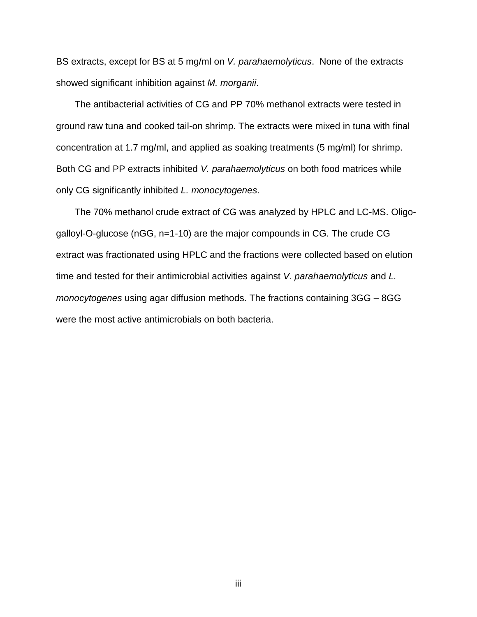BS extracts, except for BS at 5 mg/ml on *V. parahaemolyticus*. None of the extracts showed significant inhibition against *M. morganii*.

The antibacterial activities of CG and PP 70% methanol extracts were tested in ground raw tuna and cooked tail-on shrimp. The extracts were mixed in tuna with final concentration at 1.7 mg/ml, and applied as soaking treatments (5 mg/ml) for shrimp. Both CG and PP extracts inhibited *V. parahaemolyticus* on both food matrices while only CG significantly inhibited *L. monocytogenes*.

The 70% methanol crude extract of CG was analyzed by HPLC and LC-MS. Oligogalloyl-O-glucose (nGG, n=1-10) are the major compounds in CG. The crude CG extract was fractionated using HPLC and the fractions were collected based on elution time and tested for their antimicrobial activities against *V. parahaemolyticus* and *L. monocytogenes* using agar diffusion methods. The fractions containing 3GG – 8GG were the most active antimicrobials on both bacteria.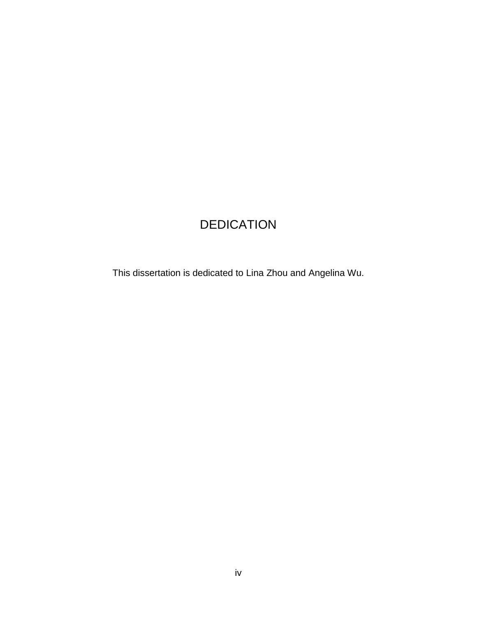# DEDICATION

This dissertation is dedicated to Lina Zhou and Angelina Wu.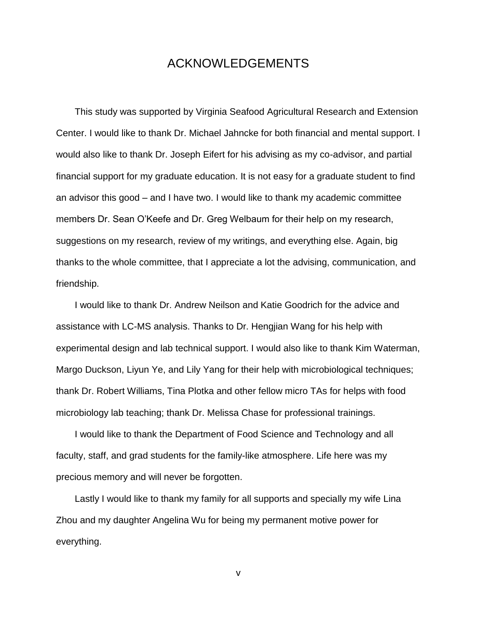### ACKNOWLEDGEMENTS

This study was supported by Virginia Seafood Agricultural Research and Extension Center. I would like to thank Dr. Michael Jahncke for both financial and mental support. I would also like to thank Dr. Joseph Eifert for his advising as my co-advisor, and partial financial support for my graduate education. It is not easy for a graduate student to find an advisor this good – and I have two. I would like to thank my academic committee members Dr. Sean O'Keefe and Dr. Greg Welbaum for their help on my research, suggestions on my research, review of my writings, and everything else. Again, big thanks to the whole committee, that I appreciate a lot the advising, communication, and friendship.

I would like to thank Dr. Andrew Neilson and Katie Goodrich for the advice and assistance with LC-MS analysis. Thanks to Dr. Hengjian Wang for his help with experimental design and lab technical support. I would also like to thank Kim Waterman, Margo Duckson, Liyun Ye, and Lily Yang for their help with microbiological techniques; thank Dr. Robert Williams, Tina Plotka and other fellow micro TAs for helps with food microbiology lab teaching; thank Dr. Melissa Chase for professional trainings.

I would like to thank the Department of Food Science and Technology and all faculty, staff, and grad students for the family-like atmosphere. Life here was my precious memory and will never be forgotten.

Lastly I would like to thank my family for all supports and specially my wife Lina Zhou and my daughter Angelina Wu for being my permanent motive power for everything.

v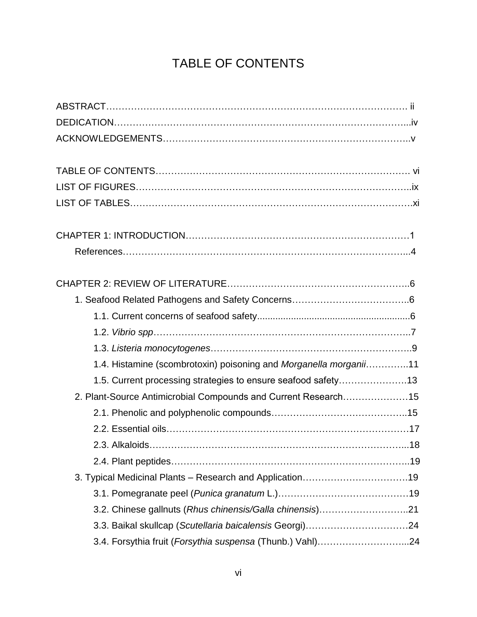# TABLE OF CONTENTS

| 1.4. Histamine (scombrotoxin) poisoning and Morganella morganii11 |  |
|-------------------------------------------------------------------|--|
| 1.5. Current processing strategies to ensure seafood safety13     |  |
| 2. Plant-Source Antimicrobial Compounds and Current Research15    |  |
|                                                                   |  |
|                                                                   |  |
|                                                                   |  |
|                                                                   |  |
|                                                                   |  |
|                                                                   |  |
| 3.2. Chinese gallnuts (Rhus chinensis/Galla chinensis)21          |  |
| 3.3. Baikal skullcap (Scutellaria baicalensis Georgi)24           |  |
| 3.4. Forsythia fruit (Forsythia suspensa (Thunb.) Vahl)24         |  |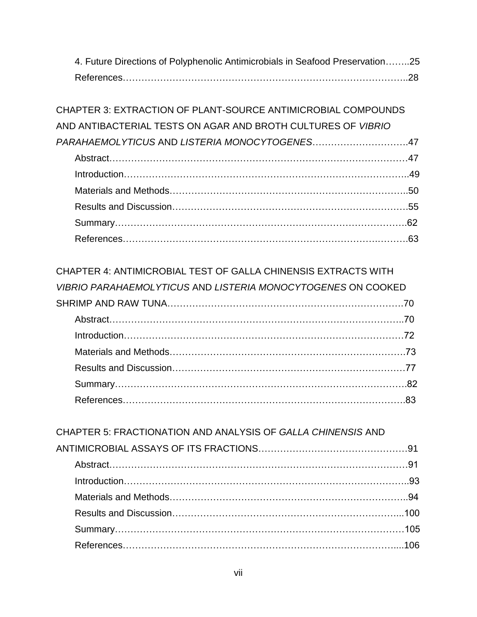| 4. Future Directions of Polyphenolic Antimicrobials in Seafood Preservation25 |  |
|-------------------------------------------------------------------------------|--|
|                                                                               |  |

| CHAPTER 3: EXTRACTION OF PLANT-SOURCE ANTIMICROBIAL COMPOUNDS       |  |
|---------------------------------------------------------------------|--|
| AND ANTIBACTERIAL TESTS ON AGAR AND BROTH CULTURES OF <i>VIBRIO</i> |  |
| PARAHAEMOLYTICUS AND LISTERIA MONOCYTOGENES47                       |  |
|                                                                     |  |
|                                                                     |  |
|                                                                     |  |
|                                                                     |  |
|                                                                     |  |
|                                                                     |  |

## CHAPTER 4: ANTIMICROBIAL TEST OF GALLA CHINENSIS EXTRACTS WITH

| VIBRIO PARAHAEMOLYTICUS AND LISTERIA MONOCYTOGENES ON COOKED |  |
|--------------------------------------------------------------|--|
|                                                              |  |
|                                                              |  |
|                                                              |  |
|                                                              |  |
|                                                              |  |
|                                                              |  |
|                                                              |  |

| CHAPTER 5: FRACTIONATION AND ANALYSIS OF GALLA CHINENSIS AND |  |
|--------------------------------------------------------------|--|
|                                                              |  |
|                                                              |  |
|                                                              |  |
|                                                              |  |
|                                                              |  |
|                                                              |  |
|                                                              |  |
|                                                              |  |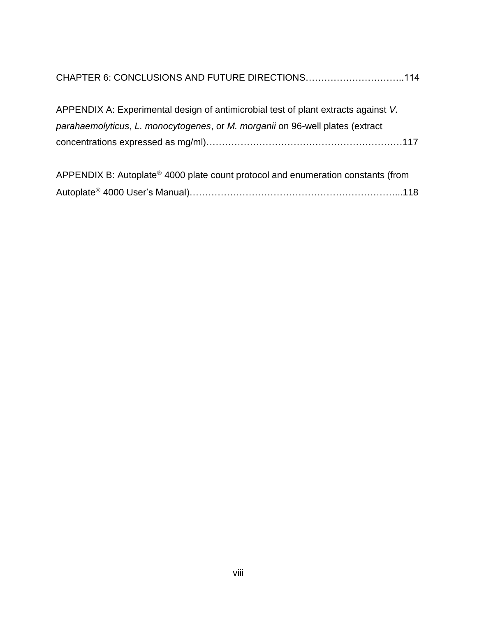|  | CHAPTER 6: CONCLUSIONS AND FUTURE DIRECTIONS114 |
|--|-------------------------------------------------|
|--|-------------------------------------------------|

| APPENDIX A: Experimental design of antimicrobial test of plant extracts against V. |  |
|------------------------------------------------------------------------------------|--|
| parahaemolyticus, L. monocytogenes, or M. morganii on 96-well plates (extract      |  |
|                                                                                    |  |

| APPENDIX B: Autoplate <sup>®</sup> 4000 plate count protocol and enumeration constants (from |  |
|----------------------------------------------------------------------------------------------|--|
|                                                                                              |  |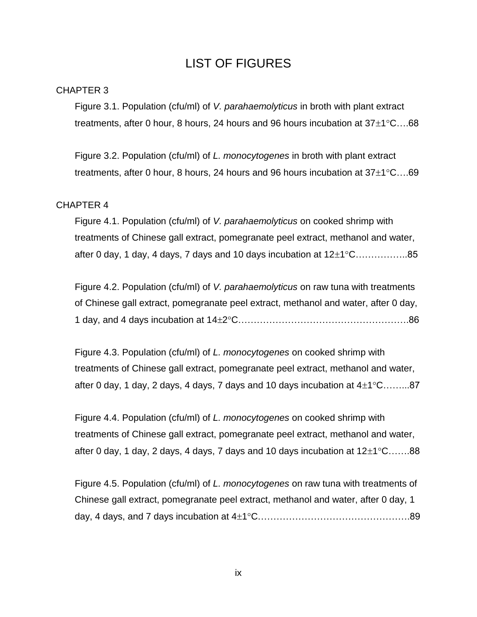## LIST OF FIGURES

#### CHAPTER 3

Figure 3.1. Population (cfu/ml) of *V. parahaemolyticus* in broth with plant extract treatments, after 0 hour, 8 hours, 24 hours and 96 hours incubation at  $37\pm1^{\circ}$ C....68

Figure 3.2. Population (cfu/ml) of *L. monocytogenes* in broth with plant extract treatments, after 0 hour, 8 hours, 24 hours and 96 hours incubation at  $37\pm1^{\circ}$ C....69

#### CHAPTER 4

Figure 4.1. Population (cfu/ml) of *V. parahaemolyticus* on cooked shrimp with treatments of Chinese gall extract, pomegranate peel extract, methanol and water, after 0 day, 1 day, 4 days, 7 days and 10 days incubation at  $12\pm1^{\circ}$ C……………...85

Figure 4.2. Population (cfu/ml) of *V. parahaemolyticus* on raw tuna with treatments of Chinese gall extract, pomegranate peel extract, methanol and water, after 0 day, 1 day, and 4 days incubation at 142C……………………………………………….86

Figure 4.3. Population (cfu/ml) of *L. monocytogenes* on cooked shrimp with treatments of Chinese gall extract, pomegranate peel extract, methanol and water, after 0 day, 1 day, 2 days, 4 days, 7 days and 10 days incubation at  $4\pm1^{\circ}$ C….......87

Figure 4.4. Population (cfu/ml) of *L. monocytogenes* on cooked shrimp with treatments of Chinese gall extract, pomegranate peel extract, methanol and water, after 0 day, 1 day, 2 days, 4 days, 7 days and 10 days incubation at  $12\pm1^{\circ}$ C…....88

Figure 4.5. Population (cfu/ml) of *L. monocytogenes* on raw tuna with treatments of Chinese gall extract, pomegranate peel extract, methanol and water, after 0 day, 1 day, 4 days, and 7 days incubation at  $4\pm1^{\circ}$ C……………………………………………………………89

ix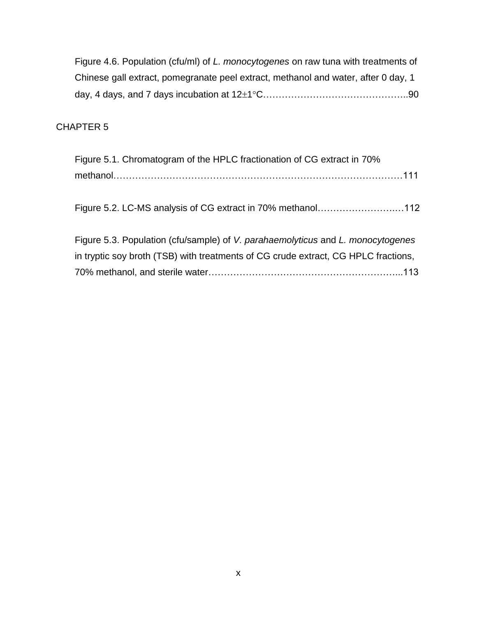| Figure 4.6. Population (cfu/ml) of L. monocytogenes on raw tuna with treatments of |  |
|------------------------------------------------------------------------------------|--|
| Chinese gall extract, pomegranate peel extract, methanol and water, after 0 day, 1 |  |
|                                                                                    |  |

### CHAPTER 5

| Figure 5.1. Chromatogram of the HPLC fractionation of CG extract in 70%            |
|------------------------------------------------------------------------------------|
|                                                                                    |
|                                                                                    |
| Figure 5.2. LC-MS analysis of CG extract in 70% methanol112                        |
|                                                                                    |
| Figure 5.3. Population (cfu/sample) of V. parahaemolyticus and L. monocytogenes    |
| in tryptic soy broth (TSB) with treatments of CG crude extract, CG HPLC fractions, |
|                                                                                    |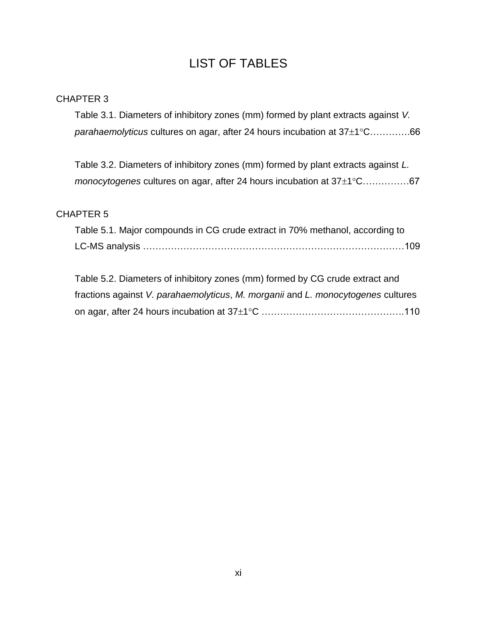# LIST OF TABLES

### CHAPTER 3

Table 3.1. Diameters of inhibitory zones (mm) formed by plant extracts against *V.*  parahaemolyticus cultures on agar, after 24 hours incubation at 37±1°C…………..66

Table 3.2. Diameters of inhibitory zones (mm) formed by plant extracts against *L. monocytogenes* cultures on agar, after 24 hours incubation at 37±1°C……………67

### CHAPTER 5

Table 5.1. Major compounds in CG crude extract in 70% methanol, according to LC-MS analysis …………………………………………………………………………109

Table 5.2. Diameters of inhibitory zones (mm) formed by CG crude extract and fractions against *V. parahaemolyticus*, *M. morganii* and *L. monocytogenes* cultures on agar, after 24 hours incubation at 371C ……………………………………….110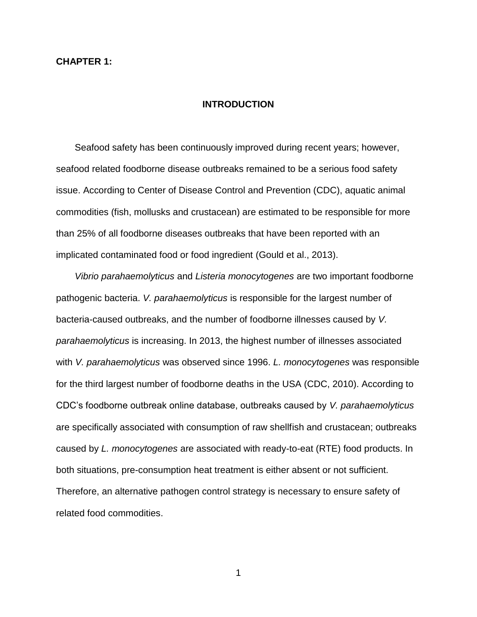#### **CHAPTER 1:**

#### **INTRODUCTION**

Seafood safety has been continuously improved during recent years; however, seafood related foodborne disease outbreaks remained to be a serious food safety issue. According to Center of Disease Control and Prevention (CDC), aquatic animal commodities (fish, mollusks and crustacean) are estimated to be responsible for more than 25% of all foodborne diseases outbreaks that have been reported with an implicated contaminated food or food ingredient (Gould et al., 2013).

*Vibrio parahaemolyticus* and *Listeria monocytogenes* are two important foodborne pathogenic bacteria. *V. parahaemolyticus* is responsible for the largest number of bacteria-caused outbreaks, and the number of foodborne illnesses caused by *V. parahaemolyticus* is increasing. In 2013, the highest number of illnesses associated with *V. parahaemolyticus* was observed since 1996. *L. monocytogenes* was responsible for the third largest number of foodborne deaths in the USA (CDC, 2010). According to CDC's foodborne outbreak online database, outbreaks caused by *V. parahaemolyticus* are specifically associated with consumption of raw shellfish and crustacean; outbreaks caused by *L. monocytogenes* are associated with ready-to-eat (RTE) food products. In both situations, pre-consumption heat treatment is either absent or not sufficient. Therefore, an alternative pathogen control strategy is necessary to ensure safety of related food commodities.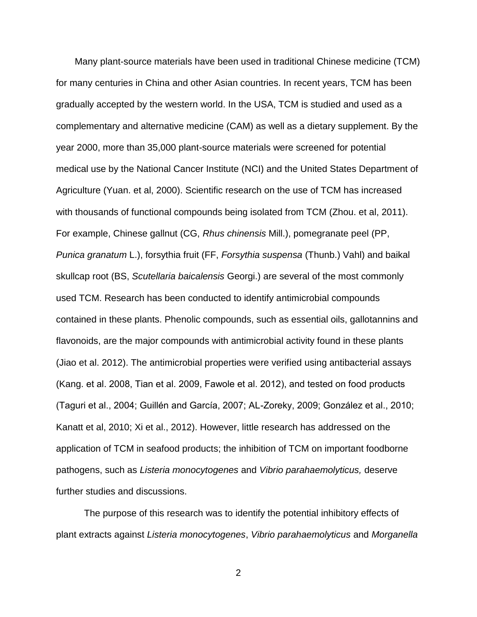Many plant-source materials have been used in traditional Chinese medicine (TCM) for many centuries in China and other Asian countries. In recent years, TCM has been gradually accepted by the western world. In the USA, TCM is studied and used as a complementary and alternative medicine (CAM) as well as a dietary supplement. By the year 2000, more than 35,000 plant-source materials were screened for potential medical use by the National Cancer Institute (NCI) and the United States Department of Agriculture (Yuan. et al, 2000). Scientific research on the use of TCM has increased with thousands of functional compounds being isolated from TCM (Zhou. et al, 2011). For example, Chinese gallnut (CG, *Rhus chinensis* Mill.), pomegranate peel (PP, *Punica granatum* L.), forsythia fruit (FF, *Forsythia suspensa* (Thunb.) Vahl) and baikal skullcap root (BS, *Scutellaria baicalensis* Georgi.) are several of the most commonly used TCM. Research has been conducted to identify antimicrobial compounds contained in these plants. Phenolic compounds, such as essential oils, gallotannins and flavonoids, are the major compounds with antimicrobial activity found in these plants (Jiao et al. 2012). The antimicrobial properties were verified using antibacterial assays (Kang. et al. 2008, Tian et al. 2009, Fawole et al. 2012), and tested on food products (Taguri et al., 2004; Guillén and García, 2007; AL-Zoreky, 2009; González et al., 2010; Kanatt et al, 2010; Xi et al., 2012). However, little research has addressed on the application of TCM in seafood products; the inhibition of TCM on important foodborne pathogens, such as *Listeria monocytogenes* and *Vibrio parahaemolyticus,* deserve further studies and discussions.

The purpose of this research was to identify the potential inhibitory effects of plant extracts against *Listeria monocytogenes*, *Vibrio parahaemolyticus* and *Morganella*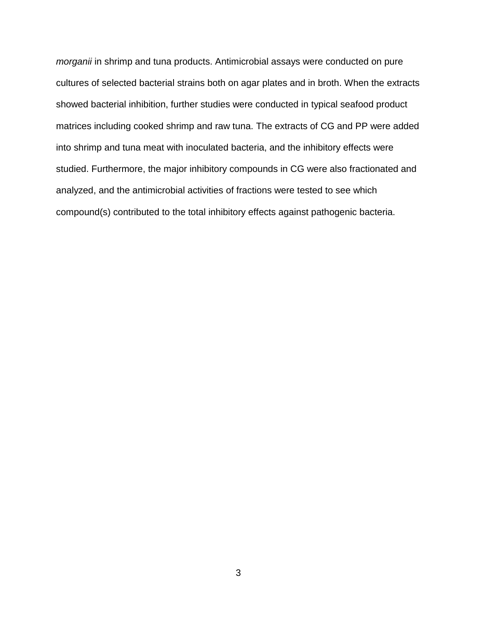*morganii* in shrimp and tuna products. Antimicrobial assays were conducted on pure cultures of selected bacterial strains both on agar plates and in broth. When the extracts showed bacterial inhibition, further studies were conducted in typical seafood product matrices including cooked shrimp and raw tuna. The extracts of CG and PP were added into shrimp and tuna meat with inoculated bacteria, and the inhibitory effects were studied. Furthermore, the major inhibitory compounds in CG were also fractionated and analyzed, and the antimicrobial activities of fractions were tested to see which compound(s) contributed to the total inhibitory effects against pathogenic bacteria.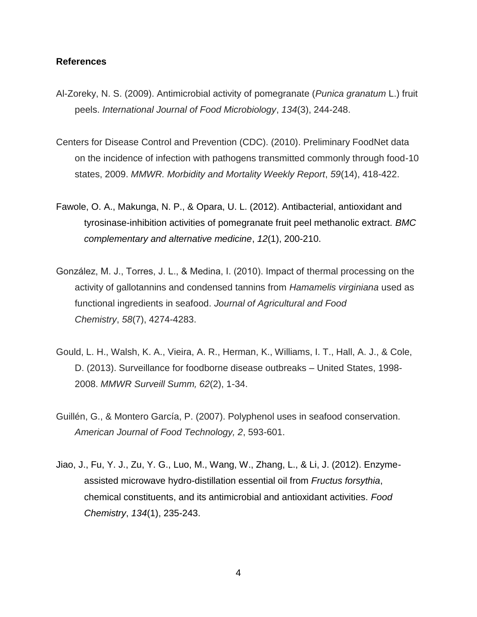#### **References**

- Al-Zoreky, N. S. (2009). Antimicrobial activity of pomegranate (*Punica granatum* L.) fruit peels. *International Journal of Food Microbiology*, *134*(3), 244-248.
- Centers for Disease Control and Prevention (CDC). (2010). Preliminary FoodNet data on the incidence of infection with pathogens transmitted commonly through food-10 states, 2009. *MMWR. Morbidity and Mortality Weekly Report*, *59*(14), 418-422.
- Fawole, O. A., Makunga, N. P., & Opara, U. L. (2012). Antibacterial, antioxidant and tyrosinase-inhibition activities of pomegranate fruit peel methanolic extract. *BMC complementary and alternative medicine*, *12*(1), 200-210.
- González, M. J., Torres, J. L., & Medina, I. (2010). Impact of thermal processing on the activity of gallotannins and condensed tannins from *Hamamelis virginiana* used as functional ingredients in seafood. *Journal of Agricultural and Food Chemistry*, *58*(7), 4274-4283.
- Gould, L. H., Walsh, K. A., Vieira, A. R., Herman, K., Williams, I. T., Hall, A. J., & Cole, D. (2013). Surveillance for foodborne disease outbreaks – United States, 1998- 2008. *MMWR Surveill Summ, 62*(2), 1-34.
- Guillén, G., & Montero García, P. (2007). Polyphenol uses in seafood conservation. *American Journal of Food Technology, 2*, 593-601.
- Jiao, J., Fu, Y. J., Zu, Y. G., Luo, M., Wang, W., Zhang, L., & Li, J. (2012). Enzymeassisted microwave hydro-distillation essential oil from *Fructus forsythia*, chemical constituents, and its antimicrobial and antioxidant activities. *Food Chemistry*, *134*(1), 235-243.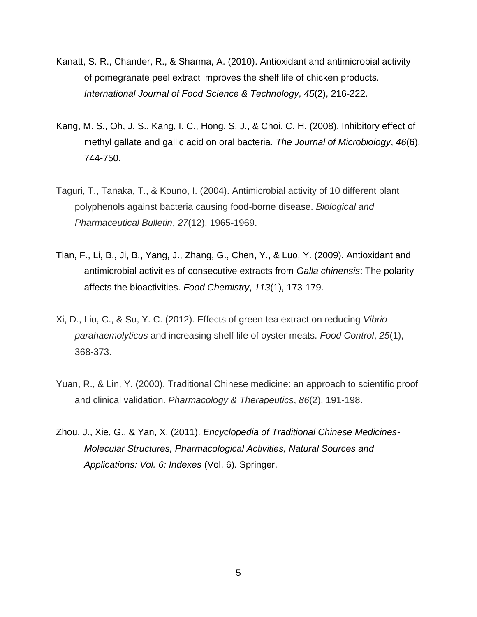- Kanatt, S. R., Chander, R., & Sharma, A. (2010). Antioxidant and antimicrobial activity of pomegranate peel extract improves the shelf life of chicken products. *International Journal of Food Science & Technology*, *45*(2), 216-222.
- Kang, M. S., Oh, J. S., Kang, I. C., Hong, S. J., & Choi, C. H. (2008). Inhibitory effect of methyl gallate and gallic acid on oral bacteria. *The Journal of Microbiology*, *46*(6), 744-750.
- Taguri, T., Tanaka, T., & Kouno, I. (2004). Antimicrobial activity of 10 different plant polyphenols against bacteria causing food-borne disease. *Biological and Pharmaceutical Bulletin*, *27*(12), 1965-1969.
- Tian, F., Li, B., Ji, B., Yang, J., Zhang, G., Chen, Y., & Luo, Y. (2009). Antioxidant and antimicrobial activities of consecutive extracts from *Galla chinensis*: The polarity affects the bioactivities. *Food Chemistry*, *113*(1), 173-179.
- Xi, D., Liu, C., & Su, Y. C. (2012). Effects of green tea extract on reducing *Vibrio parahaemolyticus* and increasing shelf life of oyster meats. *Food Control*, *25*(1), 368-373.
- Yuan, R., & Lin, Y. (2000). Traditional Chinese medicine: an approach to scientific proof and clinical validation. *Pharmacology & Therapeutics*, *86*(2), 191-198.
- Zhou, J., Xie, G., & Yan, X. (2011). *Encyclopedia of Traditional Chinese Medicines-Molecular Structures, Pharmacological Activities, Natural Sources and Applications: Vol. 6: Indexes* (Vol. 6). Springer.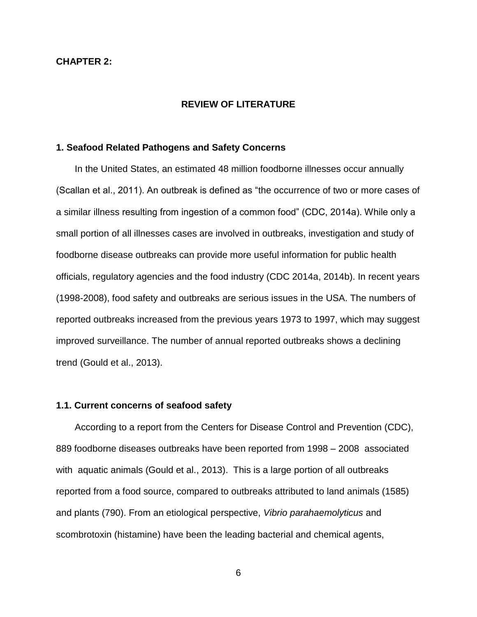#### **CHAPTER 2:**

#### **REVIEW OF LITERATURE**

#### **1. Seafood Related Pathogens and Safety Concerns**

In the United States, an estimated 48 million foodborne illnesses occur annually (Scallan et al., 2011). An outbreak is defined as "the occurrence of two or more cases of a similar illness resulting from ingestion of a common food" (CDC, 2014a). While only a small portion of all illnesses cases are involved in outbreaks, investigation and study of foodborne disease outbreaks can provide more useful information for public health officials, regulatory agencies and the food industry (CDC 2014a, 2014b). In recent years (1998-2008), food safety and outbreaks are serious issues in the USA. The numbers of reported outbreaks increased from the previous years 1973 to 1997, which may suggest improved surveillance. The number of annual reported outbreaks shows a declining trend (Gould et al., 2013).

#### **1.1. Current concerns of seafood safety**

According to a report from the Centers for Disease Control and Prevention (CDC), 889 foodborne diseases outbreaks have been reported from 1998 – 2008 associated with aquatic animals (Gould et al., 2013). This is a large portion of all outbreaks reported from a food source, compared to outbreaks attributed to land animals (1585) and plants (790). From an etiological perspective, *Vibrio parahaemolyticus* and scombrotoxin (histamine) have been the leading bacterial and chemical agents,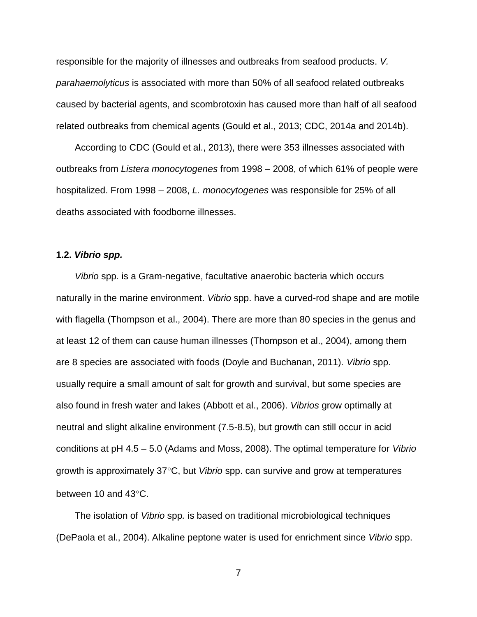responsible for the majority of illnesses and outbreaks from seafood products. *V. parahaemolyticus* is associated with more than 50% of all seafood related outbreaks caused by bacterial agents, and scombrotoxin has caused more than half of all seafood related outbreaks from chemical agents (Gould et al., 2013; CDC, 2014a and 2014b).

According to CDC (Gould et al., 2013), there were 353 illnesses associated with outbreaks from *Listera monocytogenes* from 1998 – 2008, of which 61% of people were hospitalized. From 1998 – 2008, *L. monocytogenes* was responsible for 25% of all deaths associated with foodborne illnesses.

#### **1.2.** *Vibrio spp.*

*Vibrio* spp. is a Gram-negative, facultative anaerobic bacteria which occurs naturally in the marine environment. *Vibrio* spp. have a curved-rod shape and are motile with flagella (Thompson et al., 2004). There are more than 80 species in the genus and at least 12 of them can cause human illnesses (Thompson et al., 2004), among them are 8 species are associated with foods (Doyle and Buchanan, 2011). *Vibrio* spp. usually require a small amount of salt for growth and survival, but some species are also found in fresh water and lakes (Abbott et al., 2006). *Vibrios* grow optimally at neutral and slight alkaline environment (7.5-8.5), but growth can still occur in acid conditions at pH 4.5 – 5.0 (Adams and Moss, 2008). The optimal temperature for *Vibrio* growth is approximately 37°C, but *Vibrio* spp. can survive and grow at temperatures between 10 and 43°C.

The isolation of *Vibrio* spp*.* is based on traditional microbiological techniques (DePaola et al., 2004). Alkaline peptone water is used for enrichment since *Vibrio* spp.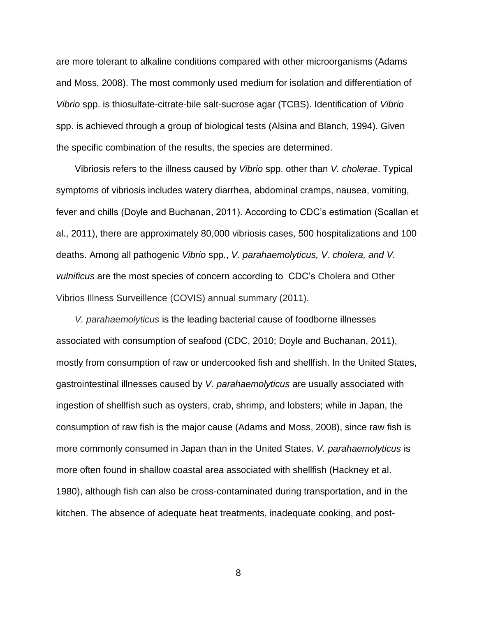are more tolerant to alkaline conditions compared with other microorganisms (Adams and Moss, 2008). The most commonly used medium for isolation and differentiation of *Vibrio* spp. is thiosulfate-citrate-bile salt-sucrose agar (TCBS). Identification of *Vibrio* spp. is achieved through a group of biological tests (Alsina and Blanch, 1994). Given the specific combination of the results, the species are determined.

Vibriosis refers to the illness caused by *Vibrio* spp. other than *V. cholerae*. Typical symptoms of vibriosis includes watery diarrhea, abdominal cramps, nausea, vomiting, fever and chills (Doyle and Buchanan, 2011). According to CDC's estimation (Scallan et al., 2011), there are approximately 80,000 vibriosis cases, 500 hospitalizations and 100 deaths. Among all pathogenic *Vibrio* spp*.*, *V. parahaemolyticus, V. cholera, and V. vulnificus* are the most species of concern according to CDC's Cholera and Other Vibrios Illness Surveillence (COVIS) annual summary (2011).

*V. parahaemolyticus* is the leading bacterial cause of foodborne illnesses associated with consumption of seafood (CDC, 2010; Doyle and Buchanan, 2011), mostly from consumption of raw or undercooked fish and shellfish. In the United States, gastrointestinal illnesses caused by *V. parahaemolyticus* are usually associated with ingestion of shellfish such as oysters, crab, shrimp, and lobsters; while in Japan, the consumption of raw fish is the major cause (Adams and Moss, 2008), since raw fish is more commonly consumed in Japan than in the United States. *V. parahaemolyticus* is more often found in shallow coastal area associated with shellfish (Hackney et al. 1980), although fish can also be cross-contaminated during transportation, and in the kitchen. The absence of adequate heat treatments, inadequate cooking, and post-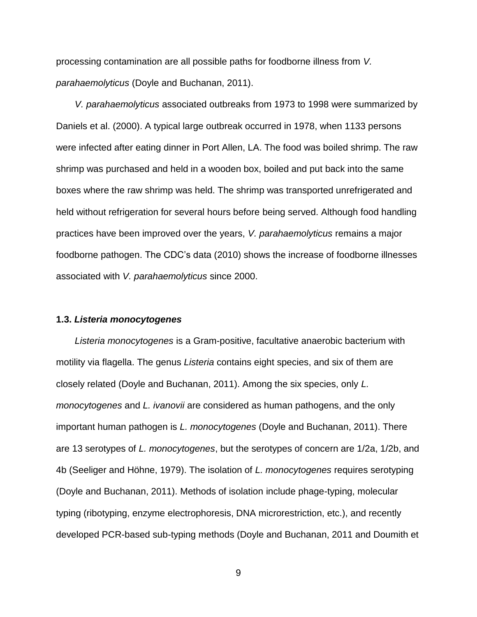processing contamination are all possible paths for foodborne illness from *V. parahaemolyticus* (Doyle and Buchanan, 2011).

*V. parahaemolyticus* associated outbreaks from 1973 to 1998 were summarized by Daniels et al. (2000). A typical large outbreak occurred in 1978, when 1133 persons were infected after eating dinner in Port Allen, LA. The food was boiled shrimp. The raw shrimp was purchased and held in a wooden box, boiled and put back into the same boxes where the raw shrimp was held. The shrimp was transported unrefrigerated and held without refrigeration for several hours before being served. Although food handling practices have been improved over the years, *V. parahaemolyticus* remains a major foodborne pathogen. The CDC's data (2010) shows the increase of foodborne illnesses associated with *V. parahaemolyticus* since 2000.

#### **1.3.** *Listeria monocytogenes*

*Listeria monocytogenes* is a Gram-positive, facultative anaerobic bacterium with motility via flagella. The genus *Listeria* contains eight species, and six of them are closely related (Doyle and Buchanan, 2011). Among the six species, only *L. monocytogenes* and *L. ivanovii* are considered as human pathogens, and the only important human pathogen is *L. monocytogenes* (Doyle and Buchanan, 2011). There are 13 serotypes of *L. monocytogenes*, but the serotypes of concern are 1/2a, 1/2b, and 4b (Seeliger and Höhne, 1979). The isolation of *L. monocytogenes* requires serotyping (Doyle and Buchanan, 2011). Methods of isolation include phage-typing, molecular typing (ribotyping, enzyme electrophoresis, DNA microrestriction, etc.), and recently developed PCR-based sub-typing methods (Doyle and Buchanan, 2011 and Doumith et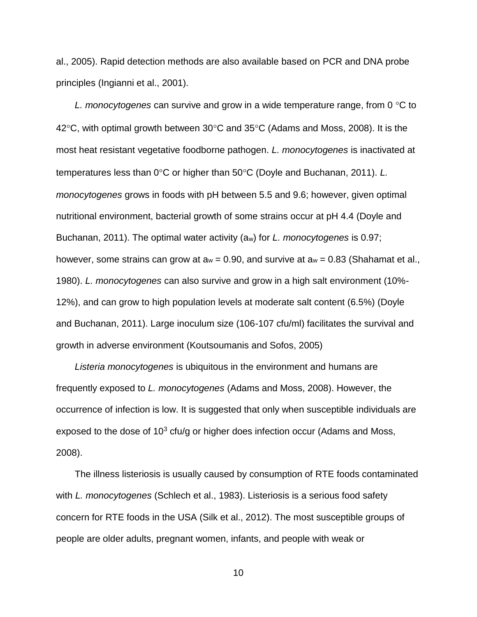al., 2005). Rapid detection methods are also available based on PCR and DNA probe principles (Ingianni et al., 2001).

*L. monocytogenes* can survive and grow in a wide temperature range, from 0 °C to 42 $\degree$ C, with optimal growth between 30 $\degree$ C and 35 $\degree$ C (Adams and Moss, 2008). It is the most heat resistant vegetative foodborne pathogen. *L. monocytogenes* is inactivated at temperatures less than 0°C or higher than 50°C (Doyle and Buchanan, 2011). *L. monocytogenes* grows in foods with pH between 5.5 and 9.6; however, given optimal nutritional environment, bacterial growth of some strains occur at pH 4.4 (Doyle and Buchanan, 2011). The optimal water activity (aw) for *L. monocytogenes* is 0.97; however, some strains can grow at  $a_w = 0.90$ , and survive at  $a_w = 0.83$  (Shahamat et al., 1980). *L. monocytogenes* can also survive and grow in a high salt environment (10%- 12%), and can grow to high population levels at moderate salt content (6.5%) (Doyle and Buchanan, 2011). Large inoculum size (106-107 cfu/ml) facilitates the survival and growth in adverse environment (Koutsoumanis and Sofos, 2005)

*Listeria monocytogenes* is ubiquitous in the environment and humans are frequently exposed to *L. monocytogenes* (Adams and Moss, 2008). However, the occurrence of infection is low. It is suggested that only when susceptible individuals are exposed to the dose of  $10<sup>3</sup>$  cfu/g or higher does infection occur (Adams and Moss, 2008).

The illness listeriosis is usually caused by consumption of RTE foods contaminated with *L. monocytogenes* (Schlech et al., 1983). Listeriosis is a serious food safety concern for RTE foods in the USA (Silk et al., 2012). The most susceptible groups of people are older adults, pregnant women, infants, and people with weak or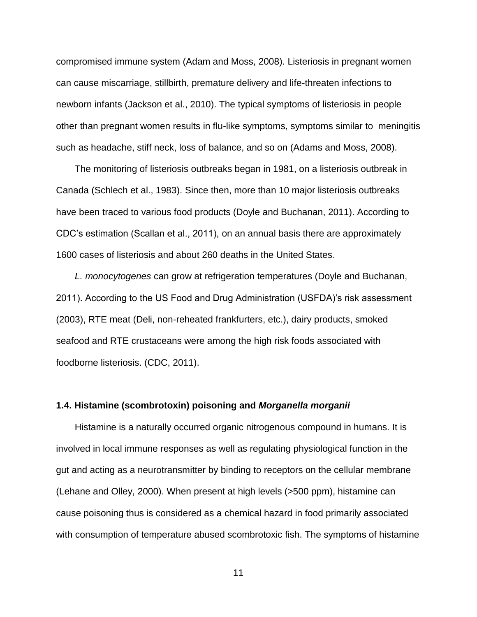compromised immune system (Adam and Moss, 2008). Listeriosis in pregnant women can cause miscarriage, stillbirth, premature delivery and life-threaten infections to newborn infants (Jackson et al., 2010). The typical symptoms of listeriosis in people other than pregnant women results in flu-like symptoms, symptoms similar to meningitis such as headache, stiff neck, loss of balance, and so on (Adams and Moss, 2008).

The monitoring of listeriosis outbreaks began in 1981, on a listeriosis outbreak in Canada (Schlech et al., 1983). Since then, more than 10 major listeriosis outbreaks have been traced to various food products (Doyle and Buchanan, 2011). According to CDC's estimation (Scallan et al., 2011), on an annual basis there are approximately 1600 cases of listeriosis and about 260 deaths in the United States.

*L. monocytogenes* can grow at refrigeration temperatures (Doyle and Buchanan, 2011). According to the US Food and Drug Administration (USFDA)'s risk assessment (2003), RTE meat (Deli, non-reheated frankfurters, etc.), dairy products, smoked seafood and RTE crustaceans were among the high risk foods associated with foodborne listeriosis. (CDC, 2011).

#### **1.4. Histamine (scombrotoxin) poisoning and** *Morganella morganii*

Histamine is a naturally occurred organic nitrogenous compound in humans. It is involved in local immune responses as well as regulating physiological function in the gut and acting as a neurotransmitter by binding to receptors on the cellular membrane (Lehane and Olley, 2000). When present at high levels (>500 ppm), histamine can cause poisoning thus is considered as a chemical hazard in food primarily associated with consumption of temperature abused scombrotoxic fish. The symptoms of histamine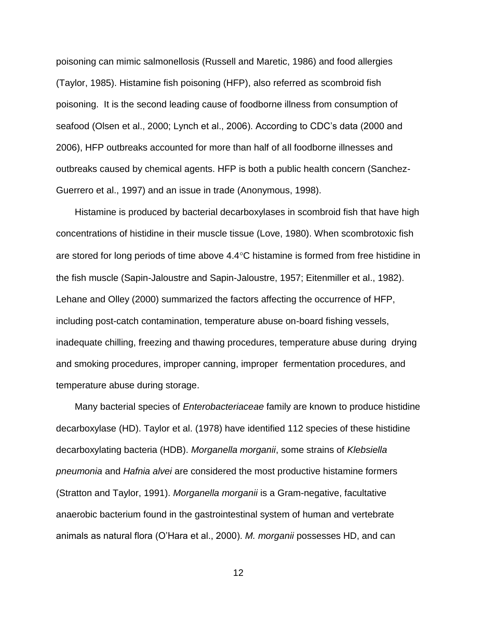poisoning can mimic salmonellosis (Russell and Maretic, 1986) and food allergies (Taylor, 1985). Histamine fish poisoning (HFP), also referred as scombroid fish poisoning. It is the second leading cause of foodborne illness from consumption of seafood (Olsen et al., 2000; Lynch et al., 2006). According to CDC's data (2000 and 2006), HFP outbreaks accounted for more than half of all foodborne illnesses and outbreaks caused by chemical agents. HFP is both a public health concern (Sanchez-Guerrero et al., 1997) and an issue in trade (Anonymous, 1998).

Histamine is produced by bacterial decarboxylases in scombroid fish that have high concentrations of histidine in their muscle tissue (Love, 1980). When scombrotoxic fish are stored for long periods of time above  $4.4^{\circ}$ C histamine is formed from free histidine in the fish muscle (Sapin-Jaloustre and Sapin-Jaloustre, 1957; Eitenmiller et al., 1982). Lehane and Olley (2000) summarized the factors affecting the occurrence of HFP, including post-catch contamination, temperature abuse on-board fishing vessels, inadequate chilling, freezing and thawing procedures, temperature abuse during drying and smoking procedures, improper canning, improper fermentation procedures, and temperature abuse during storage.

Many bacterial species of *Enterobacteriaceae* family are known to produce histidine decarboxylase (HD). Taylor et al. (1978) have identified 112 species of these histidine decarboxylating bacteria (HDB). *Morganella morganii*, some strains of *Klebsiella pneumonia* and *Hafnia alvei* are considered the most productive histamine formers (Stratton and Taylor, 1991). *Morganella morganii* is a Gram-negative, facultative anaerobic bacterium found in the gastrointestinal system of human and vertebrate animals as natural flora (O'Hara et al., 2000). *M. morganii* possesses HD, and can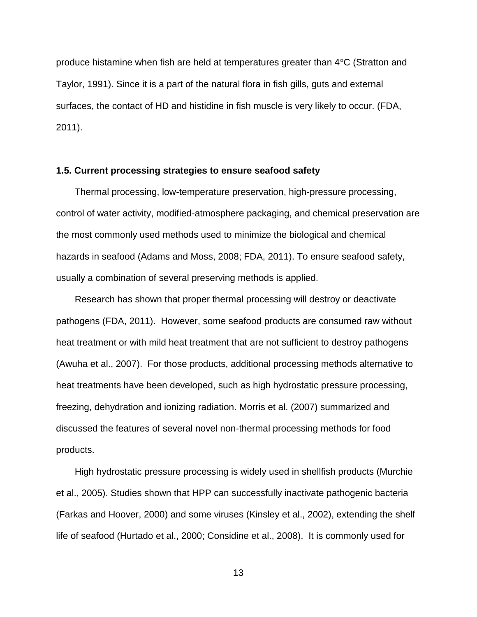produce histamine when fish are held at temperatures greater than  $4^{\circ}$ C (Stratton and Taylor, 1991). Since it is a part of the natural flora in fish gills, guts and external surfaces, the contact of HD and histidine in fish muscle is very likely to occur. (FDA, 2011).

#### **1.5. Current processing strategies to ensure seafood safety**

Thermal processing, low-temperature preservation, high-pressure processing, control of water activity, modified-atmosphere packaging, and chemical preservation are the most commonly used methods used to minimize the biological and chemical hazards in seafood (Adams and Moss, 2008; FDA, 2011). To ensure seafood safety, usually a combination of several preserving methods is applied.

Research has shown that proper thermal processing will destroy or deactivate pathogens (FDA, 2011). However, some seafood products are consumed raw without heat treatment or with mild heat treatment that are not sufficient to destroy pathogens (Awuha et al., 2007). For those products, additional processing methods alternative to heat treatments have been developed, such as high hydrostatic pressure processing, freezing, dehydration and ionizing radiation. Morris et al. (2007) summarized and discussed the features of several novel non-thermal processing methods for food products.

High hydrostatic pressure processing is widely used in shellfish products (Murchie et al., 2005). Studies shown that HPP can successfully inactivate pathogenic bacteria (Farkas and Hoover, 2000) and some viruses (Kinsley et al., 2002), extending the shelf life of seafood (Hurtado et al., 2000; Considine et al., 2008). It is commonly used for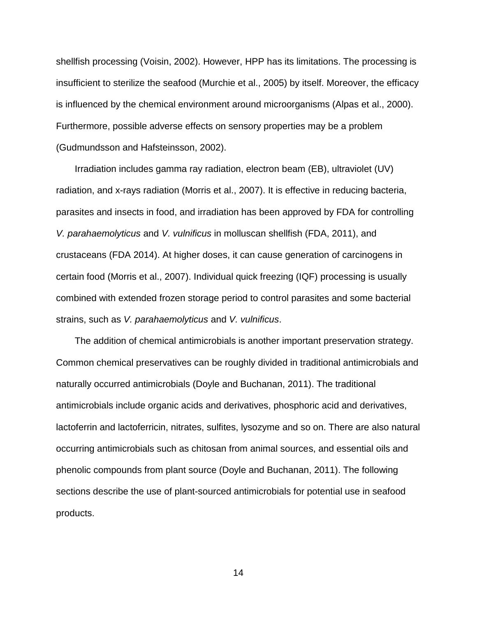shellfish processing (Voisin, 2002). However, HPP has its limitations. The processing is insufficient to sterilize the seafood (Murchie et al., 2005) by itself. Moreover, the efficacy is influenced by the chemical environment around microorganisms (Alpas et al., 2000). Furthermore, possible adverse effects on sensory properties may be a problem (Gudmundsson and Hafsteinsson, 2002).

Irradiation includes gamma ray radiation, electron beam (EB), ultraviolet (UV) radiation, and x-rays radiation (Morris et al., 2007). It is effective in reducing bacteria, parasites and insects in food, and irradiation has been approved by FDA for controlling *V. parahaemolyticus* and *V. vulnificus* in molluscan shellfish (FDA, 2011), and crustaceans (FDA 2014). At higher doses, it can cause generation of carcinogens in certain food (Morris et al., 2007). Individual quick freezing (IQF) processing is usually combined with extended frozen storage period to control parasites and some bacterial strains, such as *V. parahaemolyticus* and *V. vulnificus*.

The addition of chemical antimicrobials is another important preservation strategy. Common chemical preservatives can be roughly divided in traditional antimicrobials and naturally occurred antimicrobials (Doyle and Buchanan, 2011). The traditional antimicrobials include organic acids and derivatives, phosphoric acid and derivatives, lactoferrin and lactoferricin, nitrates, sulfites, lysozyme and so on. There are also natural occurring antimicrobials such as chitosan from animal sources, and essential oils and phenolic compounds from plant source (Doyle and Buchanan, 2011). The following sections describe the use of plant-sourced antimicrobials for potential use in seafood products.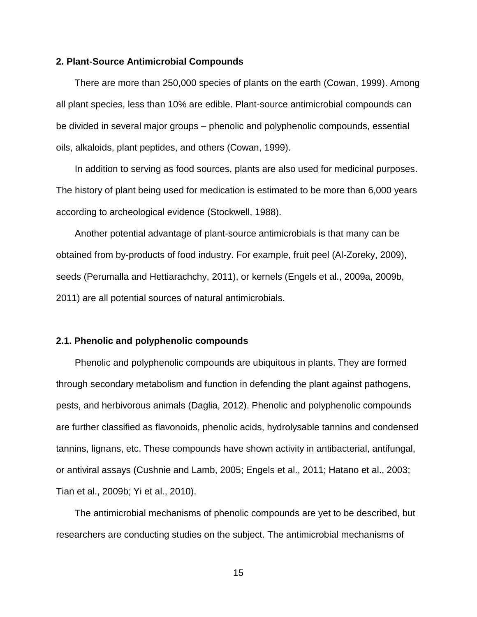#### **2. Plant-Source Antimicrobial Compounds**

There are more than 250,000 species of plants on the earth (Cowan, 1999). Among all plant species, less than 10% are edible. Plant-source antimicrobial compounds can be divided in several major groups – phenolic and polyphenolic compounds, essential oils, alkaloids, plant peptides, and others (Cowan, 1999).

In addition to serving as food sources, plants are also used for medicinal purposes. The history of plant being used for medication is estimated to be more than 6,000 years according to archeological evidence (Stockwell, 1988).

Another potential advantage of plant-source antimicrobials is that many can be obtained from by-products of food industry. For example, fruit peel (Al-Zoreky, 2009), seeds (Perumalla and Hettiarachchy, 2011), or kernels (Engels et al., 2009a, 2009b, 2011) are all potential sources of natural antimicrobials.

#### **2.1. Phenolic and polyphenolic compounds**

Phenolic and polyphenolic compounds are ubiquitous in plants. They are formed through secondary metabolism and function in defending the plant against pathogens, pests, and herbivorous animals (Daglia, 2012). Phenolic and polyphenolic compounds are further classified as flavonoids, phenolic acids, hydrolysable tannins and condensed tannins, lignans, etc. These compounds have shown activity in antibacterial, antifungal, or antiviral assays (Cushnie and Lamb, 2005; Engels et al., 2011; Hatano et al., 2003; Tian et al., 2009b; Yi et al., 2010).

The antimicrobial mechanisms of phenolic compounds are yet to be described, but researchers are conducting studies on the subject. The antimicrobial mechanisms of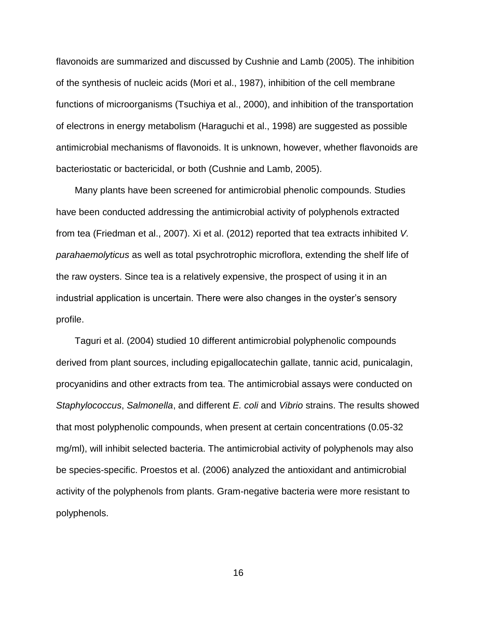flavonoids are summarized and discussed by Cushnie and Lamb (2005). The inhibition of the synthesis of nucleic acids (Mori et al., 1987), inhibition of the cell membrane functions of microorganisms (Tsuchiya et al., 2000), and inhibition of the transportation of electrons in energy metabolism (Haraguchi et al., 1998) are suggested as possible antimicrobial mechanisms of flavonoids. It is unknown, however, whether flavonoids are bacteriostatic or bactericidal, or both (Cushnie and Lamb, 2005).

Many plants have been screened for antimicrobial phenolic compounds. Studies have been conducted addressing the antimicrobial activity of polyphenols extracted from tea (Friedman et al., 2007). Xi et al. (2012) reported that tea extracts inhibited *V. parahaemolyticus* as well as total psychrotrophic microflora, extending the shelf life of the raw oysters. Since tea is a relatively expensive, the prospect of using it in an industrial application is uncertain. There were also changes in the oyster's sensory profile.

Taguri et al. (2004) studied 10 different antimicrobial polyphenolic compounds derived from plant sources, including epigallocatechin gallate, tannic acid, punicalagin, procyanidins and other extracts from tea. The antimicrobial assays were conducted on *Staphylococcus*, *Salmonella*, and different *E. coli* and *Vibrio* strains. The results showed that most polyphenolic compounds, when present at certain concentrations (0.05-32 mg/ml), will inhibit selected bacteria. The antimicrobial activity of polyphenols may also be species-specific. Proestos et al. (2006) analyzed the antioxidant and antimicrobial activity of the polyphenols from plants. Gram-negative bacteria were more resistant to polyphenols.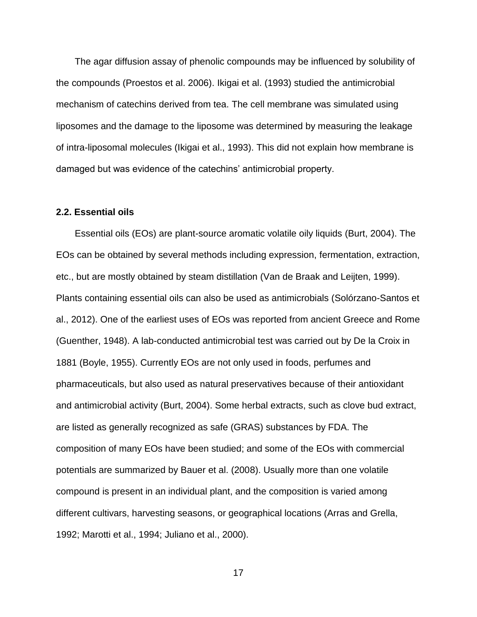The agar diffusion assay of phenolic compounds may be influenced by solubility of the compounds (Proestos et al. 2006). Ikigai et al. (1993) studied the antimicrobial mechanism of catechins derived from tea. The cell membrane was simulated using liposomes and the damage to the liposome was determined by measuring the leakage of intra-liposomal molecules (Ikigai et al., 1993). This did not explain how membrane is damaged but was evidence of the catechins' antimicrobial property.

#### **2.2. Essential oils**

Essential oils (EOs) are plant-source aromatic volatile oily liquids (Burt, 2004). The EOs can be obtained by several methods including expression, fermentation, extraction, etc., but are mostly obtained by steam distillation (Van de Braak and Leijten, 1999). Plants containing essential oils can also be used as antimicrobials (Solórzano-Santos et al., 2012). One of the earliest uses of EOs was reported from ancient Greece and Rome (Guenther, 1948). A lab-conducted antimicrobial test was carried out by De la Croix in 1881 (Boyle, 1955). Currently EOs are not only used in foods, perfumes and pharmaceuticals, but also used as natural preservatives because of their antioxidant and antimicrobial activity (Burt, 2004). Some herbal extracts, such as clove bud extract, are listed as generally recognized as safe (GRAS) substances by FDA. The composition of many EOs have been studied; and some of the EOs with commercial potentials are summarized by Bauer et al. (2008). Usually more than one volatile compound is present in an individual plant, and the composition is varied among different cultivars, harvesting seasons, or geographical locations (Arras and Grella, 1992; Marotti et al., 1994; Juliano et al., 2000).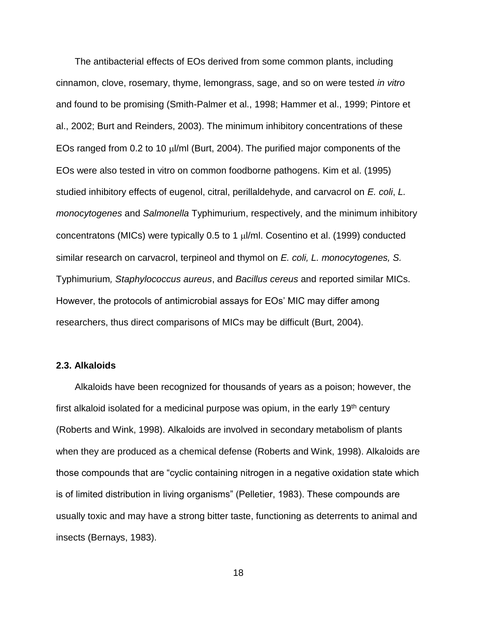The antibacterial effects of EOs derived from some common plants, including cinnamon, clove, rosemary, thyme, lemongrass, sage, and so on were tested *in vitro* and found to be promising (Smith-Palmer et al., 1998; Hammer et al., 1999; Pintore et al., 2002; Burt and Reinders, 2003). The minimum inhibitory concentrations of these EOs ranged from 0.2 to 10  $\mu$ I/ml (Burt, 2004). The purified major components of the EOs were also tested in vitro on common foodborne pathogens. Kim et al. (1995) studied inhibitory effects of eugenol, citral, perillaldehyde, and carvacrol on *E. coli*, *L. monocytogenes* and *Salmonella* Typhimurium, respectively, and the minimum inhibitory concentratons (MICs) were typically 0.5 to 1  $\mu$ I/ml. Cosentino et al. (1999) conducted similar research on carvacrol, terpineol and thymol on *E. coli, L. monocytogenes, S.*  Typhimurium*, Staphylococcus aureus*, and *Bacillus cereus* and reported similar MICs. However, the protocols of antimicrobial assays for EOs' MIC may differ among researchers, thus direct comparisons of MICs may be difficult (Burt, 2004).

#### **2.3. Alkaloids**

Alkaloids have been recognized for thousands of years as a poison; however, the first alkaloid isolated for a medicinal purpose was opium, in the early  $19<sup>th</sup>$  century (Roberts and Wink, 1998). Alkaloids are involved in secondary metabolism of plants when they are produced as a chemical defense (Roberts and Wink, 1998). Alkaloids are those compounds that are "cyclic containing nitrogen in a negative oxidation state which is of limited distribution in living organisms" (Pelletier, 1983). These compounds are usually toxic and may have a strong bitter taste, functioning as deterrents to animal and insects (Bernays, 1983).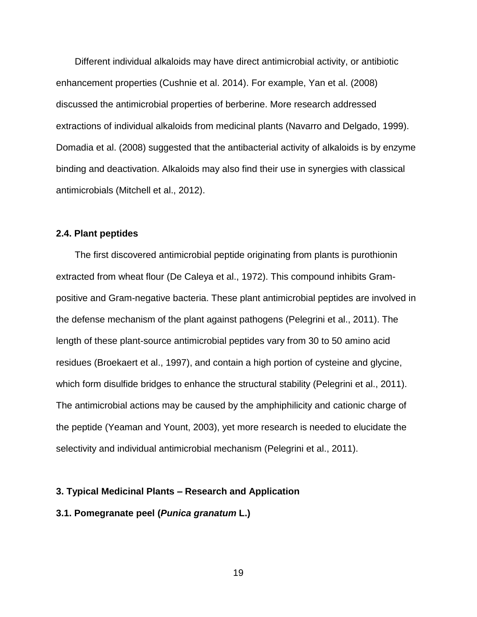Different individual alkaloids may have direct antimicrobial activity, or antibiotic enhancement properties (Cushnie et al. 2014). For example, Yan et al. (2008) discussed the antimicrobial properties of berberine. More research addressed extractions of individual alkaloids from medicinal plants (Navarro and Delgado, 1999). Domadia et al. (2008) suggested that the antibacterial activity of alkaloids is by enzyme binding and deactivation. Alkaloids may also find their use in synergies with classical antimicrobials (Mitchell et al., 2012).

#### **2.4. Plant peptides**

The first discovered antimicrobial peptide originating from plants is purothionin extracted from wheat flour (De Caleya et al., 1972). This compound inhibits Grampositive and Gram-negative bacteria. These plant antimicrobial peptides are involved in the defense mechanism of the plant against pathogens (Pelegrini et al., 2011). The length of these plant-source antimicrobial peptides vary from 30 to 50 amino acid residues (Broekaert et al., 1997), and contain a high portion of cysteine and glycine, which form disulfide bridges to enhance the structural stability (Pelegrini et al., 2011). The antimicrobial actions may be caused by the amphiphilicity and cationic charge of the peptide (Yeaman and Yount, 2003), yet more research is needed to elucidate the selectivity and individual antimicrobial mechanism (Pelegrini et al., 2011).

#### **3. Typical Medicinal Plants – Research and Application**

#### **3.1. Pomegranate peel (***Punica granatum* **L.)**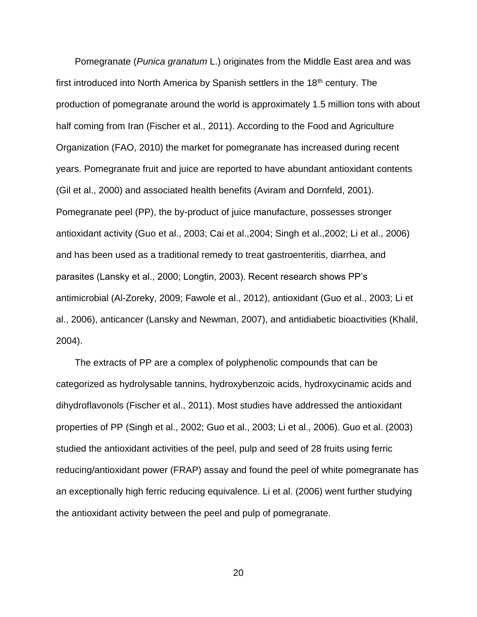Pomegranate (*Punica granatum* L.) originates from the Middle East area and was first introduced into North America by Spanish settlers in the  $18<sup>th</sup>$  century. The production of pomegranate around the world is approximately 1.5 million tons with about half coming from Iran (Fischer et al., 2011). According to the Food and Agriculture Organization (FAO, 2010) the market for pomegranate has increased during recent years. Pomegranate fruit and juice are reported to have abundant antioxidant contents (Gil et al., 2000) and associated health benefits (Aviram and Dornfeld, 2001). Pomegranate peel (PP), the by-product of juice manufacture, possesses stronger antioxidant activity (Guo et al., 2003; Cai et al.,2004; Singh et al.,2002; Li et al., 2006) and has been used as a traditional remedy to treat gastroenteritis, diarrhea, and parasites (Lansky et al., 2000; Longtin, 2003). Recent research shows PP's antimicrobial (Al-Zoreky, 2009; Fawole et al., 2012), antioxidant (Guo et al., 2003; Li et al., 2006), anticancer (Lansky and Newman, 2007), and antidiabetic bioactivities (Khalil, 2004).

The extracts of PP are a complex of polyphenolic compounds that can be categorized as hydrolysable tannins, hydroxybenzoic acids, hydroxycinamic acids and dihydroflavonols (Fischer et al., 2011). Most studies have addressed the antioxidant properties of PP (Singh et al., 2002; Guo et al., 2003; Li et al., 2006). Guo et al. (2003) studied the antioxidant activities of the peel, pulp and seed of 28 fruits using ferric reducing/antioxidant power (FRAP) assay and found the peel of white pomegranate has an exceptionally high ferric reducing equivalence. Li et al. (2006) went further studying the antioxidant activity between the peel and pulp of pomegranate.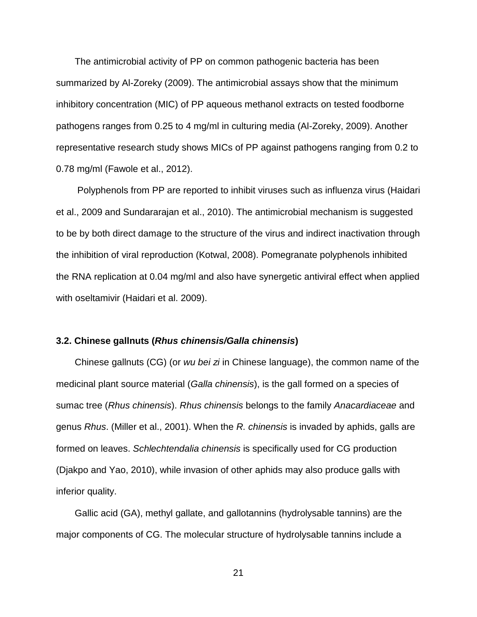The antimicrobial activity of PP on common pathogenic bacteria has been summarized by Al-Zoreky (2009). The antimicrobial assays show that the minimum inhibitory concentration (MIC) of PP aqueous methanol extracts on tested foodborne pathogens ranges from 0.25 to 4 mg/ml in culturing media (Al-Zoreky, 2009). Another representative research study shows MICs of PP against pathogens ranging from 0.2 to 0.78 mg/ml (Fawole et al., 2012).

Polyphenols from PP are reported to inhibit viruses such as influenza virus (Haidari et al., 2009 and Sundararajan et al., 2010). The antimicrobial mechanism is suggested to be by both direct damage to the structure of the virus and indirect inactivation through the inhibition of viral reproduction (Kotwal, 2008). Pomegranate polyphenols inhibited the RNA replication at 0.04 mg/ml and also have synergetic antiviral effect when applied with oseltamivir (Haidari et al. 2009).

#### **3.2. Chinese gallnuts (***Rhus chinensis/Galla chinensis***)**

Chinese gallnuts (CG) (or *wu bei zi* in Chinese language), the common name of the medicinal plant source material (*Galla chinensis*), is the gall formed on a species of sumac tree (*Rhus chinensis*). *Rhus chinensis* belongs to the family *Anacardiaceae* and genus *Rhus*. (Miller et al., 2001). When the *R. chinensis* is invaded by aphids, galls are formed on leaves. *Schlechtendalia chinensis* is specifically used for CG production (Djakpo and Yao, 2010), while invasion of other aphids may also produce galls with inferior quality.

Gallic acid (GA), methyl gallate, and gallotannins (hydrolysable tannins) are the major components of CG. The molecular structure of hydrolysable tannins include a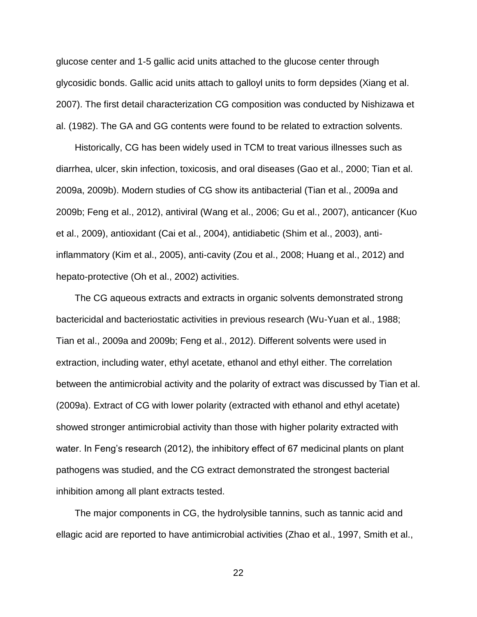glucose center and 1-5 gallic acid units attached to the glucose center through glycosidic bonds. Gallic acid units attach to galloyl units to form depsides (Xiang et al. 2007). The first detail characterization CG composition was conducted by Nishizawa et al. (1982). The GA and GG contents were found to be related to extraction solvents.

Historically, CG has been widely used in TCM to treat various illnesses such as diarrhea, ulcer, skin infection, toxicosis, and oral diseases (Gao et al., 2000; Tian et al. 2009a, 2009b). Modern studies of CG show its antibacterial (Tian et al., 2009a and 2009b; Feng et al., 2012), antiviral (Wang et al., 2006; Gu et al., 2007), anticancer (Kuo et al., 2009), antioxidant (Cai et al., 2004), antidiabetic (Shim et al., 2003), antiinflammatory (Kim et al., 2005), anti-cavity (Zou et al., 2008; Huang et al., 2012) and hepato-protective (Oh et al., 2002) activities.

The CG aqueous extracts and extracts in organic solvents demonstrated strong bactericidal and bacteriostatic activities in previous research (Wu-Yuan et al., 1988; Tian et al., 2009a and 2009b; Feng et al., 2012). Different solvents were used in extraction, including water, ethyl acetate, ethanol and ethyl either. The correlation between the antimicrobial activity and the polarity of extract was discussed by Tian et al. (2009a). Extract of CG with lower polarity (extracted with ethanol and ethyl acetate) showed stronger antimicrobial activity than those with higher polarity extracted with water. In Feng's research (2012), the inhibitory effect of 67 medicinal plants on plant pathogens was studied, and the CG extract demonstrated the strongest bacterial inhibition among all plant extracts tested.

The major components in CG, the hydrolysible tannins, such as tannic acid and ellagic acid are reported to have antimicrobial activities (Zhao et al., 1997, Smith et al.,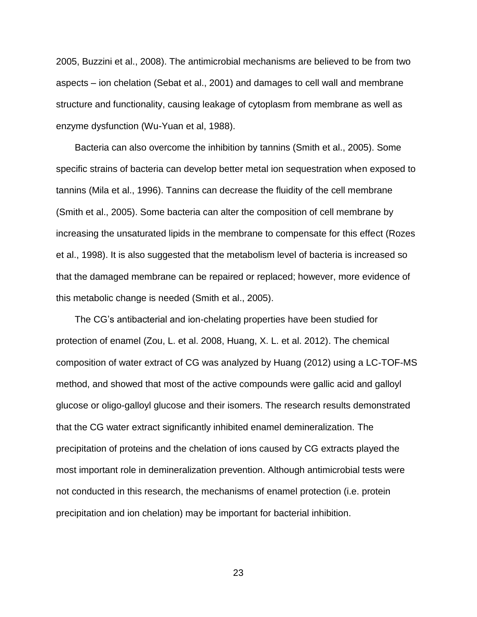2005, Buzzini et al., 2008). The antimicrobial mechanisms are believed to be from two aspects – ion chelation (Sebat et al., 2001) and damages to cell wall and membrane structure and functionality, causing leakage of cytoplasm from membrane as well as enzyme dysfunction (Wu-Yuan et al, 1988).

Bacteria can also overcome the inhibition by tannins (Smith et al., 2005). Some specific strains of bacteria can develop better metal ion sequestration when exposed to tannins (Mila et al., 1996). Tannins can decrease the fluidity of the cell membrane (Smith et al., 2005). Some bacteria can alter the composition of cell membrane by increasing the unsaturated lipids in the membrane to compensate for this effect (Rozes et al., 1998). It is also suggested that the metabolism level of bacteria is increased so that the damaged membrane can be repaired or replaced; however, more evidence of this metabolic change is needed (Smith et al., 2005).

The CG's antibacterial and ion-chelating properties have been studied for protection of enamel (Zou, L. et al. 2008, Huang, X. L. et al. 2012). The chemical composition of water extract of CG was analyzed by Huang (2012) using a LC-TOF-MS method, and showed that most of the active compounds were gallic acid and galloyl glucose or oligo-galloyl glucose and their isomers. The research results demonstrated that the CG water extract significantly inhibited enamel demineralization. The precipitation of proteins and the chelation of ions caused by CG extracts played the most important role in demineralization prevention. Although antimicrobial tests were not conducted in this research, the mechanisms of enamel protection (i.e. protein precipitation and ion chelation) may be important for bacterial inhibition.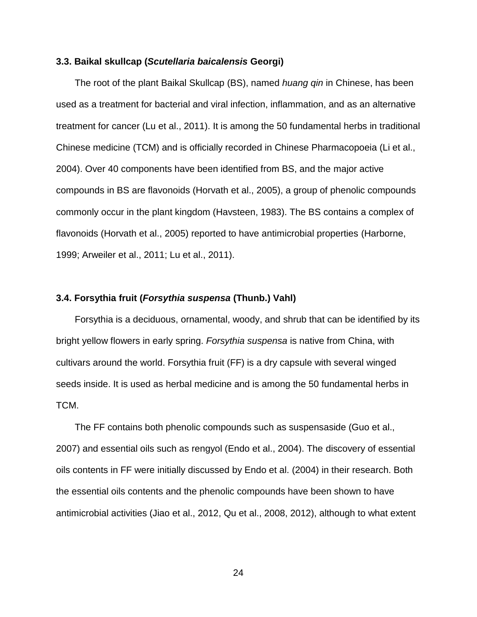#### **3.3. Baikal skullcap (***Scutellaria baicalensis* **Georgi)**

The root of the plant Baikal Skullcap (BS), named *huang qin* in Chinese, has been used as a treatment for bacterial and viral infection, inflammation, and as an alternative treatment for cancer (Lu et al., 2011). It is among the 50 fundamental herbs in traditional Chinese medicine (TCM) and is officially recorded in Chinese Pharmacopoeia (Li et al., 2004). Over 40 components have been identified from BS, and the major active compounds in BS are flavonoids (Horvath et al., 2005), a group of phenolic compounds commonly occur in the plant kingdom (Havsteen, 1983). The BS contains a complex of flavonoids (Horvath et al., 2005) reported to have antimicrobial properties (Harborne, 1999; Arweiler et al., 2011; Lu et al., 2011).

#### **3.4. Forsythia fruit (***Forsythia suspensa* **(Thunb.) Vahl)**

Forsythia is a deciduous, ornamental, woody, and shrub that can be identified by its bright yellow flowers in early spring. *Forsythia suspensa* is native from China, with cultivars around the world. Forsythia fruit (FF) is a dry capsule with several winged seeds inside. It is used as herbal medicine and is among the 50 fundamental herbs in TCM.

The FF contains both phenolic compounds such as suspensaside (Guo et al., 2007) and essential oils such as rengyol (Endo et al., 2004). The discovery of essential oils contents in FF were initially discussed by Endo et al. (2004) in their research. Both the essential oils contents and the phenolic compounds have been shown to have antimicrobial activities (Jiao et al., 2012, Qu et al., 2008, 2012), although to what extent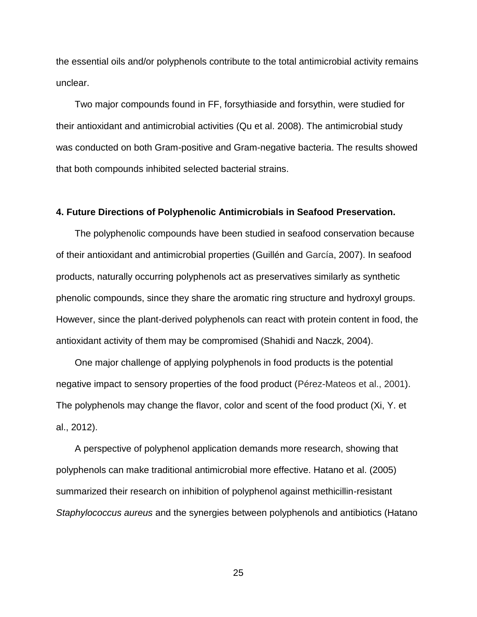the essential oils and/or polyphenols contribute to the total antimicrobial activity remains unclear.

Two major compounds found in FF, forsythiaside and forsythin, were studied for their antioxidant and antimicrobial activities (Qu et al. 2008). The antimicrobial study was conducted on both Gram-positive and Gram-negative bacteria. The results showed that both compounds inhibited selected bacterial strains.

#### **4. Future Directions of Polyphenolic Antimicrobials in Seafood Preservation.**

The polyphenolic compounds have been studied in seafood conservation because of their antioxidant and antimicrobial properties (Guillén and García, 2007). In seafood products, naturally occurring polyphenols act as preservatives similarly as synthetic phenolic compounds, since they share the aromatic ring structure and hydroxyl groups. However, since the plant-derived polyphenols can react with protein content in food, the antioxidant activity of them may be compromised (Shahidi and Naczk, 2004).

One major challenge of applying polyphenols in food products is the potential negative impact to sensory properties of the food product (Pérez-Mateos et al., 2001). The polyphenols may change the flavor, color and scent of the food product (Xi, Y. et al., 2012).

A perspective of polyphenol application demands more research, showing that polyphenols can make traditional antimicrobial more effective. Hatano et al. (2005) summarized their research on inhibition of polyphenol against methicillin-resistant *Staphylococcus aureus* and the synergies between polyphenols and antibiotics (Hatano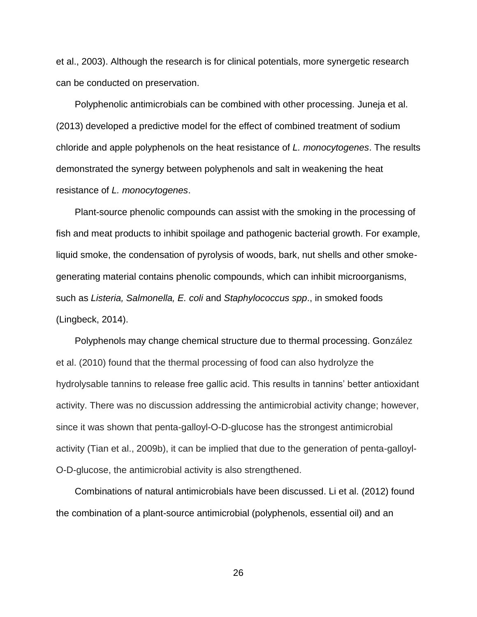et al., 2003). Although the research is for clinical potentials, more synergetic research can be conducted on preservation.

Polyphenolic antimicrobials can be combined with other processing. Juneja et al. (2013) developed a predictive model for the effect of combined treatment of sodium chloride and apple polyphenols on the heat resistance of *L. monocytogenes*. The results demonstrated the synergy between polyphenols and salt in weakening the heat resistance of *L. monocytogenes*.

Plant-source phenolic compounds can assist with the smoking in the processing of fish and meat products to inhibit spoilage and pathogenic bacterial growth. For example, liquid smoke, the condensation of pyrolysis of woods, bark, nut shells and other smokegenerating material contains phenolic compounds, which can inhibit microorganisms, such as *Listeria, Salmonella, E. coli* and *Staphylococcus spp*., in smoked foods (Lingbeck, 2014).

Polyphenols may change chemical structure due to thermal processing. González et al. (2010) found that the thermal processing of food can also hydrolyze the hydrolysable tannins to release free gallic acid. This results in tannins' better antioxidant activity. There was no discussion addressing the antimicrobial activity change; however, since it was shown that penta-galloyl-O-D-glucose has the strongest antimicrobial activity (Tian et al., 2009b), it can be implied that due to the generation of penta-galloyl-O-D-glucose, the antimicrobial activity is also strengthened.

Combinations of natural antimicrobials have been discussed. Li et al. (2012) found the combination of a plant-source antimicrobial (polyphenols, essential oil) and an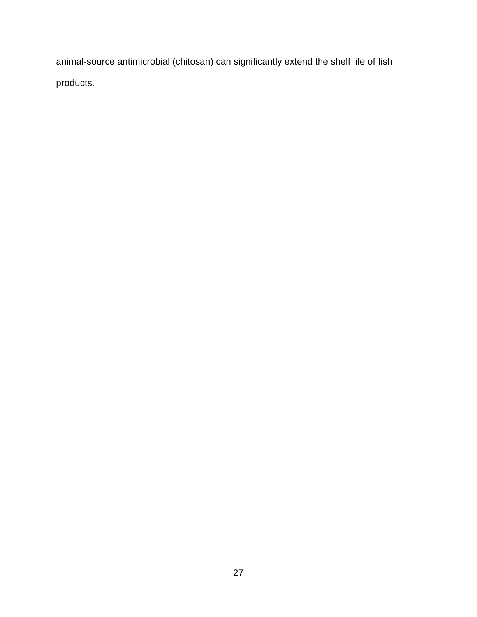animal-source antimicrobial (chitosan) can significantly extend the shelf life of fish products.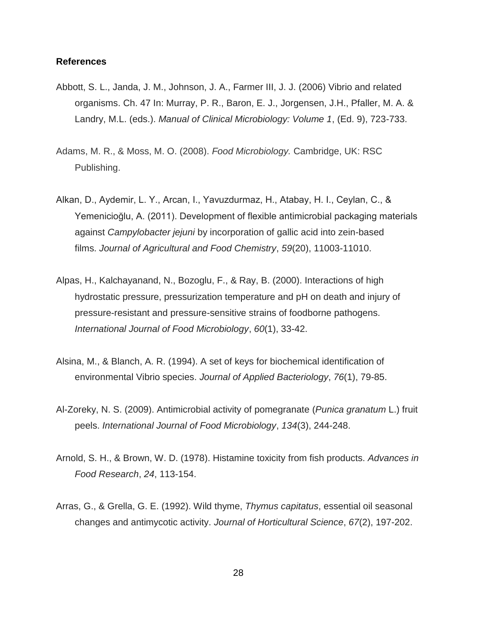## **References**

- Abbott, S. L., Janda, J. M., Johnson, J. A., Farmer III, J. J. (2006) Vibrio and related organisms. Ch. 47 In: Murray, P. R., Baron, E. J., Jorgensen, J.H., Pfaller, M. A. & Landry, M.L. (eds.). *Manual of Clinical Microbiology: Volume 1*, (Ed. 9), 723-733.
- Adams, M. R., & Moss, M. O. (2008). *Food Microbiology.* Cambridge, UK: RSC Publishing.
- Alkan, D., Aydemir, L. Y., Arcan, I., Yavuzdurmaz, H., Atabay, H. I., Ceylan, C., & Yemenicioğlu, A. (2011). Development of flexible antimicrobial packaging materials against *Campylobacter jejuni* by incorporation of gallic acid into zein-based films. *Journal of Agricultural and Food Chemistry*, *59*(20), 11003-11010.
- Alpas, H., Kalchayanand, N., Bozoglu, F., & Ray, B. (2000). Interactions of high hydrostatic pressure, pressurization temperature and pH on death and injury of pressure-resistant and pressure-sensitive strains of foodborne pathogens. *International Journal of Food Microbiology*, *60*(1), 33-42.
- Alsina, M., & Blanch, A. R. (1994). A set of keys for biochemical identification of environmental Vibrio species. *Journal of Applied Bacteriology*, *76*(1), 79-85.
- Al-Zoreky, N. S. (2009). Antimicrobial activity of pomegranate (*Punica granatum* L.) fruit peels. *International Journal of Food Microbiology*, *134*(3), 244-248.
- Arnold, S. H., & Brown, W. D. (1978). Histamine toxicity from fish products. *Advances in Food Research*, *24*, 113-154.
- Arras, G., & Grella, G. E. (1992). Wild thyme, *Thymus capitatus*, essential oil seasonal changes and antimycotic activity. *Journal of Horticultural Science*, *67*(2), 197-202.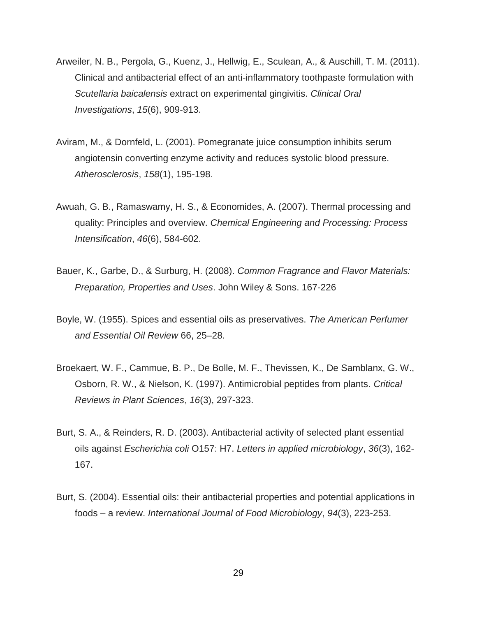- Arweiler, N. B., Pergola, G., Kuenz, J., Hellwig, E., Sculean, A., & Auschill, T. M. (2011). Clinical and antibacterial effect of an anti-inflammatory toothpaste formulation with *Scutellaria baicalensis* extract on experimental gingivitis. *Clinical Oral Investigations*, *15*(6), 909-913.
- Aviram, M., & Dornfeld, L. (2001). Pomegranate juice consumption inhibits serum angiotensin converting enzyme activity and reduces systolic blood pressure. *Atherosclerosis*, *158*(1), 195-198.
- Awuah, G. B., Ramaswamy, H. S., & Economides, A. (2007). Thermal processing and quality: Principles and overview. *Chemical Engineering and Processing: Process Intensification*, *46*(6), 584-602.
- Bauer, K., Garbe, D., & Surburg, H. (2008). *Common Fragrance and Flavor Materials: Preparation, Properties and Uses*. John Wiley & Sons. 167-226
- Boyle, W. (1955). Spices and essential oils as preservatives. *The American Perfumer and Essential Oil Review* 66, 25–28.
- Broekaert, W. F., Cammue, B. P., De Bolle, M. F., Thevissen, K., De Samblanx, G. W., Osborn, R. W., & Nielson, K. (1997). Antimicrobial peptides from plants. *Critical Reviews in Plant Sciences*, *16*(3), 297-323.
- Burt, S. A., & Reinders, R. D. (2003). Antibacterial activity of selected plant essential oils against *Escherichia coli* O157: H7. *Letters in applied microbiology*, *36*(3), 162- 167.
- Burt, S. (2004). Essential oils: their antibacterial properties and potential applications in foods – a review. *International Journal of Food Microbiology*, *94*(3), 223-253.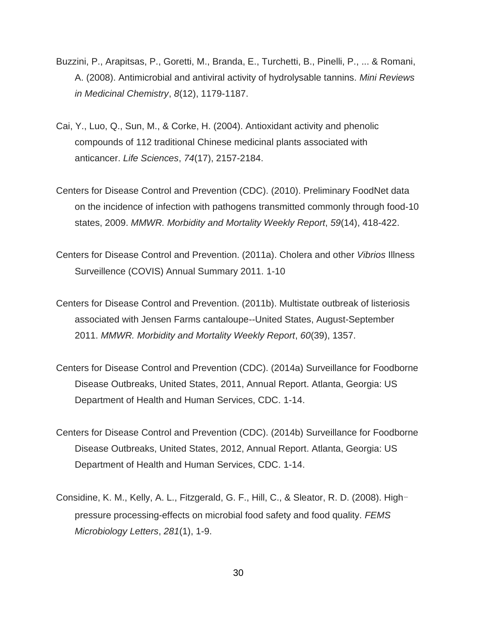- Buzzini, P., Arapitsas, P., Goretti, M., Branda, E., Turchetti, B., Pinelli, P., ... & Romani, A. (2008). Antimicrobial and antiviral activity of hydrolysable tannins. *Mini Reviews in Medicinal Chemistry*, *8*(12), 1179-1187.
- Cai, Y., Luo, Q., Sun, M., & Corke, H. (2004). Antioxidant activity and phenolic compounds of 112 traditional Chinese medicinal plants associated with anticancer. *Life Sciences*, *74*(17), 2157-2184.
- Centers for Disease Control and Prevention (CDC). (2010). Preliminary FoodNet data on the incidence of infection with pathogens transmitted commonly through food-10 states, 2009. *MMWR. Morbidity and Mortality Weekly Report*, *59*(14), 418-422.
- Centers for Disease Control and Prevention. (2011a). Cholera and other *Vibrios* Illness Surveillence (COVIS) Annual Summary 2011. 1-10
- Centers for Disease Control and Prevention. (2011b). Multistate outbreak of listeriosis associated with Jensen Farms cantaloupe--United States, August-September 2011. *MMWR. Morbidity and Mortality Weekly Report*, *60*(39), 1357.
- Centers for Disease Control and Prevention (CDC). (2014a) Surveillance for Foodborne Disease Outbreaks, United States, 2011, Annual Report. Atlanta, Georgia: US Department of Health and Human Services, CDC. 1-14.
- Centers for Disease Control and Prevention (CDC). (2014b) Surveillance for Foodborne Disease Outbreaks, United States, 2012, Annual Report. Atlanta, Georgia: US Department of Health and Human Services, CDC. 1-14.
- Considine, K. M., Kelly, A. L., Fitzgerald, G. F., Hill, C., & Sleator, R. D. (2008). Highpressure processing-effects on microbial food safety and food quality. *FEMS Microbiology Letters*, *281*(1), 1-9.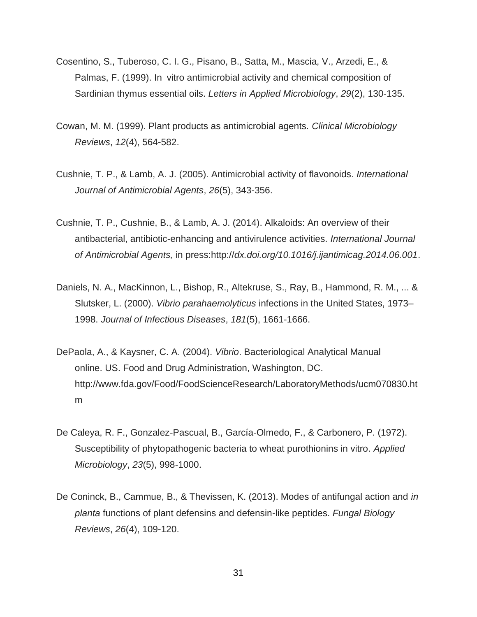- Cosentino, S., Tuberoso, C. I. G., Pisano, B., Satta, M., Mascia, V., Arzedi, E., & Palmas, F. (1999). In vitro antimicrobial activity and chemical composition of Sardinian thymus essential oils. *Letters in Applied Microbiology*, *29*(2), 130-135.
- Cowan, M. M. (1999). Plant products as antimicrobial agents. *Clinical Microbiology Reviews*, *12*(4), 564-582.
- Cushnie, T. P., & Lamb, A. J. (2005). Antimicrobial activity of flavonoids. *International Journal of Antimicrobial Agents*, *26*(5), 343-356.
- Cushnie, T. P., Cushnie, B., & Lamb, A. J. (2014). Alkaloids: An overview of their antibacterial, antibiotic-enhancing and antivirulence activities. *International Journal of Antimicrobial Agents,* in press:http://*dx.doi.org/10.1016/j.ijantimicag.2014.06.001*.
- Daniels, N. A., MacKinnon, L., Bishop, R., Altekruse, S., Ray, B., Hammond, R. M., ... & Slutsker, L. (2000). *Vibrio parahaemolyticus* infections in the United States, 1973– 1998. *Journal of Infectious Diseases*, *181*(5), 1661-1666.
- DePaola, A., & Kaysner, C. A. (2004). *Vibrio*. Bacteriological Analytical Manual online. US. Food and Drug Administration, Washington, DC. http://www.fda.gov/Food/FoodScienceResearch/LaboratoryMethods/ucm070830.ht m
- De Caleya, R. F., Gonzalez-Pascual, B., García-Olmedo, F., & Carbonero, P. (1972). Susceptibility of phytopathogenic bacteria to wheat purothionins in vitro. *Applied Microbiology*, *23*(5), 998-1000.
- De Coninck, B., Cammue, B., & Thevissen, K. (2013). Modes of antifungal action and *in planta* functions of plant defensins and defensin-like peptides. *Fungal Biology Reviews*, *26*(4), 109-120.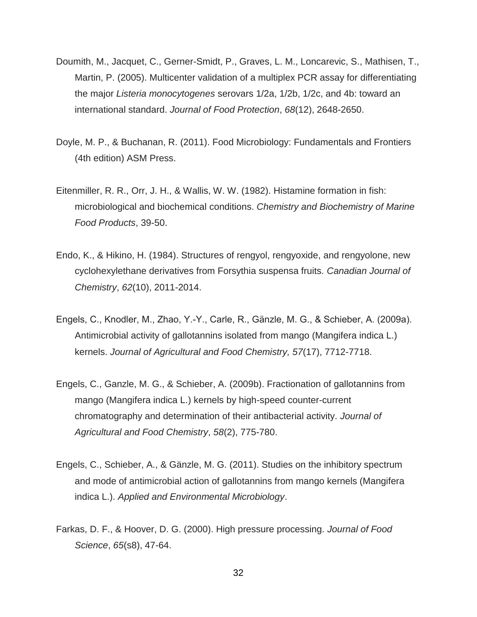- Doumith, M., Jacquet, C., Gerner-Smidt, P., Graves, L. M., Loncarevic, S., Mathisen, T., Martin, P. (2005). Multicenter validation of a multiplex PCR assay for differentiating the major *Listeria monocytogenes* serovars 1/2a, 1/2b, 1/2c, and 4b: toward an international standard. *Journal of Food Protection*, *68*(12), 2648-2650.
- Doyle, M. P., & Buchanan, R. (2011). Food Microbiology: Fundamentals and Frontiers (4th edition) ASM Press.
- Eitenmiller, R. R., Orr, J. H., & Wallis, W. W. (1982). Histamine formation in fish: microbiological and biochemical conditions. *Chemistry and Biochemistry of Marine Food Products*, 39-50.
- Endo, K., & Hikino, H. (1984). Structures of rengyol, rengyoxide, and rengyolone, new cyclohexylethane derivatives from Forsythia suspensa fruits. *Canadian Journal of Chemistry*, *62*(10), 2011-2014.
- Engels, C., Knodler, M., Zhao, Y.-Y., Carle, R., Gänzle, M. G., & Schieber, A. (2009a). Antimicrobial activity of gallotannins isolated from mango (Mangifera indica L.) kernels. *Journal of Agricultural and Food Chemistry, 57*(17), 7712-7718.
- Engels, C., Ganzle, M. G., & Schieber, A. (2009b). Fractionation of gallotannins from mango (Mangifera indica L.) kernels by high-speed counter-current chromatography and determination of their antibacterial activity. *Journal of Agricultural and Food Chemistry*, *58*(2), 775-780.
- Engels, C., Schieber, A., & Gänzle, M. G. (2011). Studies on the inhibitory spectrum and mode of antimicrobial action of gallotannins from mango kernels (Mangifera indica L.). *Applied and Environmental Microbiology*.
- Farkas, D. F., & Hoover, D. G. (2000). High pressure processing. *Journal of Food Science*, *65*(s8), 47-64.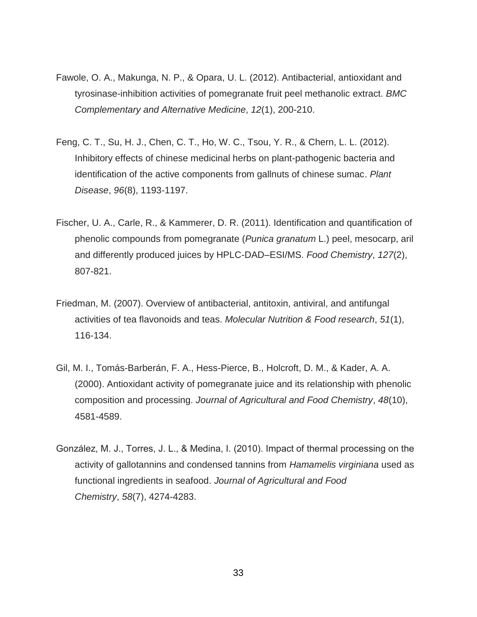- Fawole, O. A., Makunga, N. P., & Opara, U. L. (2012). Antibacterial, antioxidant and tyrosinase-inhibition activities of pomegranate fruit peel methanolic extract. *BMC Complementary and Alternative Medicine*, *12*(1), 200-210.
- Feng, C. T., Su, H. J., Chen, C. T., Ho, W. C., Tsou, Y. R., & Chern, L. L. (2012). Inhibitory effects of chinese medicinal herbs on plant-pathogenic bacteria and identification of the active components from gallnuts of chinese sumac. *Plant Disease*, *96*(8), 1193-1197.
- Fischer, U. A., Carle, R., & Kammerer, D. R. (2011). Identification and quantification of phenolic compounds from pomegranate (*Punica granatum* L.) peel, mesocarp, aril and differently produced juices by HPLC-DAD–ESI/MS. *Food Chemistry*, *127*(2), 807-821.
- Friedman, M. (2007). Overview of antibacterial, antitoxin, antiviral, and antifungal activities of tea flavonoids and teas. *Molecular Nutrition & Food research*, *51*(1), 116-134.
- Gil, M. I., Tomás-Barberán, F. A., Hess-Pierce, B., Holcroft, D. M., & Kader, A. A. (2000). Antioxidant activity of pomegranate juice and its relationship with phenolic composition and processing. *Journal of Agricultural and Food Chemistry*, *48*(10), 4581-4589.
- González, M. J., Torres, J. L., & Medina, I. (2010). Impact of thermal processing on the activity of gallotannins and condensed tannins from *Hamamelis virginiana* used as functional ingredients in seafood. *Journal of Agricultural and Food Chemistry*, *58*(7), 4274-4283.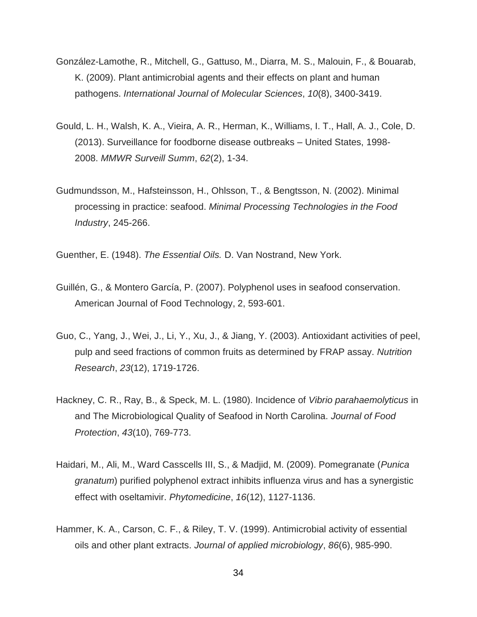- González-Lamothe, R., Mitchell, G., Gattuso, M., Diarra, M. S., Malouin, F., & Bouarab, K. (2009). Plant antimicrobial agents and their effects on plant and human pathogens. *International Journal of Molecular Sciences*, *10*(8), 3400-3419.
- Gould, L. H., Walsh, K. A., Vieira, A. R., Herman, K., Williams, I. T., Hall, A. J., Cole, D. (2013). Surveillance for foodborne disease outbreaks – United States, 1998- 2008. *MMWR Surveill Summ*, *62*(2), 1-34.
- Gudmundsson, M., Hafsteinsson, H., Ohlsson, T., & Bengtsson, N. (2002). Minimal processing in practice: seafood. *Minimal Processing Technologies in the Food Industry*, 245-266.

Guenther, E. (1948). *The Essential Oils.* D. Van Nostrand, New York.

- Guillén, G., & Montero García, P. (2007). Polyphenol uses in seafood conservation. American Journal of Food Technology, 2, 593-601.
- Guo, C., Yang, J., Wei, J., Li, Y., Xu, J., & Jiang, Y. (2003). Antioxidant activities of peel, pulp and seed fractions of common fruits as determined by FRAP assay. *Nutrition Research*, *23*(12), 1719-1726.
- Hackney, C. R., Ray, B., & Speck, M. L. (1980). Incidence of *Vibrio parahaemolyticus* in and The Microbiological Quality of Seafood in North Carolina. *Journal of Food Protection*, *43*(10), 769-773.
- Haidari, M., Ali, M., Ward Casscells III, S., & Madjid, M. (2009). Pomegranate (*Punica granatum*) purified polyphenol extract inhibits influenza virus and has a synergistic effect with oseltamivir. *Phytomedicine*, *16*(12), 1127-1136.
- Hammer, K. A., Carson, C. F., & Riley, T. V. (1999). Antimicrobial activity of essential oils and other plant extracts. *Journal of applied microbiology*, *86*(6), 985-990.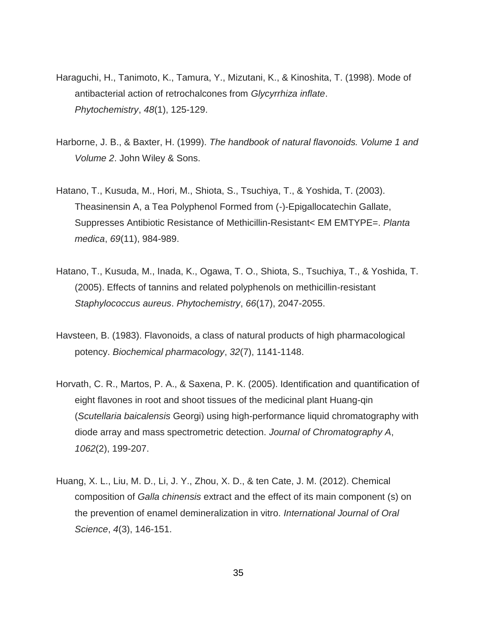- Haraguchi, H., Tanimoto, K., Tamura, Y., Mizutani, K., & Kinoshita, T. (1998). Mode of antibacterial action of retrochalcones from *Glycyrrhiza inflate*. *Phytochemistry*, *48*(1), 125-129.
- Harborne, J. B., & Baxter, H. (1999). *The handbook of natural flavonoids. Volume 1 and Volume 2*. John Wiley & Sons.
- Hatano, T., Kusuda, M., Hori, M., Shiota, S., Tsuchiya, T., & Yoshida, T. (2003). Theasinensin A, a Tea Polyphenol Formed from (-)-Epigallocatechin Gallate, Suppresses Antibiotic Resistance of Methicillin-Resistant< EM EMTYPE=. *Planta medica*, *69*(11), 984-989.
- Hatano, T., Kusuda, M., Inada, K., Ogawa, T. O., Shiota, S., Tsuchiya, T., & Yoshida, T. (2005). Effects of tannins and related polyphenols on methicillin-resistant *Staphylococcus aureus*. *Phytochemistry*, *66*(17), 2047-2055.
- Havsteen, B. (1983). Flavonoids, a class of natural products of high pharmacological potency. *Biochemical pharmacology*, *32*(7), 1141-1148.
- Horvath, C. R., Martos, P. A., & Saxena, P. K. (2005). Identification and quantification of eight flavones in root and shoot tissues of the medicinal plant Huang-qin (*Scutellaria baicalensis* Georgi) using high-performance liquid chromatography with diode array and mass spectrometric detection. *Journal of Chromatography A*, *1062*(2), 199-207.
- Huang, X. L., Liu, M. D., Li, J. Y., Zhou, X. D., & ten Cate, J. M. (2012). Chemical composition of *Galla chinensis* extract and the effect of its main component (s) on the prevention of enamel demineralization in vitro. *International Journal of Oral Science*, *4*(3), 146-151.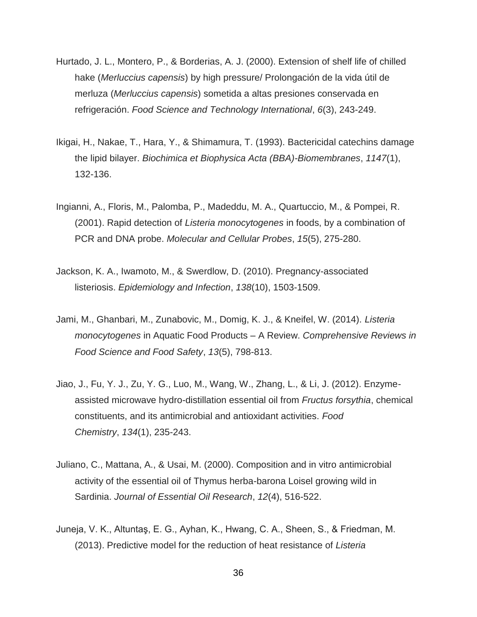- Hurtado, J. L., Montero, P., & Borderias, A. J. (2000). Extension of shelf life of chilled hake (*Merluccius capensis*) by high pressure/ Prolongación de la vida útil de merluza (*Merluccius capensis*) sometida a altas presiones conservada en refrigeración. *Food Science and Technology International*, *6*(3), 243-249.
- Ikigai, H., Nakae, T., Hara, Y., & Shimamura, T. (1993). Bactericidal catechins damage the lipid bilayer. *Biochimica et Biophysica Acta (BBA)-Biomembranes*, *1147*(1), 132-136.
- Ingianni, A., Floris, M., Palomba, P., Madeddu, M. A., Quartuccio, M., & Pompei, R. (2001). Rapid detection of *Listeria monocytogenes* in foods, by a combination of PCR and DNA probe. *Molecular and Cellular Probes*, *15*(5), 275-280.
- Jackson, K. A., Iwamoto, M., & Swerdlow, D. (2010). Pregnancy-associated listeriosis. *Epidemiology and Infection*, *138*(10), 1503-1509.
- Jami, M., Ghanbari, M., Zunabovic, M., Domig, K. J., & Kneifel, W. (2014). *Listeria monocytogenes* in Aquatic Food Products – A Review. *Comprehensive Reviews in Food Science and Food Safety*, *13*(5), 798-813.
- Jiao, J., Fu, Y. J., Zu, Y. G., Luo, M., Wang, W., Zhang, L., & Li, J. (2012). Enzymeassisted microwave hydro-distillation essential oil from *Fructus forsythia*, chemical constituents, and its antimicrobial and antioxidant activities. *Food Chemistry*, *134*(1), 235-243.
- Juliano, C., Mattana, A., & Usai, M. (2000). Composition and in vitro antimicrobial activity of the essential oil of Thymus herba-barona Loisel growing wild in Sardinia. *Journal of Essential Oil Research*, *12*(4), 516-522.
- Juneja, V. K., Altuntaş, E. G., Ayhan, K., Hwang, C. A., Sheen, S., & Friedman, M. (2013). Predictive model for the reduction of heat resistance of *Listeria*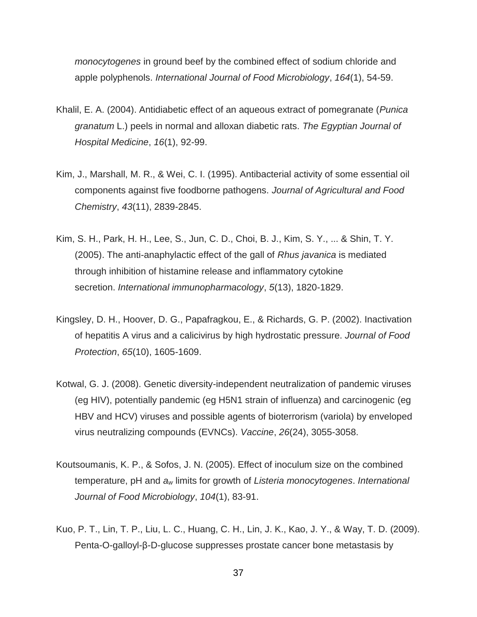*monocytogenes* in ground beef by the combined effect of sodium chloride and apple polyphenols. *International Journal of Food Microbiology*, *164*(1), 54-59.

- Khalil, E. A. (2004). Antidiabetic effect of an aqueous extract of pomegranate (*Punica granatum* L.) peels in normal and alloxan diabetic rats. *The Egyptian Journal of Hospital Medicine*, *16*(1), 92-99.
- Kim, J., Marshall, M. R., & Wei, C. I. (1995). Antibacterial activity of some essential oil components against five foodborne pathogens. *Journal of Agricultural and Food Chemistry*, *43*(11), 2839-2845.
- Kim, S. H., Park, H. H., Lee, S., Jun, C. D., Choi, B. J., Kim, S. Y., ... & Shin, T. Y. (2005). The anti-anaphylactic effect of the gall of *Rhus javanica* is mediated through inhibition of histamine release and inflammatory cytokine secretion. *International immunopharmacology*, *5*(13), 1820-1829.
- Kingsley, D. H., Hoover, D. G., Papafragkou, E., & Richards, G. P. (2002). Inactivation of hepatitis A virus and a calicivirus by high hydrostatic pressure. *Journal of Food Protection*, *65*(10), 1605-1609.
- Kotwal, G. J. (2008). Genetic diversity-independent neutralization of pandemic viruses (eg HIV), potentially pandemic (eg H5N1 strain of influenza) and carcinogenic (eg HBV and HCV) viruses and possible agents of bioterrorism (variola) by enveloped virus neutralizing compounds (EVNCs). *Vaccine*, *26*(24), 3055-3058.
- Koutsoumanis, K. P., & Sofos, J. N. (2005). Effect of inoculum size on the combined temperature, pH and *a<sup>w</sup>* limits for growth of *Listeria monocytogenes*. *International Journal of Food Microbiology*, *104*(1), 83-91.
- Kuo, P. T., Lin, T. P., Liu, L. C., Huang, C. H., Lin, J. K., Kao, J. Y., & Way, T. D. (2009). Penta-O-galloyl-β-D-glucose suppresses prostate cancer bone metastasis by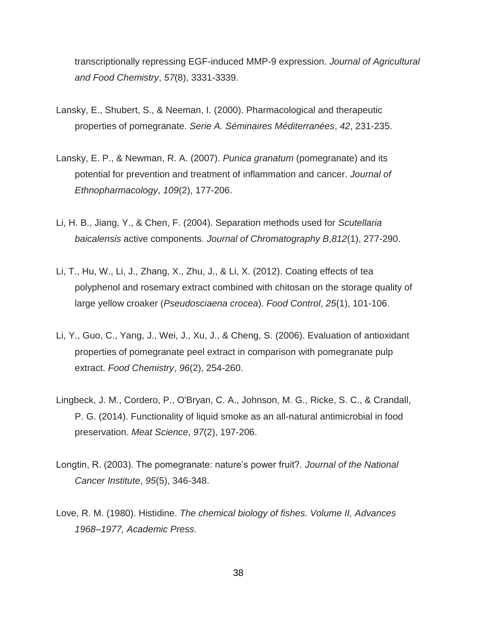transcriptionally repressing EGF-induced MMP-9 expression. *Journal of Agricultural and Food Chemistry*, *57*(8), 3331-3339.

- Lansky, E., Shubert, S., & Neeman, I. (2000). Pharmacological and therapeutic properties of pomegranate. *Serie A. Séminaires Méditerranées*, *42*, 231-235.
- Lansky, E. P., & Newman, R. A. (2007). *Punica granatum* (pomegranate) and its potential for prevention and treatment of inflammation and cancer. *Journal of Ethnopharmacology*, *109*(2), 177-206.
- Li, H. B., Jiang, Y., & Chen, F. (2004). Separation methods used for *Scutellaria baicalensis* active components. *Journal of Chromatography B*,*812*(1), 277-290.
- Li, T., Hu, W., Li, J., Zhang, X., Zhu, J., & Li, X. (2012). Coating effects of tea polyphenol and rosemary extract combined with chitosan on the storage quality of large yellow croaker (*Pseudosciaena crocea*). *Food Control*, *25*(1), 101-106.
- Li, Y., Guo, C., Yang, J., Wei, J., Xu, J., & Cheng, S. (2006). Evaluation of antioxidant properties of pomegranate peel extract in comparison with pomegranate pulp extract. *Food Chemistry*, *96*(2), 254-260.
- Lingbeck, J. M., Cordero, P., O'Bryan, C. A., Johnson, M. G., Ricke, S. C., & Crandall, P. G. (2014). Functionality of liquid smoke as an all-natural antimicrobial in food preservation. *Meat Science*, *97*(2), 197-206.
- Longtin, R. (2003). The pomegranate: nature's power fruit?. *Journal of the National Cancer Institute*, *95*(5), 346-348.
- Love, R. M. (1980). Histidine. *The chemical biology of fishes. Volume II, Advances 1968–1977, Academic Press.*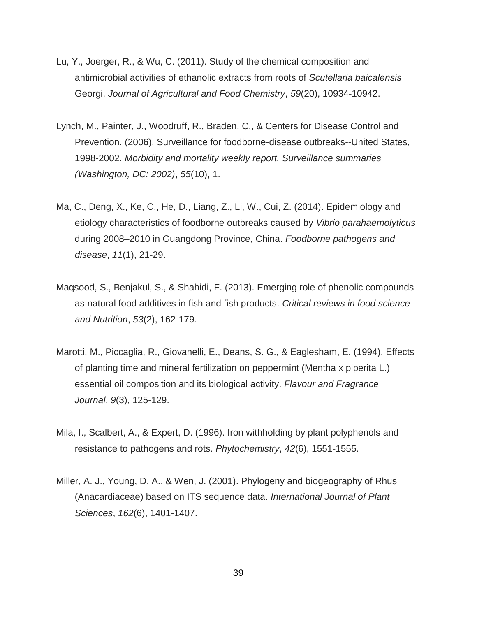- Lu, Y., Joerger, R., & Wu, C. (2011). Study of the chemical composition and antimicrobial activities of ethanolic extracts from roots of *Scutellaria baicalensis* Georgi. *Journal of Agricultural and Food Chemistry*, *59*(20), 10934-10942.
- Lynch, M., Painter, J., Woodruff, R., Braden, C., & Centers for Disease Control and Prevention. (2006). Surveillance for foodborne-disease outbreaks--United States, 1998-2002. *Morbidity and mortality weekly report. Surveillance summaries (Washington, DC: 2002)*, *55*(10), 1.
- Ma, C., Deng, X., Ke, C., He, D., Liang, Z., Li, W., Cui, Z. (2014). Epidemiology and etiology characteristics of foodborne outbreaks caused by *Vibrio parahaemolyticus* during 2008–2010 in Guangdong Province, China. *Foodborne pathogens and disease*, *11*(1), 21-29.
- Maqsood, S., Benjakul, S., & Shahidi, F. (2013). Emerging role of phenolic compounds as natural food additives in fish and fish products. *Critical reviews in food science and Nutrition*, *53*(2), 162-179.
- Marotti, M., Piccaglia, R., Giovanelli, E., Deans, S. G., & Eaglesham, E. (1994). Effects of planting time and mineral fertilization on peppermint (Mentha x piperita L.) essential oil composition and its biological activity. *Flavour and Fragrance Journal*, *9*(3), 125-129.
- Mila, I., Scalbert, A., & Expert, D. (1996). Iron withholding by plant polyphenols and resistance to pathogens and rots. *Phytochemistry*, *42*(6), 1551-1555.
- Miller, A. J., Young, D. A., & Wen, J. (2001). Phylogeny and biogeography of Rhus (Anacardiaceae) based on ITS sequence data. *International Journal of Plant Sciences*, *162*(6), 1401-1407.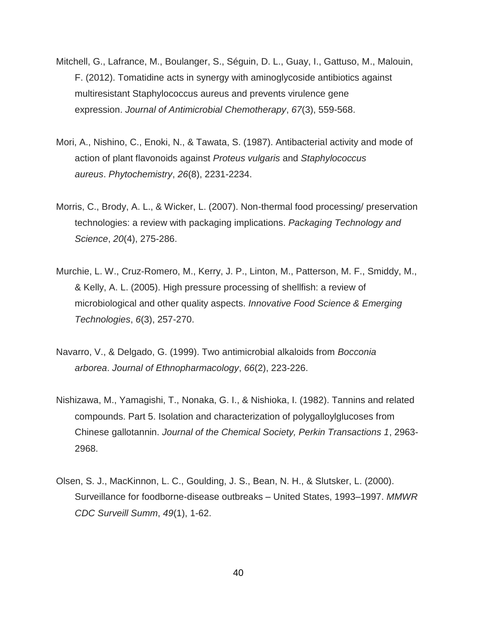- Mitchell, G., Lafrance, M., Boulanger, S., Séguin, D. L., Guay, I., Gattuso, M., Malouin, F. (2012). Tomatidine acts in synergy with aminoglycoside antibiotics against multiresistant Staphylococcus aureus and prevents virulence gene expression. *Journal of Antimicrobial Chemotherapy*, *67*(3), 559-568.
- Mori, A., Nishino, C., Enoki, N., & Tawata, S. (1987). Antibacterial activity and mode of action of plant flavonoids against *Proteus vulgaris* and *Staphylococcus aureus*. *Phytochemistry*, *26*(8), 2231-2234.
- Morris, C., Brody, A. L., & Wicker, L. (2007). Non-thermal food processing/ preservation technologies: a review with packaging implications. *Packaging Technology and Science*, *20*(4), 275-286.
- Murchie, L. W., Cruz-Romero, M., Kerry, J. P., Linton, M., Patterson, M. F., Smiddy, M., & Kelly, A. L. (2005). High pressure processing of shellfish: a review of microbiological and other quality aspects. *Innovative Food Science & Emerging Technologies*, *6*(3), 257-270.
- Navarro, V., & Delgado, G. (1999). Two antimicrobial alkaloids from *Bocconia arborea*. *Journal of Ethnopharmacology*, *66*(2), 223-226.
- Nishizawa, M., Yamagishi, T., Nonaka, G. I., & Nishioka, I. (1982). Tannins and related compounds. Part 5. Isolation and characterization of polygalloylglucoses from Chinese gallotannin. *Journal of the Chemical Society, Perkin Transactions 1*, 2963- 2968.
- Olsen, S. J., MacKinnon, L. C., Goulding, J. S., Bean, N. H., & Slutsker, L. (2000). Surveillance for foodborne-disease outbreaks – United States, 1993–1997. *MMWR CDC Surveill Summ*, *49*(1), 1-62.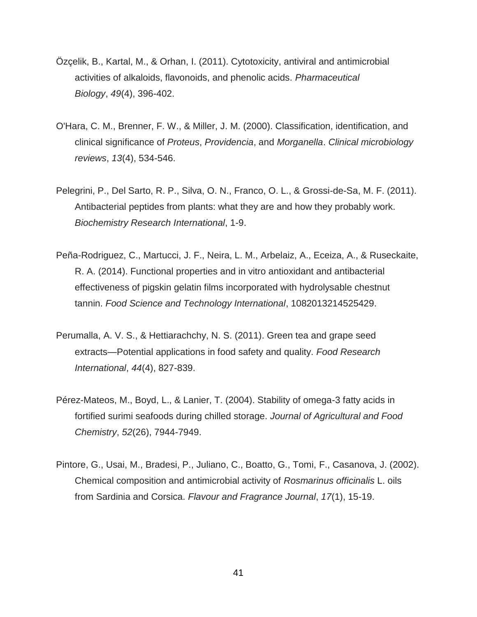- Özçelik, B., Kartal, M., & Orhan, I. (2011). Cytotoxicity, antiviral and antimicrobial activities of alkaloids, flavonoids, and phenolic acids. *Pharmaceutical Biology*, *49*(4), 396-402.
- O'Hara, C. M., Brenner, F. W., & Miller, J. M. (2000). Classification, identification, and clinical significance of *Proteus*, *Providencia*, and *Morganella*. *Clinical microbiology reviews*, *13*(4), 534-546.
- Pelegrini, P., Del Sarto, R. P., Silva, O. N., Franco, O. L., & Grossi-de-Sa, M. F. (2011). Antibacterial peptides from plants: what they are and how they probably work. *Biochemistry Research International*, 1-9.
- Peña-Rodriguez, C., Martucci, J. F., Neira, L. M., Arbelaiz, A., Eceiza, A., & Ruseckaite, R. A. (2014). Functional properties and in vitro antioxidant and antibacterial effectiveness of pigskin gelatin films incorporated with hydrolysable chestnut tannin. *Food Science and Technology International*, 1082013214525429.
- Perumalla, A. V. S., & Hettiarachchy, N. S. (2011). Green tea and grape seed extracts—Potential applications in food safety and quality. *Food Research International*, *44*(4), 827-839.
- Pérez-Mateos, M., Boyd, L., & Lanier, T. (2004). Stability of omega-3 fatty acids in fortified surimi seafoods during chilled storage. *Journal of Agricultural and Food Chemistry*, *52*(26), 7944-7949.
- Pintore, G., Usai, M., Bradesi, P., Juliano, C., Boatto, G., Tomi, F., Casanova, J. (2002). Chemical composition and antimicrobial activity of *Rosmarinus officinalis* L. oils from Sardinia and Corsica. *Flavour and Fragrance Journal*, *17*(1), 15-19.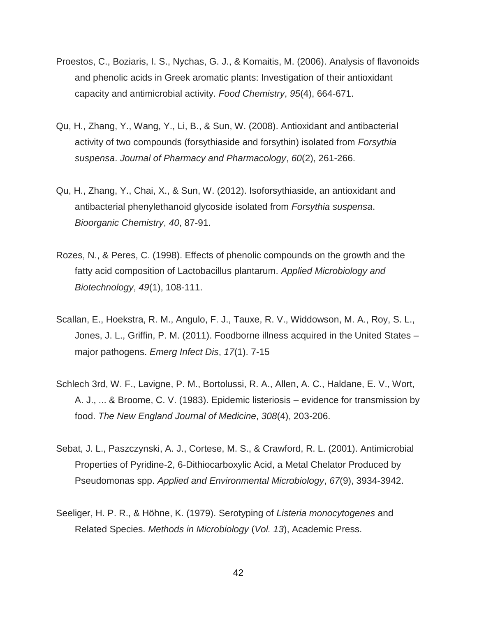- Proestos, C., Boziaris, I. S., Nychas, G. J., & Komaitis, M. (2006). Analysis of flavonoids and phenolic acids in Greek aromatic plants: Investigation of their antioxidant capacity and antimicrobial activity. *Food Chemistry*, *95*(4), 664-671.
- Qu, H., Zhang, Y., Wang, Y., Li, B., & Sun, W. (2008). Antioxidant and antibacterial activity of two compounds (forsythiaside and forsythin) isolated from *Forsythia suspensa*. *Journal of Pharmacy and Pharmacology*, *60*(2), 261-266.
- Qu, H., Zhang, Y., Chai, X., & Sun, W. (2012). Isoforsythiaside, an antioxidant and antibacterial phenylethanoid glycoside isolated from *Forsythia suspensa*. *Bioorganic Chemistry*, *40*, 87-91.
- Rozes, N., & Peres, C. (1998). Effects of phenolic compounds on the growth and the fatty acid composition of Lactobacillus plantarum. *Applied Microbiology and Biotechnology*, *49*(1), 108-111.
- Scallan, E., Hoekstra, R. M., Angulo, F. J., Tauxe, R. V., Widdowson, M. A., Roy, S. L., Jones, J. L., Griffin, P. M. (2011). Foodborne illness acquired in the United States – major pathogens. *Emerg Infect Dis*, *17*(1). 7-15
- Schlech 3rd, W. F., Lavigne, P. M., Bortolussi, R. A., Allen, A. C., Haldane, E. V., Wort, A. J., ... & Broome, C. V. (1983). Epidemic listeriosis – evidence for transmission by food. *The New England Journal of Medicine*, *308*(4), 203-206.
- Sebat, J. L., Paszczynski, A. J., Cortese, M. S., & Crawford, R. L. (2001). Antimicrobial Properties of Pyridine-2, 6-Dithiocarboxylic Acid, a Metal Chelator Produced by Pseudomonas spp. *Applied and Environmental Microbiology*, *67*(9), 3934-3942.
- Seeliger, H. P. R., & Höhne, K. (1979). Serotyping of *Listeria monocytogenes* and Related Species. *Methods in Microbiology* (*Vol. 13*), Academic Press.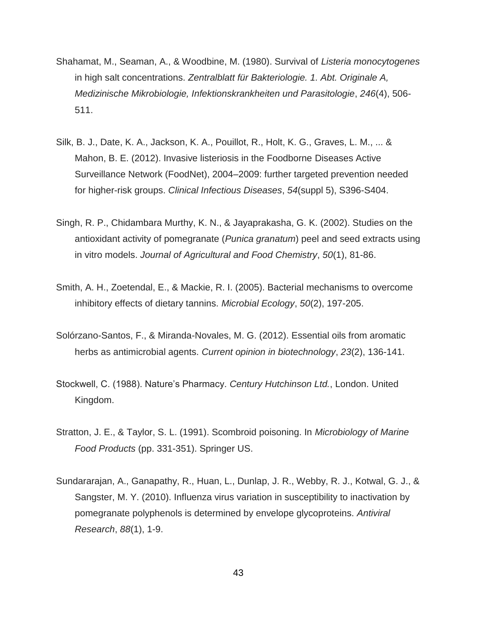- Shahamat, M., Seaman, A., & Woodbine, M. (1980). Survival of *Listeria monocytogenes*  in high salt concentrations. *Zentralblatt für Bakteriologie. 1. Abt. Originale A, Medizinische Mikrobiologie, Infektionskrankheiten und Parasitologie*, *246*(4), 506- 511.
- Silk, B. J., Date, K. A., Jackson, K. A., Pouillot, R., Holt, K. G., Graves, L. M., ... & Mahon, B. E. (2012). Invasive listeriosis in the Foodborne Diseases Active Surveillance Network (FoodNet), 2004–2009: further targeted prevention needed for higher-risk groups. *Clinical Infectious Diseases*, *54*(suppl 5), S396-S404.
- Singh, R. P., Chidambara Murthy, K. N., & Jayaprakasha, G. K. (2002). Studies on the antioxidant activity of pomegranate (*Punica granatum*) peel and seed extracts using in vitro models. *Journal of Agricultural and Food Chemistry*, *50*(1), 81-86.
- Smith, A. H., Zoetendal, E., & Mackie, R. I. (2005). Bacterial mechanisms to overcome inhibitory effects of dietary tannins. *Microbial Ecology*, *50*(2), 197-205.
- Solórzano-Santos, F., & Miranda-Novales, M. G. (2012). Essential oils from aromatic herbs as antimicrobial agents. *Current opinion in biotechnology*, *23*(2), 136-141.
- Stockwell, C. (1988). Nature's Pharmacy. *Century Hutchinson Ltd.*, London. United Kingdom.
- Stratton, J. E., & Taylor, S. L. (1991). Scombroid poisoning. In *Microbiology of Marine Food Products* (pp. 331-351). Springer US.
- Sundararajan, A., Ganapathy, R., Huan, L., Dunlap, J. R., Webby, R. J., Kotwal, G. J., & Sangster, M. Y. (2010). Influenza virus variation in susceptibility to inactivation by pomegranate polyphenols is determined by envelope glycoproteins. *Antiviral Research*, *88*(1), 1-9.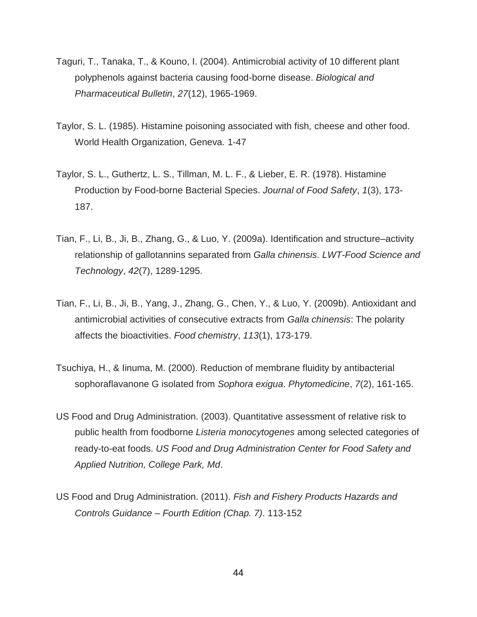- Taguri, T., Tanaka, T., & Kouno, I. (2004). Antimicrobial activity of 10 different plant polyphenols against bacteria causing food-borne disease. *Biological and Pharmaceutical Bulletin*, *27*(12), 1965-1969.
- Taylor, S. L. (1985). Histamine poisoning associated with fish, cheese and other food. World Health Organization, Geneva. 1-47
- Taylor, S. L., Guthertz, L. S., Tillman, M. L. F., & Lieber, E. R. (1978). Histamine Production by Food-borne Bacterial Species. *Journal of Food Safety*, *1*(3), 173- 187.
- Tian, F., Li, B., Ji, B., Zhang, G., & Luo, Y. (2009a). Identification and structure–activity relationship of gallotannins separated from *Galla chinensis*. *LWT-Food Science and Technology*, *42*(7), 1289-1295.
- Tian, F., Li, B., Ji, B., Yang, J., Zhang, G., Chen, Y., & Luo, Y. (2009b). Antioxidant and antimicrobial activities of consecutive extracts from *Galla chinensis*: The polarity affects the bioactivities. *Food chemistry*, *113*(1), 173-179.
- Tsuchiya, H., & Iinuma, M. (2000). Reduction of membrane fluidity by antibacterial sophoraflavanone G isolated from *Sophora exigua*. *Phytomedicine*, *7*(2), 161-165.
- US Food and Drug Administration. (2003). Quantitative assessment of relative risk to public health from foodborne *Listeria monocytogenes* among selected categories of ready-to-eat foods. *US Food and Drug Administration Center for Food Safety and Applied Nutrition, College Park, Md*.
- US Food and Drug Administration. (2011). *Fish and Fishery Products Hazards and Controls Guidance – Fourth Edition (Chap. 7)*. 113-152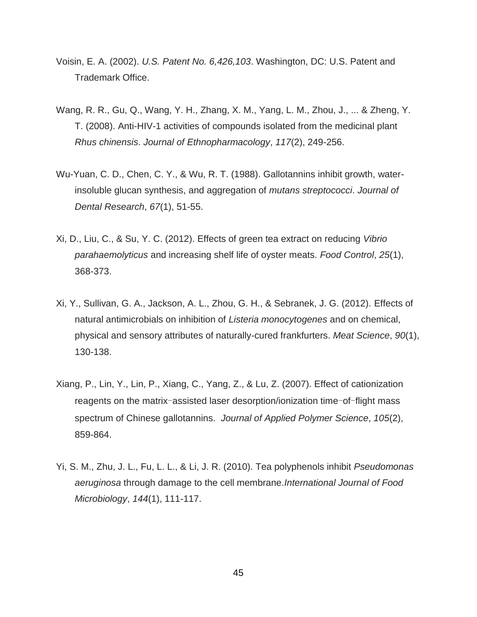- Voisin, E. A. (2002). *U.S. Patent No. 6,426,103*. Washington, DC: U.S. Patent and Trademark Office.
- Wang, R. R., Gu, Q., Wang, Y. H., Zhang, X. M., Yang, L. M., Zhou, J., ... & Zheng, Y. T. (2008). Anti-HIV-1 activities of compounds isolated from the medicinal plant *Rhus chinensis*. *Journal of Ethnopharmacology*, *117*(2), 249-256.
- Wu-Yuan, C. D., Chen, C. Y., & Wu, R. T. (1988). Gallotannins inhibit growth, waterinsoluble glucan synthesis, and aggregation of *mutans streptococci*. *Journal of Dental Research*, *67*(1), 51-55.
- Xi, D., Liu, C., & Su, Y. C. (2012). Effects of green tea extract on reducing *Vibrio parahaemolyticus* and increasing shelf life of oyster meats. *Food Control*, *25*(1), 368-373.
- Xi, Y., Sullivan, G. A., Jackson, A. L., Zhou, G. H., & Sebranek, J. G. (2012). Effects of natural antimicrobials on inhibition of *Listeria monocytogenes* and on chemical, physical and sensory attributes of naturally-cured frankfurters. *Meat Science*, *90*(1), 130-138.
- Xiang, P., Lin, Y., Lin, P., Xiang, C., Yang, Z., & Lu, Z. (2007). Effect of cationization reagents on the matrix-assisted laser desorption/ionization time-of-flight mass spectrum of Chinese gallotannins. *Journal of Applied Polymer Science*, *105*(2), 859-864.
- Yi, S. M., Zhu, J. L., Fu, L. L., & Li, J. R. (2010). Tea polyphenols inhibit *Pseudomonas aeruginosa* through damage to the cell membrane.*International Journal of Food Microbiology*, *144*(1), 111-117.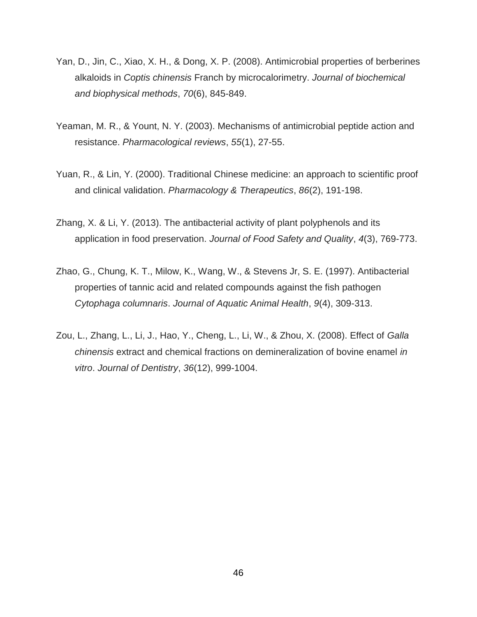- Yan, D., Jin, C., Xiao, X. H., & Dong, X. P. (2008). Antimicrobial properties of berberines alkaloids in *Coptis chinensis* Franch by microcalorimetry. *Journal of biochemical and biophysical methods*, *70*(6), 845-849.
- Yeaman, M. R., & Yount, N. Y. (2003). Mechanisms of antimicrobial peptide action and resistance. *Pharmacological reviews*, *55*(1), 27-55.
- Yuan, R., & Lin, Y. (2000). Traditional Chinese medicine: an approach to scientific proof and clinical validation. *Pharmacology & Therapeutics*, *86*(2), 191-198.
- Zhang, X. & Li, Y. (2013). The antibacterial activity of plant polyphenols and its application in food preservation. *Journal of Food Safety and Quality*, *4*(3), 769-773.
- Zhao, G., Chung, K. T., Milow, K., Wang, W., & Stevens Jr, S. E. (1997). Antibacterial properties of tannic acid and related compounds against the fish pathogen *Cytophaga columnaris*. *Journal of Aquatic Animal Health*, *9*(4), 309-313.
- Zou, L., Zhang, L., Li, J., Hao, Y., Cheng, L., Li, W., & Zhou, X. (2008). Effect of *Galla chinensis* extract and chemical fractions on demineralization of bovine enamel *in vitro*. *Journal of Dentistry*, *36*(12), 999-1004.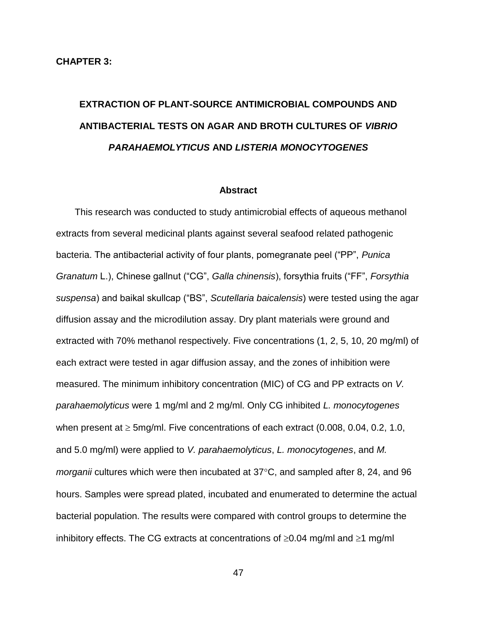# **EXTRACTION OF PLANT-SOURCE ANTIMICROBIAL COMPOUNDS AND ANTIBACTERIAL TESTS ON AGAR AND BROTH CULTURES OF** *VIBRIO PARAHAEMOLYTICUS* **AND** *LISTERIA MONOCYTOGENES*

#### **Abstract**

This research was conducted to study antimicrobial effects of aqueous methanol extracts from several medicinal plants against several seafood related pathogenic bacteria. The antibacterial activity of four plants, pomegranate peel ("PP", *Punica Granatum* L.), Chinese gallnut ("CG", *Galla chinensis*), forsythia fruits ("FF", *Forsythia suspensa*) and baikal skullcap ("BS", *Scutellaria baicalensis*) were tested using the agar diffusion assay and the microdilution assay. Dry plant materials were ground and extracted with 70% methanol respectively. Five concentrations (1, 2, 5, 10, 20 mg/ml) of each extract were tested in agar diffusion assay, and the zones of inhibition were measured. The minimum inhibitory concentration (MIC) of CG and PP extracts on *V. parahaemolyticus* were 1 mg/ml and 2 mg/ml. Only CG inhibited *L. monocytogenes* when present at  $\geq$  5mg/ml. Five concentrations of each extract (0.008, 0.04, 0.2, 1.0, and 5.0 mg/ml) were applied to *V. parahaemolyticus*, *L. monocytogenes*, and *M. morganii* cultures which were then incubated at 37<sup>o</sup>C, and sampled after 8, 24, and 96 hours. Samples were spread plated, incubated and enumerated to determine the actual bacterial population. The results were compared with control groups to determine the inhibitory effects. The CG extracts at concentrations of  $\geq 0.04$  mg/ml and  $\geq 1$  mg/ml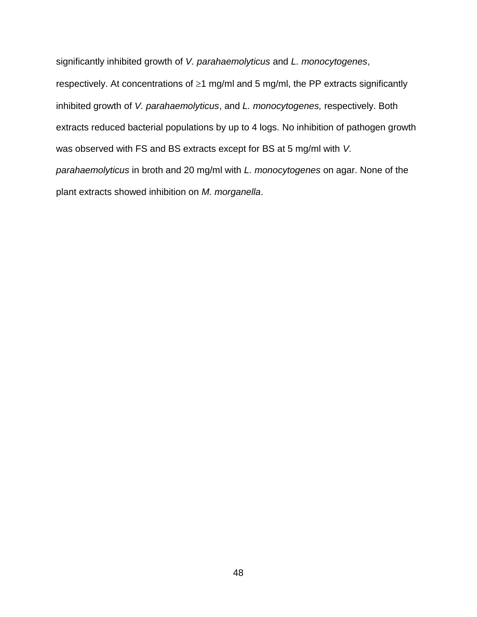significantly inhibited growth of *V. parahaemolyticus* and *L. monocytogenes*, respectively. At concentrations of  $\geq 1$  mg/ml and 5 mg/ml, the PP extracts significantly inhibited growth of *V. parahaemolyticus*, and *L. monocytogenes,* respectively. Both extracts reduced bacterial populations by up to 4 logs. No inhibition of pathogen growth was observed with FS and BS extracts except for BS at 5 mg/ml with *V. parahaemolyticus* in broth and 20 mg/ml with *L. monocytogenes* on agar. None of the plant extracts showed inhibition on *M. morganella*.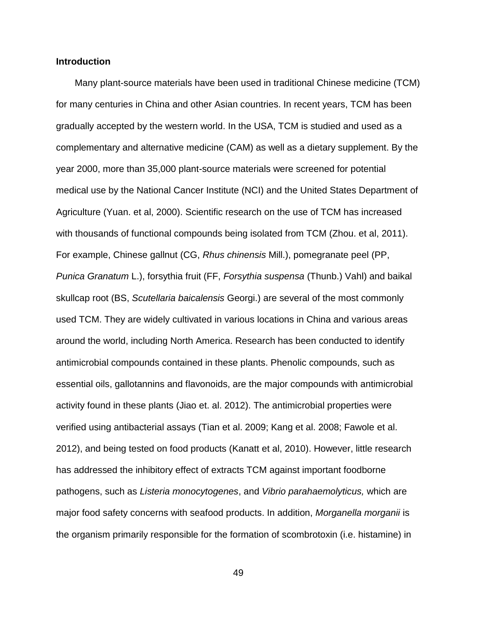# **Introduction**

Many plant-source materials have been used in traditional Chinese medicine (TCM) for many centuries in China and other Asian countries. In recent years, TCM has been gradually accepted by the western world. In the USA, TCM is studied and used as a complementary and alternative medicine (CAM) as well as a dietary supplement. By the year 2000, more than 35,000 plant-source materials were screened for potential medical use by the National Cancer Institute (NCI) and the United States Department of Agriculture (Yuan. et al, 2000). Scientific research on the use of TCM has increased with thousands of functional compounds being isolated from TCM (Zhou. et al, 2011). For example, Chinese gallnut (CG, *Rhus chinensis* Mill.), pomegranate peel (PP, *Punica Granatum* L.), forsythia fruit (FF, *Forsythia suspensa* (Thunb.) Vahl) and baikal skullcap root (BS, *Scutellaria baicalensis* Georgi.) are several of the most commonly used TCM. They are widely cultivated in various locations in China and various areas around the world, including North America. Research has been conducted to identify antimicrobial compounds contained in these plants. Phenolic compounds, such as essential oils, gallotannins and flavonoids, are the major compounds with antimicrobial activity found in these plants (Jiao et. al. 2012). The antimicrobial properties were verified using antibacterial assays (Tian et al. 2009; Kang et al. 2008; Fawole et al. 2012), and being tested on food products (Kanatt et al, 2010). However, little research has addressed the inhibitory effect of extracts TCM against important foodborne pathogens, such as *Listeria monocytogenes*, and *Vibrio parahaemolyticus,* which are major food safety concerns with seafood products. In addition, *Morganella morganii* is the organism primarily responsible for the formation of scombrotoxin (i.e. histamine) in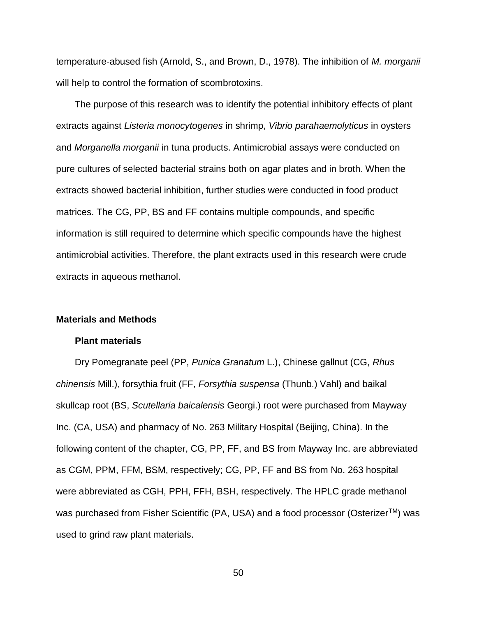temperature-abused fish (Arnold, S., and Brown, D., 1978). The inhibition of *M. morganii* will help to control the formation of scombrotoxins.

The purpose of this research was to identify the potential inhibitory effects of plant extracts against *Listeria monocytogenes* in shrimp, *Vibrio parahaemolyticus* in oysters and *Morganella morganii* in tuna products. Antimicrobial assays were conducted on pure cultures of selected bacterial strains both on agar plates and in broth. When the extracts showed bacterial inhibition, further studies were conducted in food product matrices. The CG, PP, BS and FF contains multiple compounds, and specific information is still required to determine which specific compounds have the highest antimicrobial activities. Therefore, the plant extracts used in this research were crude extracts in aqueous methanol.

### **Materials and Methods**

#### **Plant materials**

Dry Pomegranate peel (PP, *Punica Granatum* L.), Chinese gallnut (CG, *Rhus chinensis* Mill.), forsythia fruit (FF, *Forsythia suspensa* (Thunb.) Vahl) and baikal skullcap root (BS, *Scutellaria baicalensis* Georgi.) root were purchased from Mayway Inc. (CA, USA) and pharmacy of No. 263 Military Hospital (Beijing, China). In the following content of the chapter, CG, PP, FF, and BS from Mayway Inc. are abbreviated as CGM, PPM, FFM, BSM, respectively; CG, PP, FF and BS from No. 263 hospital were abbreviated as CGH, PPH, FFH, BSH, respectively. The HPLC grade methanol was purchased from Fisher Scientific (PA, USA) and a food processor (Osterizer<sup>™</sup>) was used to grind raw plant materials.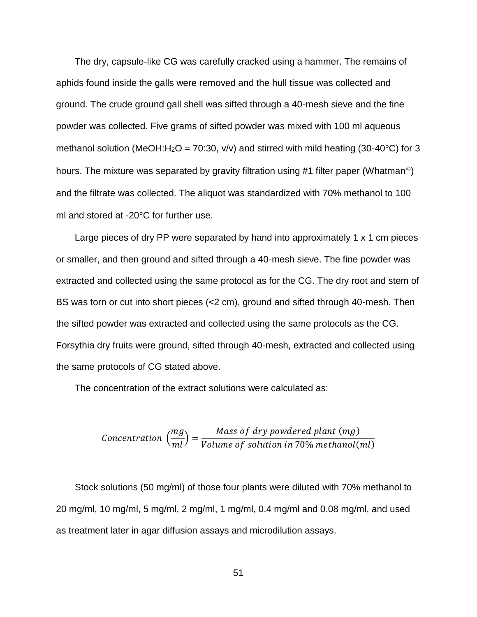The dry, capsule-like CG was carefully cracked using a hammer. The remains of aphids found inside the galls were removed and the hull tissue was collected and ground. The crude ground gall shell was sifted through a 40-mesh sieve and the fine powder was collected. Five grams of sifted powder was mixed with 100 ml aqueous methanol solution (MeOH:H<sub>2</sub>O = 70:30, v/v) and stirred with mild heating (30-40<sup>o</sup>C) for 3 hours. The mixture was separated by gravity filtration using #1 filter paper (Whatman<sup>®</sup>) and the filtrate was collected. The aliquot was standardized with 70% methanol to 100 ml and stored at -20 $\degree$ C for further use.

Large pieces of dry PP were separated by hand into approximately 1 x 1 cm pieces or smaller, and then ground and sifted through a 40-mesh sieve. The fine powder was extracted and collected using the same protocol as for the CG. The dry root and stem of BS was torn or cut into short pieces (<2 cm), ground and sifted through 40-mesh. Then the sifted powder was extracted and collected using the same protocols as the CG. Forsythia dry fruits were ground, sifted through 40-mesh, extracted and collected using the same protocols of CG stated above.

The concentration of the extract solutions were calculated as:

$$
Concentration\left(\frac{mg}{ml}\right) = \frac{Mass\ of\ dry\ powdered\ plant\ (mg)}{Volume\ of\ solution\ in\ 70\%\ methanol(ml)}
$$

Stock solutions (50 mg/ml) of those four plants were diluted with 70% methanol to 20 mg/ml, 10 mg/ml, 5 mg/ml, 2 mg/ml, 1 mg/ml, 0.4 mg/ml and 0.08 mg/ml, and used as treatment later in agar diffusion assays and microdilution assays.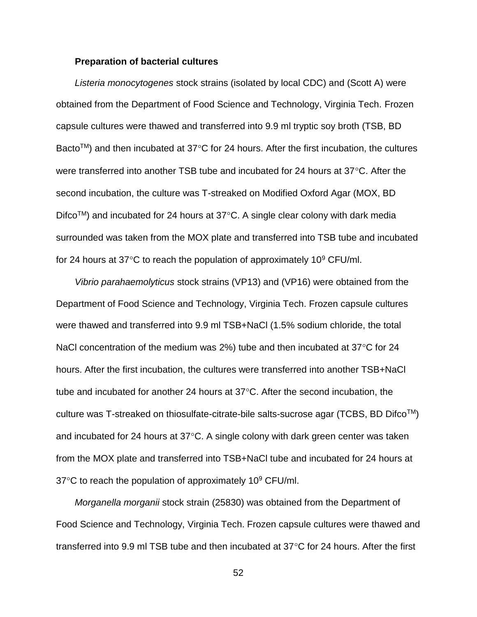# **Preparation of bacterial cultures**

*Listeria monocytogenes* stock strains (isolated by local CDC) and (Scott A) were obtained from the Department of Food Science and Technology, Virginia Tech. Frozen capsule cultures were thawed and transferred into 9.9 ml tryptic soy broth (TSB, BD Bacto<sup>TM</sup>) and then incubated at 37<sup>o</sup>C for 24 hours. After the first incubation, the cultures were transferred into another TSB tube and incubated for 24 hours at  $37^{\circ}$ C. After the second incubation, the culture was T-streaked on Modified Oxford Agar (MOX, BD  $Difco<sup>TM</sup>$  and incubated for 24 hours at 37 $^{\circ}$ C. A single clear colony with dark media surrounded was taken from the MOX plate and transferred into TSB tube and incubated for 24 hours at 37 $\degree$ C to reach the population of approximately 10 $\degree$  CFU/ml.

*Vibrio parahaemolyticus* stock strains (VP13) and (VP16) were obtained from the Department of Food Science and Technology, Virginia Tech. Frozen capsule cultures were thawed and transferred into 9.9 ml TSB+NaCl (1.5% sodium chloride, the total NaCl concentration of the medium was 2%) tube and then incubated at  $37^{\circ}$ C for 24 hours. After the first incubation, the cultures were transferred into another TSB+NaCl tube and incubated for another 24 hours at  $37^{\circ}$ C. After the second incubation, the culture was T-streaked on thiosulfate-citrate-bile salts-sucrose agar (TCBS, BD Difco<sup>TM</sup>) and incubated for 24 hours at  $37^{\circ}$ C. A single colony with dark green center was taken from the MOX plate and transferred into TSB+NaCl tube and incubated for 24 hours at  $37^{\circ}$ C to reach the population of approximately 10 $^{\circ}$  CFU/ml.

*Morganella morganii* stock strain (25830) was obtained from the Department of Food Science and Technology, Virginia Tech. Frozen capsule cultures were thawed and transferred into 9.9 ml TSB tube and then incubated at  $37^{\circ}$ C for 24 hours. After the first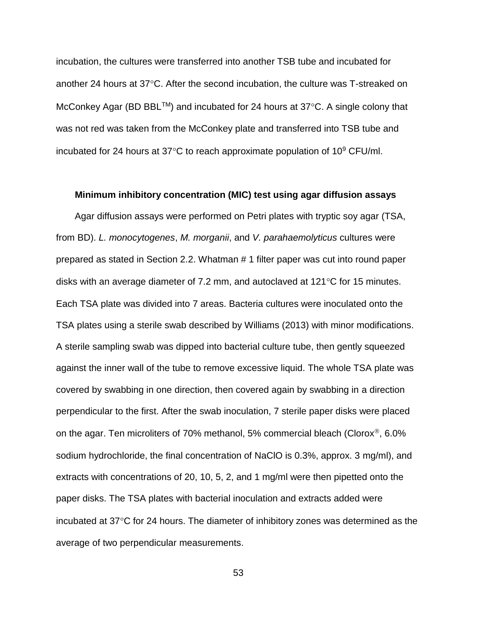incubation, the cultures were transferred into another TSB tube and incubated for another 24 hours at  $37^{\circ}$ C. After the second incubation, the culture was T-streaked on McConkey Agar (BD BBL<sup>TM</sup>) and incubated for 24 hours at  $37^{\circ}$ C. A single colony that was not red was taken from the McConkey plate and transferred into TSB tube and incubated for 24 hours at 37 $\degree$ C to reach approximate population of 10 $\degree$  CFU/ml.

# **Minimum inhibitory concentration (MIC) test using agar diffusion assays**

Agar diffusion assays were performed on Petri plates with tryptic soy agar (TSA, from BD). *L. monocytogenes*, *M. morganii*, and *V. parahaemolyticus* cultures were prepared as stated in Section 2.2. Whatman # 1 filter paper was cut into round paper disks with an average diameter of 7.2 mm, and autoclaved at  $121^{\circ}$ C for 15 minutes. Each TSA plate was divided into 7 areas. Bacteria cultures were inoculated onto the TSA plates using a sterile swab described by Williams (2013) with minor modifications. A sterile sampling swab was dipped into bacterial culture tube, then gently squeezed against the inner wall of the tube to remove excessive liquid. The whole TSA plate was covered by swabbing in one direction, then covered again by swabbing in a direction perpendicular to the first. After the swab inoculation, 7 sterile paper disks were placed on the agar. Ten microliters of 70% methanol, 5% commercial bleach (Clorox<sup>®</sup>, 6.0% sodium hydrochloride, the final concentration of NaClO is 0.3%, approx. 3 mg/ml), and extracts with concentrations of 20, 10, 5, 2, and 1 mg/ml were then pipetted onto the paper disks. The TSA plates with bacterial inoculation and extracts added were incubated at  $37^{\circ}$ C for 24 hours. The diameter of inhibitory zones was determined as the average of two perpendicular measurements.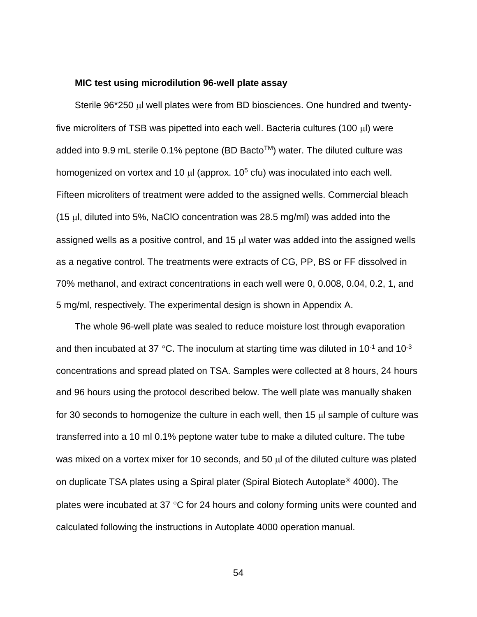## **MIC test using microdilution 96-well plate assay**

Sterile  $96*250$   $\mu$  well plates were from BD biosciences. One hundred and twentyfive microliters of TSB was pipetted into each well. Bacteria cultures (100  $\mu$ I) were added into 9.9 mL sterile 0.1% peptone (BD Bacto™) water. The diluted culture was homogenized on vortex and 10  $\mu$  (approx. 10<sup>5</sup> cfu) was inoculated into each well. Fifteen microliters of treatment were added to the assigned wells. Commercial bleach (15  $\mu$ l, diluted into 5%, NaClO concentration was 28.5 mg/ml) was added into the assigned wells as a positive control, and  $15 \mu l$  water was added into the assigned wells as a negative control. The treatments were extracts of CG, PP, BS or FF dissolved in 70% methanol, and extract concentrations in each well were 0, 0.008, 0.04, 0.2, 1, and 5 mg/ml, respectively. The experimental design is shown in Appendix A.

The whole 96-well plate was sealed to reduce moisture lost through evaporation and then incubated at 37 °C. The inoculum at starting time was diluted in 10<sup>-1</sup> and 10<sup>-3</sup> concentrations and spread plated on TSA. Samples were collected at 8 hours, 24 hours and 96 hours using the protocol described below. The well plate was manually shaken for 30 seconds to homogenize the culture in each well, then  $15 \mu$  sample of culture was transferred into a 10 ml 0.1% peptone water tube to make a diluted culture. The tube was mixed on a vortex mixer for 10 seconds, and 50  $\mu$  of the diluted culture was plated on duplicate TSA plates using a Spiral plater (Spiral Biotech Autoplate<sup>®</sup> 4000). The plates were incubated at 37  $\degree$ C for 24 hours and colony forming units were counted and calculated following the instructions in Autoplate 4000 operation manual.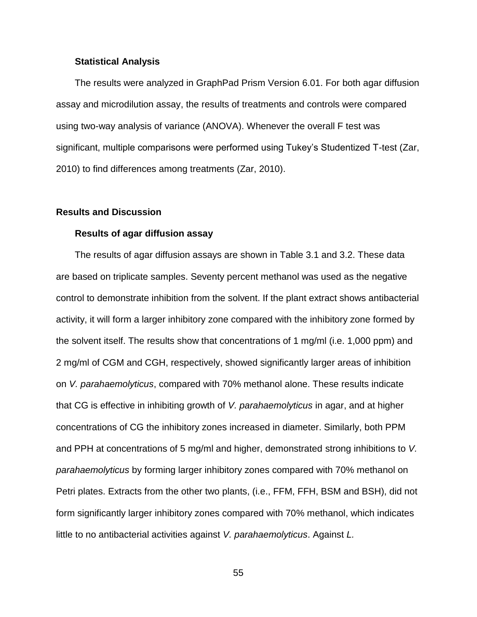## **Statistical Analysis**

The results were analyzed in GraphPad Prism Version 6.01. For both agar diffusion assay and microdilution assay, the results of treatments and controls were compared using two-way analysis of variance (ANOVA). Whenever the overall F test was significant, multiple comparisons were performed using Tukey's Studentized T-test (Zar, 2010) to find differences among treatments (Zar, 2010).

## **Results and Discussion**

## **Results of agar diffusion assay**

The results of agar diffusion assays are shown in Table 3.1 and 3.2. These data are based on triplicate samples. Seventy percent methanol was used as the negative control to demonstrate inhibition from the solvent. If the plant extract shows antibacterial activity, it will form a larger inhibitory zone compared with the inhibitory zone formed by the solvent itself. The results show that concentrations of 1 mg/ml (i.e. 1,000 ppm) and 2 mg/ml of CGM and CGH, respectively, showed significantly larger areas of inhibition on *V. parahaemolyticus*, compared with 70% methanol alone. These results indicate that CG is effective in inhibiting growth of *V. parahaemolyticus* in agar, and at higher concentrations of CG the inhibitory zones increased in diameter. Similarly, both PPM and PPH at concentrations of 5 mg/ml and higher, demonstrated strong inhibitions to *V. parahaemolyticus* by forming larger inhibitory zones compared with 70% methanol on Petri plates. Extracts from the other two plants, (i.e., FFM, FFH, BSM and BSH), did not form significantly larger inhibitory zones compared with 70% methanol, which indicates little to no antibacterial activities against *V. parahaemolyticus*. Against *L.*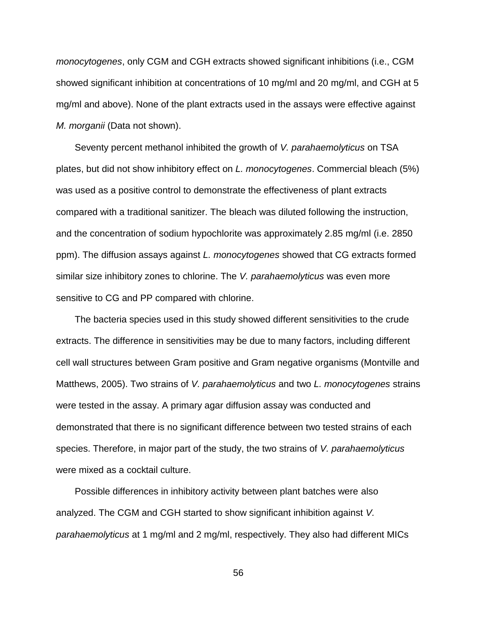*monocytogenes*, only CGM and CGH extracts showed significant inhibitions (i.e., CGM showed significant inhibition at concentrations of 10 mg/ml and 20 mg/ml, and CGH at 5 mg/ml and above). None of the plant extracts used in the assays were effective against *M. morganii* (Data not shown).

Seventy percent methanol inhibited the growth of *V. parahaemolyticus* on TSA plates, but did not show inhibitory effect on *L. monocytogenes*. Commercial bleach (5%) was used as a positive control to demonstrate the effectiveness of plant extracts compared with a traditional sanitizer. The bleach was diluted following the instruction, and the concentration of sodium hypochlorite was approximately 2.85 mg/ml (i.e. 2850 ppm). The diffusion assays against *L. monocytogenes* showed that CG extracts formed similar size inhibitory zones to chlorine. The *V. parahaemolyticus* was even more sensitive to CG and PP compared with chlorine.

The bacteria species used in this study showed different sensitivities to the crude extracts. The difference in sensitivities may be due to many factors, including different cell wall structures between Gram positive and Gram negative organisms (Montville and Matthews, 2005). Two strains of *V. parahaemolyticus* and two *L. monocytogenes* strains were tested in the assay. A primary agar diffusion assay was conducted and demonstrated that there is no significant difference between two tested strains of each species. Therefore, in major part of the study, the two strains of *V. parahaemolyticus* were mixed as a cocktail culture.

Possible differences in inhibitory activity between plant batches were also analyzed. The CGM and CGH started to show significant inhibition against *V. parahaemolyticus* at 1 mg/ml and 2 mg/ml, respectively. They also had different MICs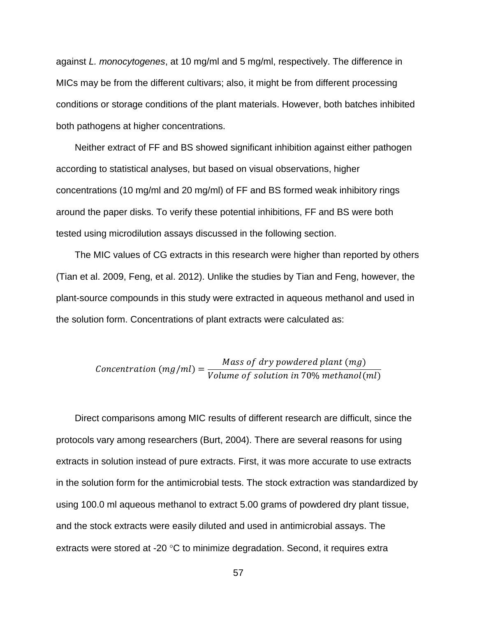against *L. monocytogenes*, at 10 mg/ml and 5 mg/ml, respectively. The difference in MICs may be from the different cultivars; also, it might be from different processing conditions or storage conditions of the plant materials. However, both batches inhibited both pathogens at higher concentrations.

Neither extract of FF and BS showed significant inhibition against either pathogen according to statistical analyses, but based on visual observations, higher concentrations (10 mg/ml and 20 mg/ml) of FF and BS formed weak inhibitory rings around the paper disks. To verify these potential inhibitions, FF and BS were both tested using microdilution assays discussed in the following section.

The MIC values of CG extracts in this research were higher than reported by others (Tian et al. 2009, Feng, et al. 2012). Unlike the studies by Tian and Feng, however, the plant-source compounds in this study were extracted in aqueous methanol and used in the solution form. Concentrations of plant extracts were calculated as:

$$
Concentration (mg/ml) = \frac{Mass\ of\ dry\ powdered\ plant\ (mg)}{Volume\ of\ solution\ in\ 70\%\ methanol(ml)}
$$

Direct comparisons among MIC results of different research are difficult, since the protocols vary among researchers (Burt, 2004). There are several reasons for using extracts in solution instead of pure extracts. First, it was more accurate to use extracts in the solution form for the antimicrobial tests. The stock extraction was standardized by using 100.0 ml aqueous methanol to extract 5.00 grams of powdered dry plant tissue, and the stock extracts were easily diluted and used in antimicrobial assays. The extracts were stored at -20 $\degree$ C to minimize degradation. Second, it requires extra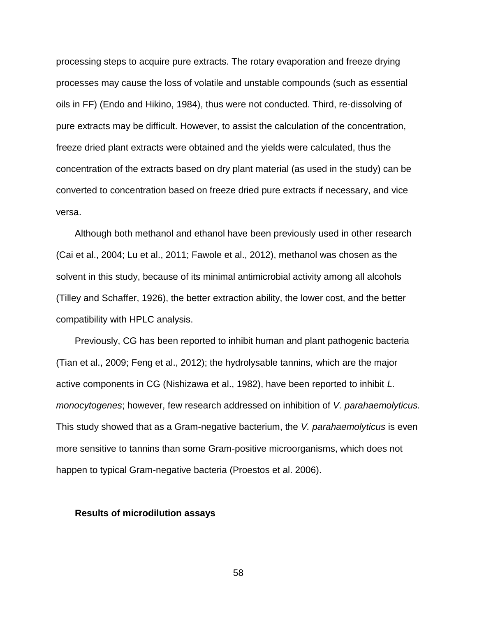processing steps to acquire pure extracts. The rotary evaporation and freeze drying processes may cause the loss of volatile and unstable compounds (such as essential oils in FF) (Endo and Hikino, 1984), thus were not conducted. Third, re-dissolving of pure extracts may be difficult. However, to assist the calculation of the concentration, freeze dried plant extracts were obtained and the yields were calculated, thus the concentration of the extracts based on dry plant material (as used in the study) can be converted to concentration based on freeze dried pure extracts if necessary, and vice versa.

Although both methanol and ethanol have been previously used in other research (Cai et al., 2004; Lu et al., 2011; Fawole et al., 2012), methanol was chosen as the solvent in this study, because of its minimal antimicrobial activity among all alcohols (Tilley and Schaffer, 1926), the better extraction ability, the lower cost, and the better compatibility with HPLC analysis.

Previously, CG has been reported to inhibit human and plant pathogenic bacteria (Tian et al., 2009; Feng et al., 2012); the hydrolysable tannins, which are the major active components in CG (Nishizawa et al., 1982), have been reported to inhibit *L. monocytogenes*; however, few research addressed on inhibition of *V. parahaemolyticus.* This study showed that as a Gram-negative bacterium, the *V. parahaemolyticus* is even more sensitive to tannins than some Gram-positive microorganisms, which does not happen to typical Gram-negative bacteria (Proestos et al. 2006).

## **Results of microdilution assays**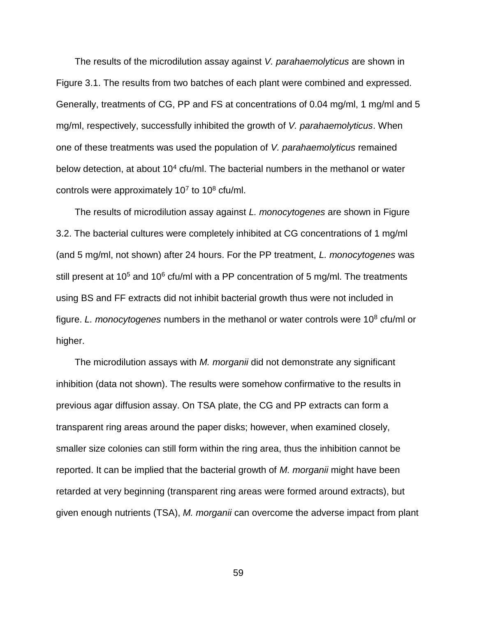The results of the microdilution assay against *V. parahaemolyticus* are shown in Figure 3.1. The results from two batches of each plant were combined and expressed. Generally, treatments of CG, PP and FS at concentrations of 0.04 mg/ml, 1 mg/ml and 5 mg/ml, respectively, successfully inhibited the growth of *V. parahaemolyticus*. When one of these treatments was used the population of *V. parahaemolyticus* remained below detection, at about  $10<sup>4</sup>$  cfu/ml. The bacterial numbers in the methanol or water controls were approximately 10<sup>7</sup> to 10<sup>8</sup> cfu/ml.

The results of microdilution assay against *L. monocytogenes* are shown in Figure 3.2. The bacterial cultures were completely inhibited at CG concentrations of 1 mg/ml (and 5 mg/ml, not shown) after 24 hours. For the PP treatment, *L. monocytogenes* was still present at  $10^5$  and  $10^6$  cfu/ml with a PP concentration of 5 mg/ml. The treatments using BS and FF extracts did not inhibit bacterial growth thus were not included in figure. *L. monocytogenes* numbers in the methanol or water controls were 10<sup>8</sup> cfu/ml or higher.

The microdilution assays with *M. morganii* did not demonstrate any significant inhibition (data not shown). The results were somehow confirmative to the results in previous agar diffusion assay. On TSA plate, the CG and PP extracts can form a transparent ring areas around the paper disks; however, when examined closely, smaller size colonies can still form within the ring area, thus the inhibition cannot be reported. It can be implied that the bacterial growth of *M. morganii* might have been retarded at very beginning (transparent ring areas were formed around extracts), but given enough nutrients (TSA), *M. morganii* can overcome the adverse impact from plant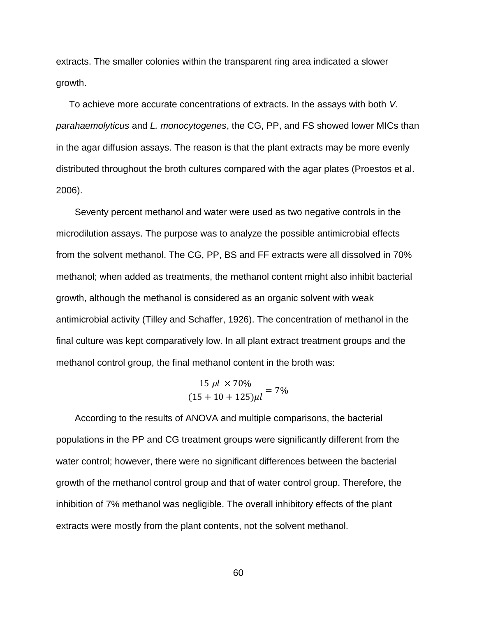extracts. The smaller colonies within the transparent ring area indicated a slower growth.

 To achieve more accurate concentrations of extracts. In the assays with both *V. parahaemolyticus* and *L. monocytogenes*, the CG, PP, and FS showed lower MICs than in the agar diffusion assays. The reason is that the plant extracts may be more evenly distributed throughout the broth cultures compared with the agar plates (Proestos et al. 2006).

Seventy percent methanol and water were used as two negative controls in the microdilution assays. The purpose was to analyze the possible antimicrobial effects from the solvent methanol. The CG, PP, BS and FF extracts were all dissolved in 70% methanol; when added as treatments, the methanol content might also inhibit bacterial growth, although the methanol is considered as an organic solvent with weak antimicrobial activity (Tilley and Schaffer, 1926). The concentration of methanol in the final culture was kept comparatively low. In all plant extract treatment groups and the methanol control group, the final methanol content in the broth was:

$$
\frac{15 \mu l \times 70\%}{(15 + 10 + 125)\mu l} = 7\%
$$

According to the results of ANOVA and multiple comparisons, the bacterial populations in the PP and CG treatment groups were significantly different from the water control; however, there were no significant differences between the bacterial growth of the methanol control group and that of water control group. Therefore, the inhibition of 7% methanol was negligible. The overall inhibitory effects of the plant extracts were mostly from the plant contents, not the solvent methanol.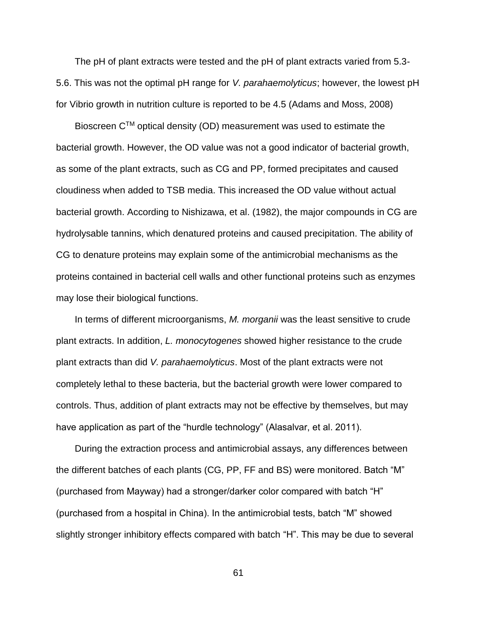The pH of plant extracts were tested and the pH of plant extracts varied from 5.3- 5.6. This was not the optimal pH range for *V. parahaemolyticus*; however, the lowest pH for Vibrio growth in nutrition culture is reported to be 4.5 (Adams and Moss, 2008)

Bioscreen  $C^{TM}$  optical density (OD) measurement was used to estimate the bacterial growth. However, the OD value was not a good indicator of bacterial growth, as some of the plant extracts, such as CG and PP, formed precipitates and caused cloudiness when added to TSB media. This increased the OD value without actual bacterial growth. According to Nishizawa, et al. (1982), the major compounds in CG are hydrolysable tannins, which denatured proteins and caused precipitation. The ability of CG to denature proteins may explain some of the antimicrobial mechanisms as the proteins contained in bacterial cell walls and other functional proteins such as enzymes may lose their biological functions.

In terms of different microorganisms, *M. morganii* was the least sensitive to crude plant extracts. In addition, *L. monocytogenes* showed higher resistance to the crude plant extracts than did *V. parahaemolyticus*. Most of the plant extracts were not completely lethal to these bacteria, but the bacterial growth were lower compared to controls. Thus, addition of plant extracts may not be effective by themselves, but may have application as part of the "hurdle technology" (Alasalvar, et al. 2011).

During the extraction process and antimicrobial assays, any differences between the different batches of each plants (CG, PP, FF and BS) were monitored. Batch "M" (purchased from Mayway) had a stronger/darker color compared with batch "H" (purchased from a hospital in China). In the antimicrobial tests, batch "M" showed slightly stronger inhibitory effects compared with batch "H". This may be due to several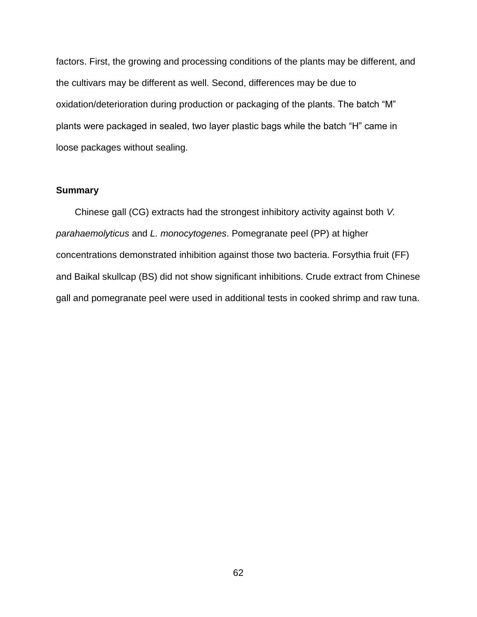factors. First, the growing and processing conditions of the plants may be different, and the cultivars may be different as well. Second, differences may be due to oxidation/deterioration during production or packaging of the plants. The batch "M" plants were packaged in sealed, two layer plastic bags while the batch "H" came in loose packages without sealing.

## **Summary**

Chinese gall (CG) extracts had the strongest inhibitory activity against both *V. parahaemolyticus* and *L. monocytogenes*. Pomegranate peel (PP) at higher concentrations demonstrated inhibition against those two bacteria. Forsythia fruit (FF) and Baikal skullcap (BS) did not show significant inhibitions. Crude extract from Chinese gall and pomegranate peel were used in additional tests in cooked shrimp and raw tuna.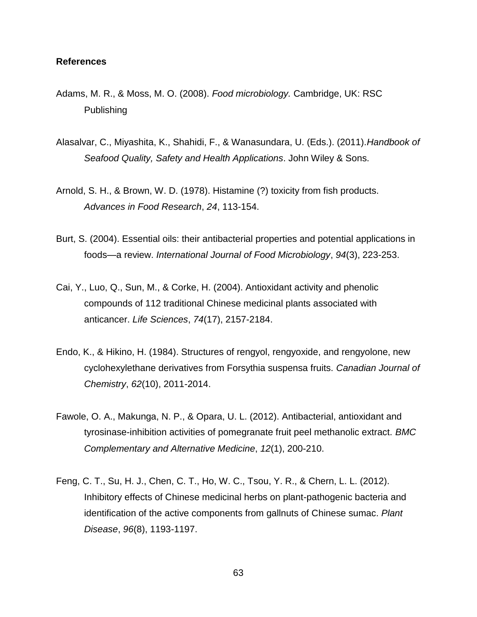#### **References**

- Adams, M. R., & Moss, M. O. (2008). *Food microbiology.* Cambridge, UK: RSC Publishing
- Alasalvar, C., Miyashita, K., Shahidi, F., & Wanasundara, U. (Eds.). (2011).*Handbook of Seafood Quality, Safety and Health Applications*. John Wiley & Sons.
- Arnold, S. H., & Brown, W. D. (1978). Histamine (?) toxicity from fish products. *Advances in Food Research*, *24*, 113-154.
- Burt, S. (2004). Essential oils: their antibacterial properties and potential applications in foods—a review. *International Journal of Food Microbiology*, *94*(3), 223-253.
- Cai, Y., Luo, Q., Sun, M., & Corke, H. (2004). Antioxidant activity and phenolic compounds of 112 traditional Chinese medicinal plants associated with anticancer. *Life Sciences*, *74*(17), 2157-2184.
- Endo, K., & Hikino, H. (1984). Structures of rengyol, rengyoxide, and rengyolone, new cyclohexylethane derivatives from Forsythia suspensa fruits. *Canadian Journal of Chemistry*, *62*(10), 2011-2014.
- Fawole, O. A., Makunga, N. P., & Opara, U. L. (2012). Antibacterial, antioxidant and tyrosinase-inhibition activities of pomegranate fruit peel methanolic extract. *BMC Complementary and Alternative Medicine*, *12*(1), 200-210.
- Feng, C. T., Su, H. J., Chen, C. T., Ho, W. C., Tsou, Y. R., & Chern, L. L. (2012). Inhibitory effects of Chinese medicinal herbs on plant-pathogenic bacteria and identification of the active components from gallnuts of Chinese sumac. *Plant Disease*, *96*(8), 1193-1197.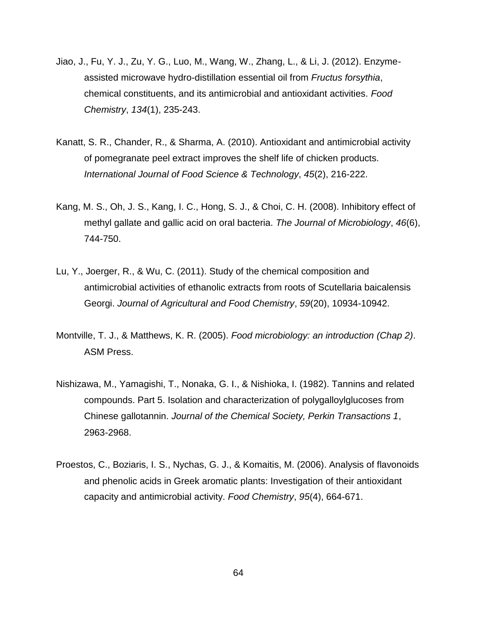- Jiao, J., Fu, Y. J., Zu, Y. G., Luo, M., Wang, W., Zhang, L., & Li, J. (2012). Enzymeassisted microwave hydro-distillation essential oil from *Fructus forsythia*, chemical constituents, and its antimicrobial and antioxidant activities. *Food Chemistry*, *134*(1), 235-243.
- Kanatt, S. R., Chander, R., & Sharma, A. (2010). Antioxidant and antimicrobial activity of pomegranate peel extract improves the shelf life of chicken products. *International Journal of Food Science & Technology*, *45*(2), 216-222.
- Kang, M. S., Oh, J. S., Kang, I. C., Hong, S. J., & Choi, C. H. (2008). Inhibitory effect of methyl gallate and gallic acid on oral bacteria. *The Journal of Microbiology*, *46*(6), 744-750.
- Lu, Y., Joerger, R., & Wu, C. (2011). Study of the chemical composition and antimicrobial activities of ethanolic extracts from roots of Scutellaria baicalensis Georgi. *Journal of Agricultural and Food Chemistry*, *59*(20), 10934-10942.
- Montville, T. J., & Matthews, K. R. (2005). *Food microbiology: an introduction (Chap 2)*. ASM Press.
- Nishizawa, M., Yamagishi, T., Nonaka, G. I., & Nishioka, I. (1982). Tannins and related compounds. Part 5. Isolation and characterization of polygalloylglucoses from Chinese gallotannin. *Journal of the Chemical Society, Perkin Transactions 1*, 2963-2968.
- Proestos, C., Boziaris, I. S., Nychas, G. J., & Komaitis, M. (2006). Analysis of flavonoids and phenolic acids in Greek aromatic plants: Investigation of their antioxidant capacity and antimicrobial activity. *Food Chemistry*, *95*(4), 664-671.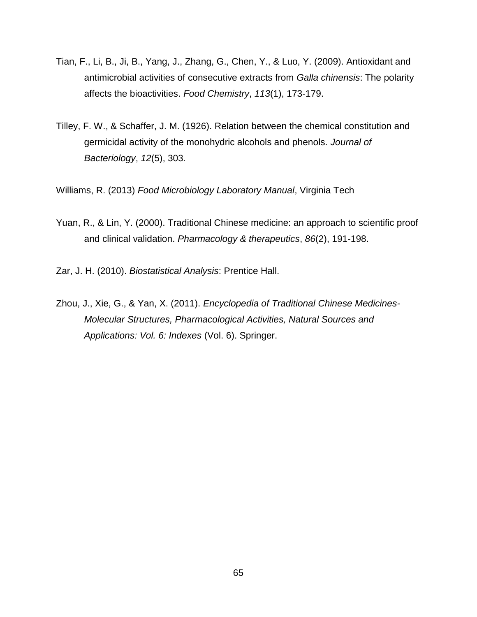- Tian, F., Li, B., Ji, B., Yang, J., Zhang, G., Chen, Y., & Luo, Y. (2009). Antioxidant and antimicrobial activities of consecutive extracts from *Galla chinensis*: The polarity affects the bioactivities. *Food Chemistry*, *113*(1), 173-179.
- Tilley, F. W., & Schaffer, J. M. (1926). Relation between the chemical constitution and germicidal activity of the monohydric alcohols and phenols. *Journal of Bacteriology*, *12*(5), 303.

Williams, R. (2013) *Food Microbiology Laboratory Manual*, Virginia Tech

Yuan, R., & Lin, Y. (2000). Traditional Chinese medicine: an approach to scientific proof and clinical validation. *Pharmacology & therapeutics*, *86*(2), 191-198.

Zar, J. H. (2010). *Biostatistical Analysis*: Prentice Hall.

Zhou, J., Xie, G., & Yan, X. (2011). *Encyclopedia of Traditional Chinese Medicines-Molecular Structures, Pharmacological Activities, Natural Sources and Applications: Vol. 6: Indexes* (Vol. 6). Springer.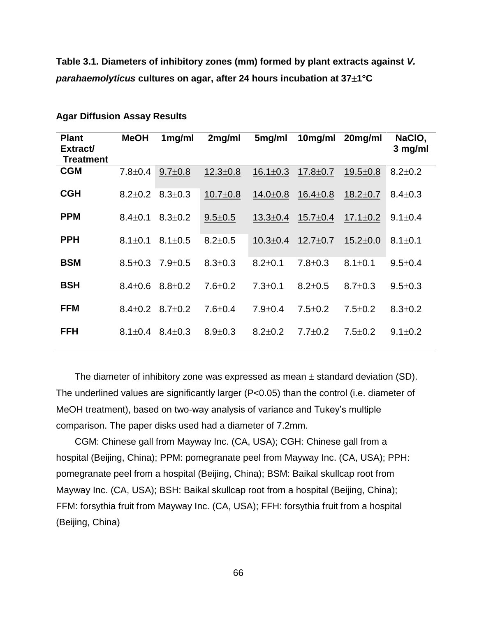**Table 3.1. Diameters of inhibitory zones (mm) formed by plant extracts against** *V. parahaemolyticus* **cultures on agar, after 24 hours incubation at 371C** 

| <b>Plant</b><br>Extract/<br><b>Treatment</b> | <b>MeOH</b>   | 1mg/ml        | 2mg/ml         | 5mg/ml         | $10$ mg/ml     | 20mg/ml        | NaCIO,<br>3 mg/ml |
|----------------------------------------------|---------------|---------------|----------------|----------------|----------------|----------------|-------------------|
| <b>CGM</b>                                   | $7.8 \pm 0.4$ | $9.7 \pm 0.8$ | $12.3 \pm 0.8$ | $16.1 \pm 0.3$ | $17.8 \pm 0.7$ | $19.5 \pm 0.8$ | $8.2 \pm 0.2$     |
| <b>CGH</b>                                   | $8.2 \pm 0.2$ | $8.3 \pm 0.3$ | $10.7 \pm 0.8$ | $14.0 \pm 0.8$ | $16.4 \pm 0.8$ | $18.2 \pm 0.7$ | $8.4 \pm 0.3$     |
| <b>PPM</b>                                   | $8.4 \pm 0.1$ | $8.3 \pm 0.2$ | $9.5 \pm 0.5$  | $13.3 \pm 0.4$ | $15.7 \pm 0.4$ | $17.1 \pm 0.2$ | $9.1 \pm 0.4$     |
| <b>PPH</b>                                   | $8.1 \pm 0.1$ | $8.1 \pm 0.5$ | $8.2 \pm 0.5$  | $10.3 \pm 0.4$ | $12.7 \pm 0.7$ | $15.2 \pm 0.0$ | $8.1 \pm 0.1$     |
| <b>BSM</b>                                   | $8.5 \pm 0.3$ | $7.9 \pm 0.5$ | $8.3 \pm 0.3$  | $8.2 \pm 0.1$  | $7.8 \pm 0.3$  | $8.1 \pm 0.1$  | $9.5 \pm 0.4$     |
| <b>BSH</b>                                   | $8.4 \pm 0.6$ | $8.8 \pm 0.2$ | $7.6 \pm 0.2$  | $7.3 \pm 0.1$  | $8.2 \pm 0.5$  | $8.7 \pm 0.3$  | $9.5 \pm 0.3$     |
| <b>FFM</b>                                   | $8.4 \pm 0.2$ | $8.7 + 0.2$   | $7.6 \pm 0.4$  | $7.9 \pm 0.4$  | $7.5 \pm 0.2$  | $7.5 \pm 0.2$  | $8.3 \pm 0.2$     |
| <b>FFH</b>                                   | $8.1 \pm 0.4$ | $8.4 \pm 0.3$ | $8.9 \pm 0.3$  | $8.2 \pm 0.2$  | $7.7 \pm 0.2$  | $7.5 \pm 0.2$  | $9.1 \pm 0.2$     |

**Agar Diffusion Assay Results**

The diameter of inhibitory zone was expressed as mean  $\pm$  standard deviation (SD). The underlined values are significantly larger (P<0.05) than the control (i.e. diameter of MeOH treatment), based on two-way analysis of variance and Tukey's multiple comparison. The paper disks used had a diameter of 7.2mm.

CGM: Chinese gall from Mayway Inc. (CA, USA); CGH: Chinese gall from a hospital (Beijing, China); PPM: pomegranate peel from Mayway Inc. (CA, USA); PPH: pomegranate peel from a hospital (Beijing, China); BSM: Baikal skullcap root from Mayway Inc. (CA, USA); BSH: Baikal skullcap root from a hospital (Beijing, China); FFM: forsythia fruit from Mayway Inc. (CA, USA); FFH: forsythia fruit from a hospital (Beijing, China)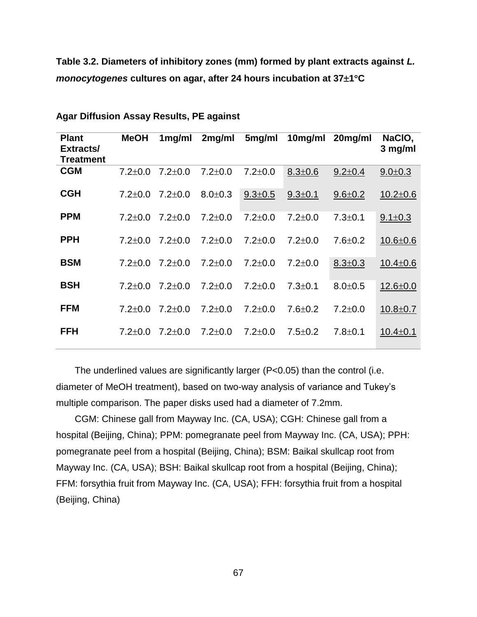**Table 3.2. Diameters of inhibitory zones (mm) formed by plant extracts against** *L. monocytogenes* **cultures on agar, after 24 hours incubation at 371C** 

| <b>Plant</b><br>Extracts/<br>Treatment | <b>MeOH</b>   | 1mg/ml        | $2$ mg/ml     | 5mg/ml        | 10mg/ml       | 20mg/ml       | NaCIO,<br>3 mg/ml |
|----------------------------------------|---------------|---------------|---------------|---------------|---------------|---------------|-------------------|
| <b>CGM</b>                             | $7.2 \pm 0.0$ | $7.2 \pm 0.0$ | $7.2 \pm 0.0$ | $7.2 \pm 0.0$ | $8.3 \pm 0.6$ | $9.2 \pm 0.4$ | $9.0 \pm 0.3$     |
| <b>CGH</b>                             | $7.2 \pm 0.0$ | $7.2 \pm 0.0$ | $8.0 + 0.3$   | $9.3 \pm 0.5$ | $9.3 \pm 0.1$ | $9.6 \pm 0.2$ | $10.2 \pm 0.6$    |
| <b>PPM</b>                             | $7.2 \pm 0.0$ | $7.2 \pm 0.0$ | $7.2 \pm 0.0$ | $7.2 \pm 0.0$ | $7.2 \pm 0.0$ | $7.3 \pm 0.1$ | $9.1 \pm 0.3$     |
| <b>PPH</b>                             | $7.2 \pm 0.0$ | $7.2 \pm 0.0$ | $7.2 \pm 0.0$ | $7.2 \pm 0.0$ | $7.2 \pm 0.0$ | $7.6 \pm 0.2$ | $10.6 \pm 0.6$    |
| <b>BSM</b>                             | $7.2 \pm 0.0$ | $7.2 \pm 0.0$ | $7.2 \pm 0.0$ | $7.2 \pm 0.0$ | $7.2 \pm 0.0$ | $8.3 \pm 0.3$ | $10.4 \pm 0.6$    |
| <b>BSH</b>                             | $7.2 \pm 0.0$ | $7.2 \pm 0.0$ | $7.2 \pm 0.0$ | $7.2 \pm 0.0$ | $7.3 \pm 0.1$ | $8.0 + 0.5$   | $12.6 \pm 0.0$    |
| <b>FFM</b>                             | $7.2 \pm 0.0$ | $7.2 \pm 0.0$ | $7.2 \pm 0.0$ | $7.2 \pm 0.0$ | $7.6 \pm 0.2$ | $7.2 \pm 0.0$ | $10.8 + 0.7$      |
| <b>FFH</b>                             | $7.2 \pm 0.0$ | $7.2 \pm 0.0$ | $7.2 \pm 0.0$ | $7.2 \pm 0.0$ | $7.5 \pm 0.2$ | $7.8 + 0.1$   | $10.4 \pm 0.1$    |
|                                        |               |               |               |               |               |               |                   |

**Agar Diffusion Assay Results, PE against** 

The underlined values are significantly larger (P<0.05) than the control (i.e. diameter of MeOH treatment), based on two-way analysis of variance and Tukey's multiple comparison. The paper disks used had a diameter of 7.2mm.

CGM: Chinese gall from Mayway Inc. (CA, USA); CGH: Chinese gall from a hospital (Beijing, China); PPM: pomegranate peel from Mayway Inc. (CA, USA); PPH: pomegranate peel from a hospital (Beijing, China); BSM: Baikal skullcap root from Mayway Inc. (CA, USA); BSH: Baikal skullcap root from a hospital (Beijing, China); FFM: forsythia fruit from Mayway Inc. (CA, USA); FFH: forsythia fruit from a hospital (Beijing, China)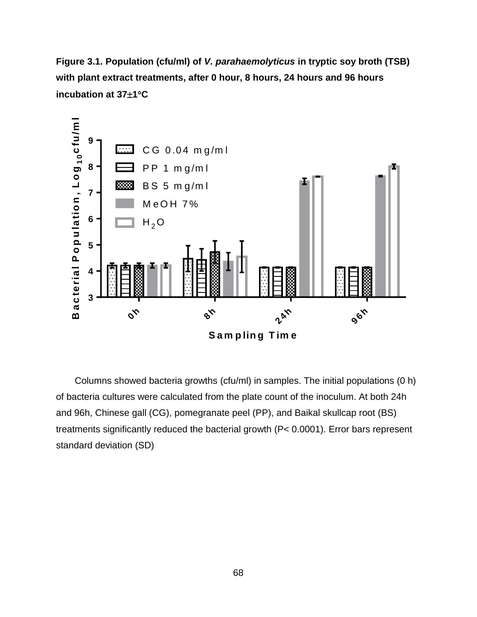**Figure 3.1. Population (cfu/ml) of** *V. parahaemolyticus* **in tryptic soy broth (TSB) with plant extract treatments, after 0 hour, 8 hours, 24 hours and 96 hours incubation at 371C**



Columns showed bacteria growths (cfu/ml) in samples. The initial populations (0 h) of bacteria cultures were calculated from the plate count of the inoculum. At both 24h and 96h, Chinese gall (CG), pomegranate peel (PP), and Baikal skullcap root (BS) treatments significantly reduced the bacterial growth (P< 0.0001). Error bars represent standard deviation (SD)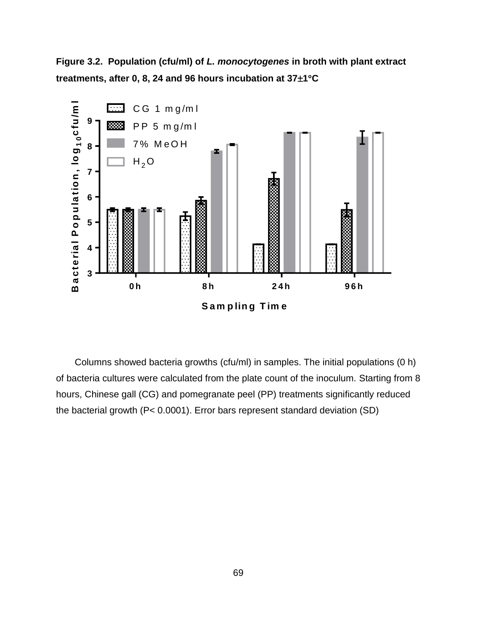**Figure 3.2. Population (cfu/ml) of** *L. monocytogenes* **in broth with plant extract treatments, after 0, 8, 24 and 96 hours incubation at 371C**



Columns showed bacteria growths (cfu/ml) in samples. The initial populations (0 h) of bacteria cultures were calculated from the plate count of the inoculum. Starting from 8 hours, Chinese gall (CG) and pomegranate peel (PP) treatments significantly reduced the bacterial growth (P< 0.0001). Error bars represent standard deviation (SD)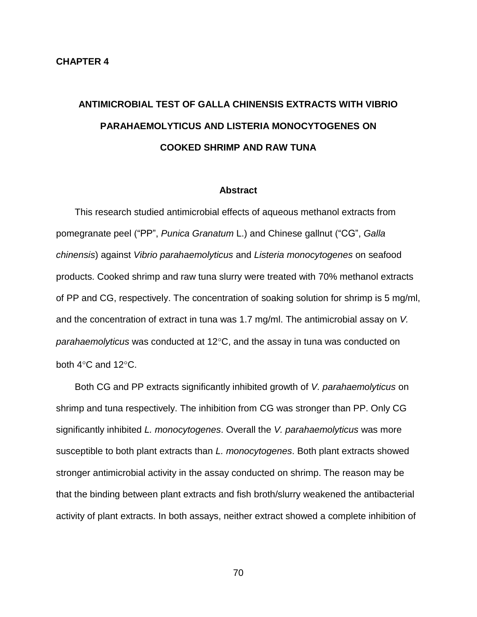# **ANTIMICROBIAL TEST OF GALLA CHINENSIS EXTRACTS WITH VIBRIO PARAHAEMOLYTICUS AND LISTERIA MONOCYTOGENES ON COOKED SHRIMP AND RAW TUNA**

#### **Abstract**

This research studied antimicrobial effects of aqueous methanol extracts from pomegranate peel ("PP", *Punica Granatum* L.) and Chinese gallnut ("CG", *Galla chinensis*) against *Vibrio parahaemolyticus* and *Listeria monocytogenes* on seafood products. Cooked shrimp and raw tuna slurry were treated with 70% methanol extracts of PP and CG, respectively. The concentration of soaking solution for shrimp is 5 mg/ml, and the concentration of extract in tuna was 1.7 mg/ml. The antimicrobial assay on *V. parahaemolyticus* was conducted at 12<sup>o</sup>C, and the assay in tuna was conducted on both  $4^{\circ}$ C and  $12^{\circ}$ C.

Both CG and PP extracts significantly inhibited growth of *V. parahaemolyticus* on shrimp and tuna respectively. The inhibition from CG was stronger than PP. Only CG significantly inhibited *L. monocytogenes*. Overall the *V. parahaemolyticus* was more susceptible to both plant extracts than *L. monocytogenes*. Both plant extracts showed stronger antimicrobial activity in the assay conducted on shrimp. The reason may be that the binding between plant extracts and fish broth/slurry weakened the antibacterial activity of plant extracts. In both assays, neither extract showed a complete inhibition of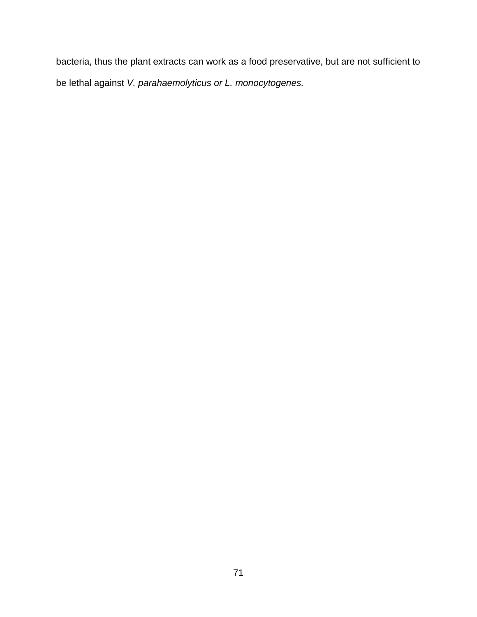bacteria, thus the plant extracts can work as a food preservative, but are not sufficient to be lethal against *V. parahaemolyticus or L. monocytogenes.*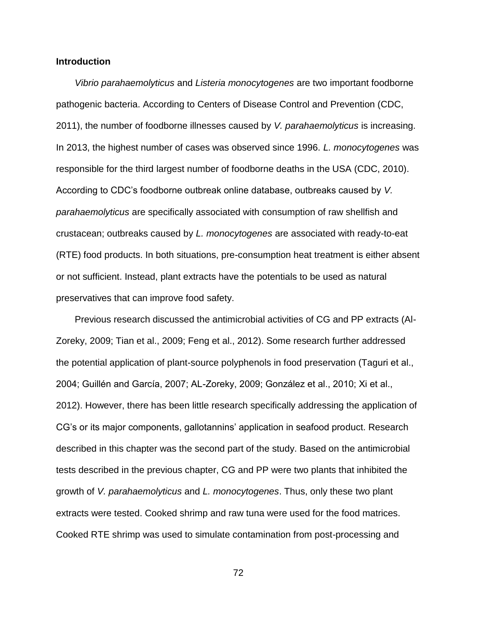## **Introduction**

*Vibrio parahaemolyticus* and *Listeria monocytogenes* are two important foodborne pathogenic bacteria. According to Centers of Disease Control and Prevention (CDC, 2011), the number of foodborne illnesses caused by *V. parahaemolyticus* is increasing. In 2013, the highest number of cases was observed since 1996. *L. monocytogenes* was responsible for the third largest number of foodborne deaths in the USA (CDC, 2010). According to CDC's foodborne outbreak online database, outbreaks caused by *V. parahaemolyticus* are specifically associated with consumption of raw shellfish and crustacean; outbreaks caused by *L. monocytogenes* are associated with ready-to-eat (RTE) food products. In both situations, pre-consumption heat treatment is either absent or not sufficient. Instead, plant extracts have the potentials to be used as natural preservatives that can improve food safety.

Previous research discussed the antimicrobial activities of CG and PP extracts (Al-Zoreky, 2009; Tian et al., 2009; Feng et al., 2012). Some research further addressed the potential application of plant-source polyphenols in food preservation (Taguri et al., 2004; Guillén and García, 2007; AL-Zoreky, 2009; González et al., 2010; Xi et al., 2012). However, there has been little research specifically addressing the application of CG's or its major components, gallotannins' application in seafood product. Research described in this chapter was the second part of the study. Based on the antimicrobial tests described in the previous chapter, CG and PP were two plants that inhibited the growth of *V. parahaemolyticus* and *L. monocytogenes*. Thus, only these two plant extracts were tested. Cooked shrimp and raw tuna were used for the food matrices. Cooked RTE shrimp was used to simulate contamination from post-processing and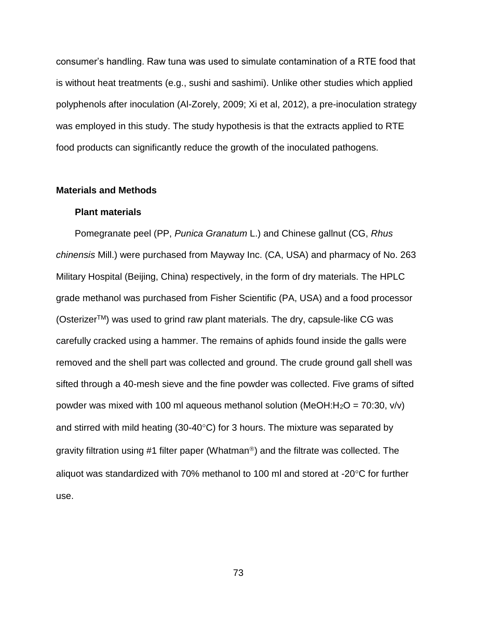consumer's handling. Raw tuna was used to simulate contamination of a RTE food that is without heat treatments (e.g., sushi and sashimi). Unlike other studies which applied polyphenols after inoculation (Al-Zorely, 2009; Xi et al, 2012), a pre-inoculation strategy was employed in this study. The study hypothesis is that the extracts applied to RTE food products can significantly reduce the growth of the inoculated pathogens.

## **Materials and Methods**

#### **Plant materials**

Pomegranate peel (PP, *Punica Granatum* L.) and Chinese gallnut (CG, *Rhus chinensis* Mill.) were purchased from Mayway Inc. (CA, USA) and pharmacy of No. 263 Military Hospital (Beijing, China) respectively, in the form of dry materials. The HPLC grade methanol was purchased from Fisher Scientific (PA, USA) and a food processor (Osterizer<sup>TM</sup>) was used to grind raw plant materials. The dry, capsule-like CG was carefully cracked using a hammer. The remains of aphids found inside the galls were removed and the shell part was collected and ground. The crude ground gall shell was sifted through a 40-mesh sieve and the fine powder was collected. Five grams of sifted powder was mixed with 100 ml aqueous methanol solution (MeOH:H<sub>2</sub>O = 70:30, v/v) and stirred with mild heating (30-40 $\degree$ C) for 3 hours. The mixture was separated by gravity filtration using #1 filter paper (Whatman<sup>®</sup>) and the filtrate was collected. The aliquot was standardized with 70% methanol to 100 ml and stored at -20 $\mathrm{^{\circ}C}$  for further use.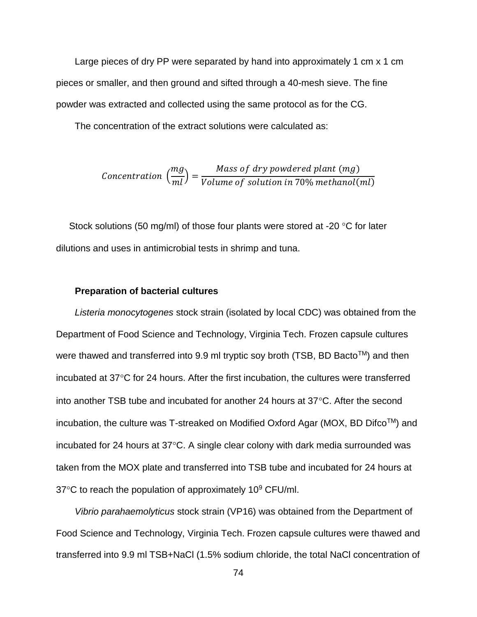Large pieces of dry PP were separated by hand into approximately 1 cm x 1 cm pieces or smaller, and then ground and sifted through a 40-mesh sieve. The fine powder was extracted and collected using the same protocol as for the CG.

The concentration of the extract solutions were calculated as:

$$
Concentration\left(\frac{mg}{ml}\right) = \frac{Mass\ of\ dry\ powdered\ plant\ (mg)}{Volume\ of\ solution\ in\ 70\%\ methanol(ml)}
$$

Stock solutions (50 mg/ml) of those four plants were stored at -20  $\degree$ C for later dilutions and uses in antimicrobial tests in shrimp and tuna.

## **Preparation of bacterial cultures**

*Listeria monocytogenes* stock strain (isolated by local CDC) was obtained from the Department of Food Science and Technology, Virginia Tech. Frozen capsule cultures were thawed and transferred into 9.9 ml tryptic soy broth (TSB, BD Bacto<sup>TM</sup>) and then incubated at  $37^{\circ}$ C for 24 hours. After the first incubation, the cultures were transferred into another TSB tube and incubated for another 24 hours at  $37^{\circ}$ C. After the second incubation, the culture was T-streaked on Modified Oxford Agar (MOX, BD Difco<sup>TM</sup>) and incubated for 24 hours at  $37^{\circ}$ C. A single clear colony with dark media surrounded was taken from the MOX plate and transferred into TSB tube and incubated for 24 hours at  $37^{\circ}$ C to reach the population of approximately 10 $^{\circ}$  CFU/ml.

*Vibrio parahaemolyticus* stock strain (VP16) was obtained from the Department of Food Science and Technology, Virginia Tech. Frozen capsule cultures were thawed and transferred into 9.9 ml TSB+NaCl (1.5% sodium chloride, the total NaCl concentration of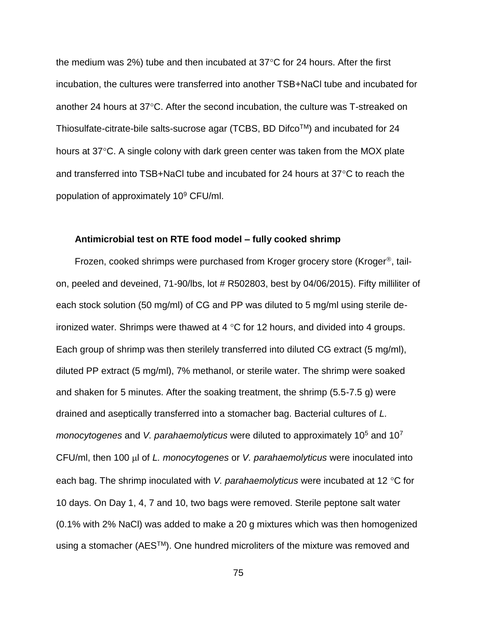the medium was 2%) tube and then incubated at  $37^{\circ}$ C for 24 hours. After the first incubation, the cultures were transferred into another TSB+NaCl tube and incubated for another 24 hours at  $37^{\circ}$ C. After the second incubation, the culture was T-streaked on Thiosulfate-citrate-bile salts-sucrose agar (TCBS, BD DifcoTM) and incubated for 24 hours at 37°C. A single colony with dark green center was taken from the MOX plate and transferred into  $TSB+NaCl$  tube and incubated for 24 hours at 37 $\degree$ C to reach the population of approximately 10<sup>9</sup> CFU/ml.

#### **Antimicrobial test on RTE food model – fully cooked shrimp**

Frozen, cooked shrimps were purchased from Kroger grocery store (Kroger<sup>®</sup>, tailon, peeled and deveined, 71-90/lbs, lot # R502803, best by 04/06/2015). Fifty milliliter of each stock solution (50 mg/ml) of CG and PP was diluted to 5 mg/ml using sterile deironized water. Shrimps were thawed at 4  $\degree$ C for 12 hours, and divided into 4 groups. Each group of shrimp was then sterilely transferred into diluted CG extract (5 mg/ml), diluted PP extract (5 mg/ml), 7% methanol, or sterile water. The shrimp were soaked and shaken for 5 minutes. After the soaking treatment, the shrimp (5.5-7.5 g) were drained and aseptically transferred into a stomacher bag. Bacterial cultures of *L. monocytogenes* and *V. parahaemolyticus* were diluted to approximately 10<sup>5</sup> and 10<sup>7</sup> CFU/ml, then 100 µl of *L. monocytogenes* or *V. parahaemolyticus* were inoculated into each bag. The shrimp inoculated with *V. parahaemolyticus* were incubated at 12 °C for 10 days. On Day 1, 4, 7 and 10, two bags were removed. Sterile peptone salt water (0.1% with 2% NaCl) was added to make a 20 g mixtures which was then homogenized using a stomacher (AES™). One hundred microliters of the mixture was removed and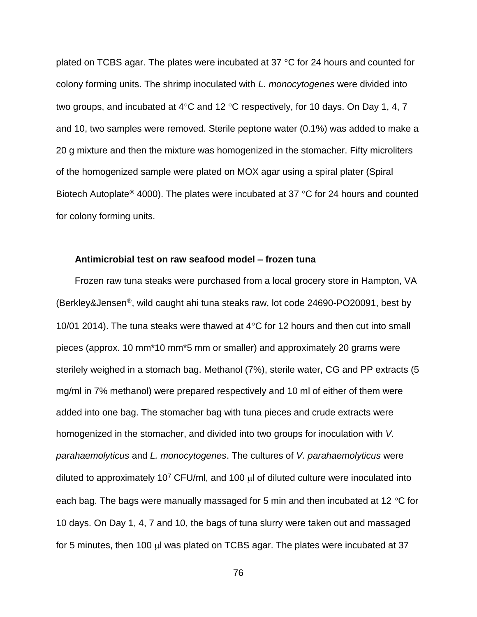plated on TCBS agar. The plates were incubated at 37  $\degree$ C for 24 hours and counted for colony forming units. The shrimp inoculated with *L. monocytogenes* were divided into two groups, and incubated at 4 $\degree$ C and 12  $\degree$ C respectively, for 10 days. On Day 1, 4, 7 and 10, two samples were removed. Sterile peptone water (0.1%) was added to make a 20 g mixture and then the mixture was homogenized in the stomacher. Fifty microliters of the homogenized sample were plated on MOX agar using a spiral plater (Spiral Biotech Autoplate<sup>®</sup> 4000). The plates were incubated at 37 °C for 24 hours and counted for colony forming units.

#### **Antimicrobial test on raw seafood model – frozen tuna**

Frozen raw tuna steaks were purchased from a local grocery store in Hampton, VA (Berkley&Jensen<sup>®</sup>, wild caught ahi tuna steaks raw, lot code 24690-PO20091, best by 10/01 2014). The tuna steaks were thawed at  $4^{\circ}$ C for 12 hours and then cut into small pieces (approx. 10 mm\*10 mm\*5 mm or smaller) and approximately 20 grams were sterilely weighed in a stomach bag. Methanol (7%), sterile water, CG and PP extracts (5 mg/ml in 7% methanol) were prepared respectively and 10 ml of either of them were added into one bag. The stomacher bag with tuna pieces and crude extracts were homogenized in the stomacher, and divided into two groups for inoculation with *V. parahaemolyticus* and *L. monocytogenes*. The cultures of *V. parahaemolyticus* were diluted to approximately 10<sup>7</sup> CFU/ml, and 100  $\mu$  of diluted culture were inoculated into each bag. The bags were manually massaged for 5 min and then incubated at 12  $\degree$ C for 10 days. On Day 1, 4, 7 and 10, the bags of tuna slurry were taken out and massaged for 5 minutes, then 100  $\mu$  was plated on TCBS agar. The plates were incubated at 37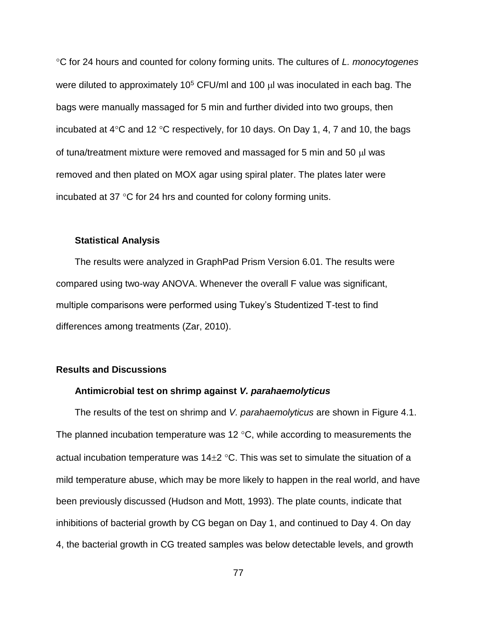C for 24 hours and counted for colony forming units. The cultures of *L. monocytogenes* were diluted to approximately 10<sup>5</sup> CFU/ml and 100  $\mu$ l was inoculated in each bag. The bags were manually massaged for 5 min and further divided into two groups, then incubated at  $4^{\circ}$ C and 12  $^{\circ}$ C respectively, for 10 days. On Day 1, 4, 7 and 10, the bags of tuna/treatment mixture were removed and massaged for 5 min and 50  $\mu$  was removed and then plated on MOX agar using spiral plater. The plates later were incubated at 37 $\degree$ C for 24 hrs and counted for colony forming units.

## **Statistical Analysis**

The results were analyzed in GraphPad Prism Version 6.01. The results were compared using two-way ANOVA. Whenever the overall F value was significant, multiple comparisons were performed using Tukey's Studentized T-test to find differences among treatments (Zar, 2010).

## **Results and Discussions**

## **Antimicrobial test on shrimp against** *V. parahaemolyticus*

The results of the test on shrimp and *V. parahaemolyticus* are shown in Figure 4.1. The planned incubation temperature was 12  $\degree$ C, while according to measurements the actual incubation temperature was  $14\pm 2$  °C. This was set to simulate the situation of a mild temperature abuse, which may be more likely to happen in the real world, and have been previously discussed (Hudson and Mott, 1993). The plate counts, indicate that inhibitions of bacterial growth by CG began on Day 1, and continued to Day 4. On day 4, the bacterial growth in CG treated samples was below detectable levels, and growth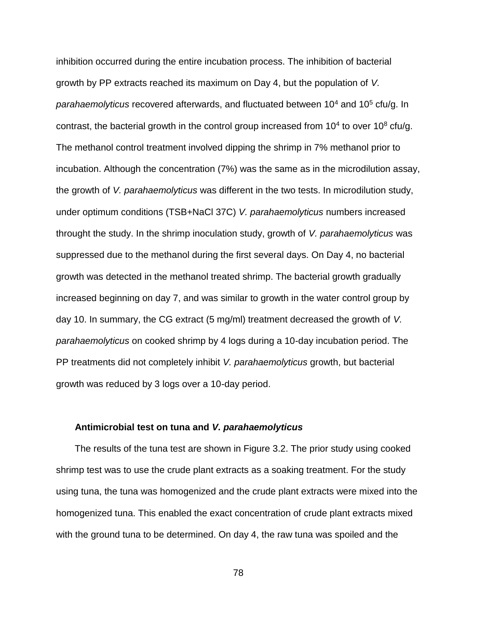inhibition occurred during the entire incubation process. The inhibition of bacterial growth by PP extracts reached its maximum on Day 4, but the population of *V. parahaemolyticus* recovered afterwards, and fluctuated between 10<sup>4</sup> and 10<sup>5</sup> cfu/g. In contrast, the bacterial growth in the control group increased from  $10<sup>4</sup>$  to over  $10<sup>8</sup>$  cfu/g. The methanol control treatment involved dipping the shrimp in 7% methanol prior to incubation. Although the concentration (7%) was the same as in the microdilution assay, the growth of *V. parahaemolyticus* was different in the two tests. In microdilution study, under optimum conditions (TSB+NaCl 37C) *V. parahaemolyticus* numbers increased throught the study. In the shrimp inoculation study, growth of *V. parahaemolyticus* was suppressed due to the methanol during the first several days. On Day 4, no bacterial growth was detected in the methanol treated shrimp. The bacterial growth gradually increased beginning on day 7, and was similar to growth in the water control group by day 10. In summary, the CG extract (5 mg/ml) treatment decreased the growth of *V. parahaemolyticus* on cooked shrimp by 4 logs during a 10-day incubation period. The PP treatments did not completely inhibit *V. parahaemolyticus* growth, but bacterial growth was reduced by 3 logs over a 10-day period.

#### **Antimicrobial test on tuna and** *V. parahaemolyticus*

The results of the tuna test are shown in Figure 3.2. The prior study using cooked shrimp test was to use the crude plant extracts as a soaking treatment. For the study using tuna, the tuna was homogenized and the crude plant extracts were mixed into the homogenized tuna. This enabled the exact concentration of crude plant extracts mixed with the ground tuna to be determined. On day 4, the raw tuna was spoiled and the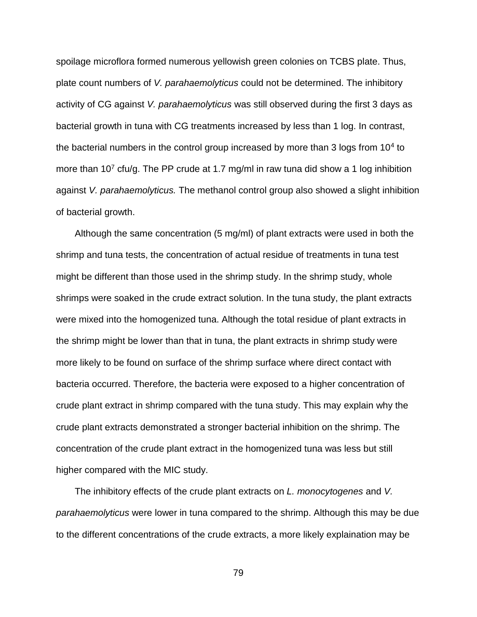spoilage microflora formed numerous yellowish green colonies on TCBS plate. Thus, plate count numbers of *V. parahaemolyticus* could not be determined. The inhibitory activity of CG against *V. parahaemolyticus* was still observed during the first 3 days as bacterial growth in tuna with CG treatments increased by less than 1 log. In contrast, the bacterial numbers in the control group increased by more than 3 logs from  $10<sup>4</sup>$  to more than  $10<sup>7</sup>$  cfu/g. The PP crude at 1.7 mg/ml in raw tuna did show a 1 log inhibition against *V. parahaemolyticus.* The methanol control group also showed a slight inhibition of bacterial growth.

Although the same concentration (5 mg/ml) of plant extracts were used in both the shrimp and tuna tests, the concentration of actual residue of treatments in tuna test might be different than those used in the shrimp study. In the shrimp study, whole shrimps were soaked in the crude extract solution. In the tuna study, the plant extracts were mixed into the homogenized tuna. Although the total residue of plant extracts in the shrimp might be lower than that in tuna, the plant extracts in shrimp study were more likely to be found on surface of the shrimp surface where direct contact with bacteria occurred. Therefore, the bacteria were exposed to a higher concentration of crude plant extract in shrimp compared with the tuna study. This may explain why the crude plant extracts demonstrated a stronger bacterial inhibition on the shrimp. The concentration of the crude plant extract in the homogenized tuna was less but still higher compared with the MIC study.

The inhibitory effects of the crude plant extracts on *L. monocytogenes* and *V. parahaemolyticus* were lower in tuna compared to the shrimp. Although this may be due to the different concentrations of the crude extracts, a more likely explaination may be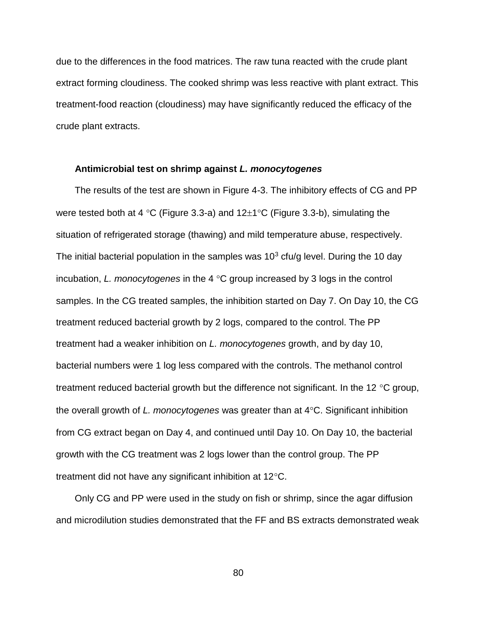due to the differences in the food matrices. The raw tuna reacted with the crude plant extract forming cloudiness. The cooked shrimp was less reactive with plant extract. This treatment-food reaction (cloudiness) may have significantly reduced the efficacy of the crude plant extracts.

## **Antimicrobial test on shrimp against** *L. monocytogenes*

The results of the test are shown in Figure 4-3. The inhibitory effects of CG and PP were tested both at 4 °C (Figure 3.3-a) and  $12\pm1$ °C (Figure 3.3-b), simulating the situation of refrigerated storage (thawing) and mild temperature abuse, respectively. The initial bacterial population in the samples was  $10<sup>3</sup>$  cfu/g level. During the 10 day incubation, *L. monocytogenes* in the 4 °C group increased by 3 logs in the control samples. In the CG treated samples, the inhibition started on Day 7. On Day 10, the CG treatment reduced bacterial growth by 2 logs, compared to the control. The PP treatment had a weaker inhibition on *L. monocytogenes* growth, and by day 10, bacterial numbers were 1 log less compared with the controls. The methanol control treatment reduced bacterial growth but the difference not significant. In the 12  $\degree$ C group, the overall growth of *L. monocytogenes* was greater than at 4°C. Significant inhibition from CG extract began on Day 4, and continued until Day 10. On Day 10, the bacterial growth with the CG treatment was 2 logs lower than the control group. The PP treatment did not have any significant inhibition at  $12^{\circ}$ C.

Only CG and PP were used in the study on fish or shrimp, since the agar diffusion and microdilution studies demonstrated that the FF and BS extracts demonstrated weak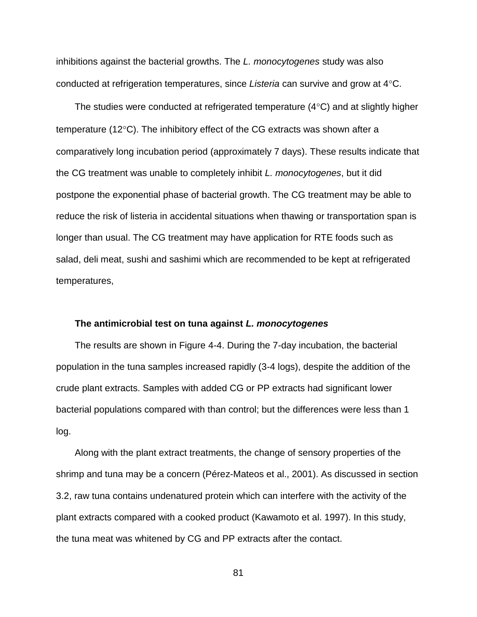inhibitions against the bacterial growths. The *L. monocytogenes* study was also conducted at refrigeration temperatures, since *Listeria* can survive and grow at 4C.

The studies were conducted at refrigerated temperature  $(4^{\circ}C)$  and at slightly higher temperature (12 $\degree$ C). The inhibitory effect of the CG extracts was shown after a comparatively long incubation period (approximately 7 days). These results indicate that the CG treatment was unable to completely inhibit *L. monocytogenes*, but it did postpone the exponential phase of bacterial growth. The CG treatment may be able to reduce the risk of listeria in accidental situations when thawing or transportation span is longer than usual. The CG treatment may have application for RTE foods such as salad, deli meat, sushi and sashimi which are recommended to be kept at refrigerated temperatures,

#### **The antimicrobial test on tuna against** *L. monocytogenes*

The results are shown in Figure 4-4. During the 7-day incubation, the bacterial population in the tuna samples increased rapidly (3-4 logs), despite the addition of the crude plant extracts. Samples with added CG or PP extracts had significant lower bacterial populations compared with than control; but the differences were less than 1 log.

Along with the plant extract treatments, the change of sensory properties of the shrimp and tuna may be a concern (Pérez-Mateos et al., 2001). As discussed in section 3.2, raw tuna contains undenatured protein which can interfere with the activity of the plant extracts compared with a cooked product (Kawamoto et al. 1997). In this study, the tuna meat was whitened by CG and PP extracts after the contact.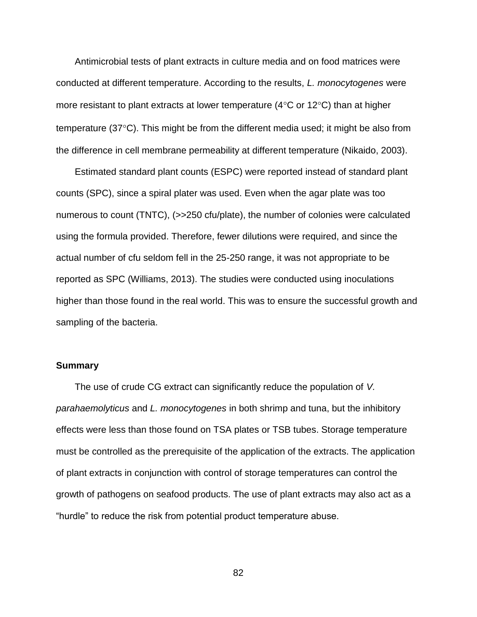Antimicrobial tests of plant extracts in culture media and on food matrices were conducted at different temperature. According to the results, *L. monocytogenes* were more resistant to plant extracts at lower temperature (4 $\degree$ C or 12 $\degree$ C) than at higher temperature ( $37^{\circ}$ C). This might be from the different media used; it might be also from the difference in cell membrane permeability at different temperature (Nikaido, 2003).

Estimated standard plant counts (ESPC) were reported instead of standard plant counts (SPC), since a spiral plater was used. Even when the agar plate was too numerous to count (TNTC), (>>250 cfu/plate), the number of colonies were calculated using the formula provided. Therefore, fewer dilutions were required, and since the actual number of cfu seldom fell in the 25-250 range, it was not appropriate to be reported as SPC (Williams, 2013). The studies were conducted using inoculations higher than those found in the real world. This was to ensure the successful growth and sampling of the bacteria.

## **Summary**

The use of crude CG extract can significantly reduce the population of *V. parahaemolyticus* and *L. monocytogenes* in both shrimp and tuna, but the inhibitory effects were less than those found on TSA plates or TSB tubes. Storage temperature must be controlled as the prerequisite of the application of the extracts. The application of plant extracts in conjunction with control of storage temperatures can control the growth of pathogens on seafood products. The use of plant extracts may also act as a "hurdle" to reduce the risk from potential product temperature abuse.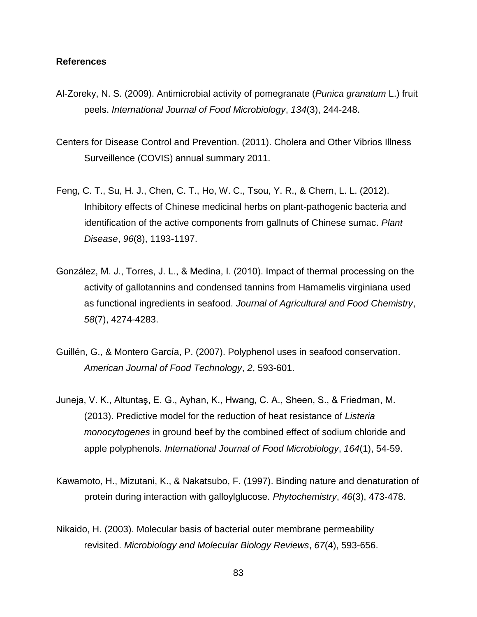#### **References**

- Al-Zoreky, N. S. (2009). Antimicrobial activity of pomegranate (*Punica granatum* L.) fruit peels. *International Journal of Food Microbiology*, *134*(3), 244-248.
- Centers for Disease Control and Prevention. (2011). Cholera and Other Vibrios Illness Surveillence (COVIS) annual summary 2011.
- Feng, C. T., Su, H. J., Chen, C. T., Ho, W. C., Tsou, Y. R., & Chern, L. L. (2012). Inhibitory effects of Chinese medicinal herbs on plant-pathogenic bacteria and identification of the active components from gallnuts of Chinese sumac. *Plant Disease*, *96*(8), 1193-1197.
- González, M. J., Torres, J. L., & Medina, I. (2010). Impact of thermal processing on the activity of gallotannins and condensed tannins from Hamamelis virginiana used as functional ingredients in seafood. *Journal of Agricultural and Food Chemistry*, *58*(7), 4274-4283.
- Guillén, G., & Montero García, P. (2007). Polyphenol uses in seafood conservation. *American Journal of Food Technology*, *2*, 593-601.
- Juneja, V. K., Altuntaş, E. G., Ayhan, K., Hwang, C. A., Sheen, S., & Friedman, M. (2013). Predictive model for the reduction of heat resistance of *Listeria monocytogenes* in ground beef by the combined effect of sodium chloride and apple polyphenols. *International Journal of Food Microbiology*, *164*(1), 54-59.
- Kawamoto, H., Mizutani, K., & Nakatsubo, F. (1997). Binding nature and denaturation of protein during interaction with galloylglucose. *Phytochemistry*, *46*(3), 473-478.
- Nikaido, H. (2003). Molecular basis of bacterial outer membrane permeability revisited. *Microbiology and Molecular Biology Reviews*, *67*(4), 593-656.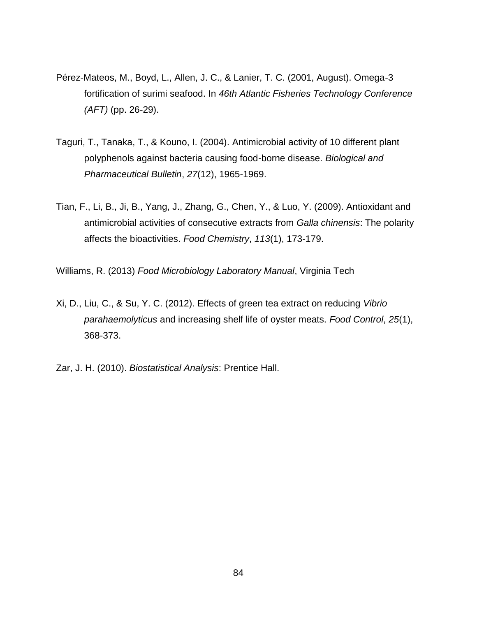- Pérez-Mateos, M., Boyd, L., Allen, J. C., & Lanier, T. C. (2001, August). Omega-3 fortification of surimi seafood. In *46th Atlantic Fisheries Technology Conference (AFT)* (pp. 26-29).
- Taguri, T., Tanaka, T., & Kouno, I. (2004). Antimicrobial activity of 10 different plant polyphenols against bacteria causing food-borne disease. *Biological and Pharmaceutical Bulletin*, *27*(12), 1965-1969.
- Tian, F., Li, B., Ji, B., Yang, J., Zhang, G., Chen, Y., & Luo, Y. (2009). Antioxidant and antimicrobial activities of consecutive extracts from *Galla chinensis*: The polarity affects the bioactivities. *Food Chemistry*, *113*(1), 173-179.

Williams, R. (2013) *Food Microbiology Laboratory Manual*, Virginia Tech

- Xi, D., Liu, C., & Su, Y. C. (2012). Effects of green tea extract on reducing *Vibrio parahaemolyticus* and increasing shelf life of oyster meats. *Food Control*, *25*(1), 368-373.
- Zar, J. H. (2010). *Biostatistical Analysis*: Prentice Hall.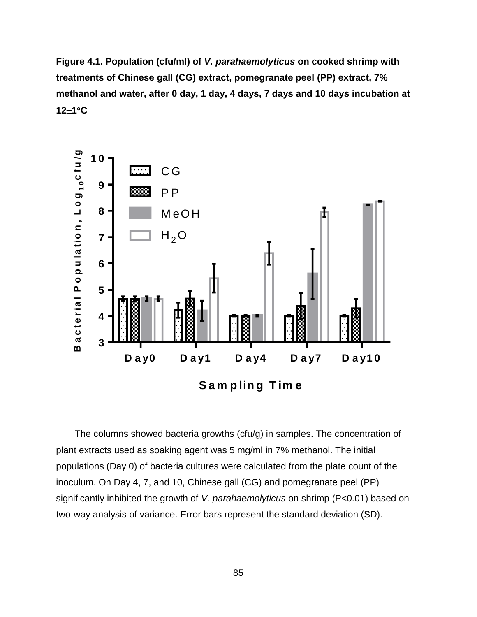**Figure 4.1. Population (cfu/ml) of** *V. parahaemolyticus* **on cooked shrimp with treatments of Chinese gall (CG) extract, pomegranate peel (PP) extract, 7% methanol and water, after 0 day, 1 day, 4 days, 7 days and 10 days incubation at 121C**



The columns showed bacteria growths (cfu/g) in samples. The concentration of plant extracts used as soaking agent was 5 mg/ml in 7% methanol. The initial populations (Day 0) of bacteria cultures were calculated from the plate count of the inoculum. On Day 4, 7, and 10, Chinese gall (CG) and pomegranate peel (PP) significantly inhibited the growth of *V. parahaemolyticus* on shrimp (P<0.01) based on two-way analysis of variance. Error bars represent the standard deviation (SD).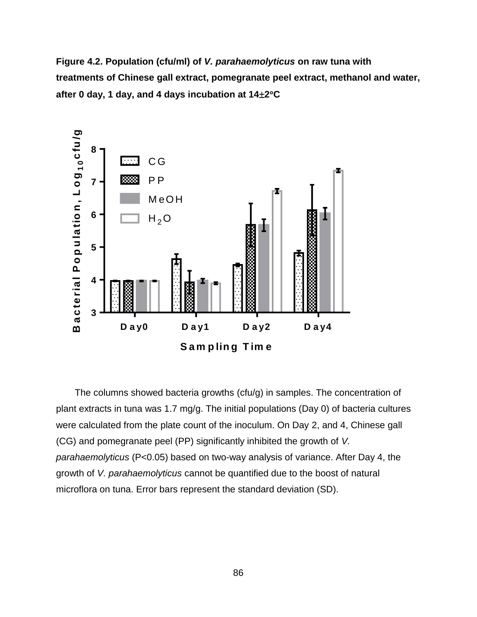**Figure 4.2. Population (cfu/ml) of** *V. parahaemolyticus* **on raw tuna with treatments of Chinese gall extract, pomegranate peel extract, methanol and water, after 0 day, 1 day, and 4 days incubation at 142C**



The columns showed bacteria growths (cfu/g) in samples. The concentration of plant extracts in tuna was 1.7 mg/g. The initial populations (Day 0) of bacteria cultures were calculated from the plate count of the inoculum. On Day 2, and 4, Chinese gall (CG) and pomegranate peel (PP) significantly inhibited the growth of *V. parahaemolyticus* (P<0.05) based on two-way analysis of variance. After Day 4, the growth of *V. parahaemolyticus* cannot be quantified due to the boost of natural microflora on tuna. Error bars represent the standard deviation (SD).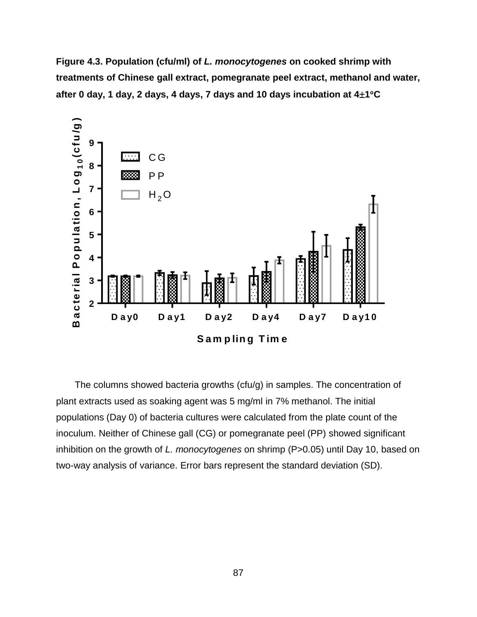**Figure 4.3. Population (cfu/ml) of** *L. monocytogenes* **on cooked shrimp with treatments of Chinese gall extract, pomegranate peel extract, methanol and water, after 0 day, 1 day, 2 days, 4 days, 7 days and 10 days incubation at 41C**



The columns showed bacteria growths (cfu/g) in samples. The concentration of plant extracts used as soaking agent was 5 mg/ml in 7% methanol. The initial populations (Day 0) of bacteria cultures were calculated from the plate count of the inoculum. Neither of Chinese gall (CG) or pomegranate peel (PP) showed significant inhibition on the growth of *L. monocytogenes* on shrimp (P>0.05) until Day 10, based on two-way analysis of variance. Error bars represent the standard deviation (SD).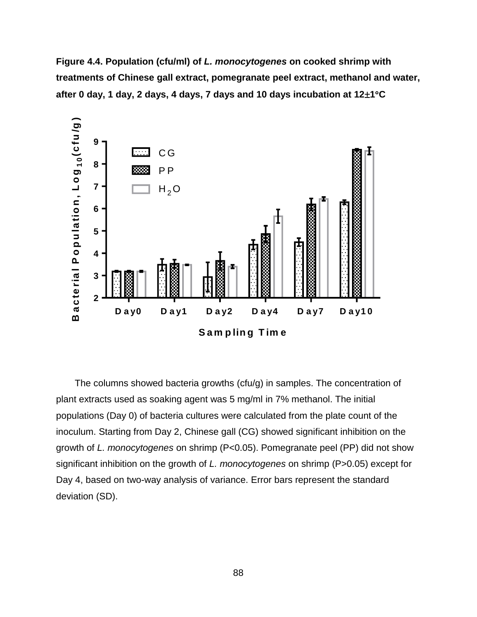**Figure 4.4. Population (cfu/ml) of** *L. monocytogenes* **on cooked shrimp with treatments of Chinese gall extract, pomegranate peel extract, methanol and water, after 0 day, 1 day, 2 days, 4 days, 7 days and 10 days incubation at 121C**



The columns showed bacteria growths (cfu/g) in samples. The concentration of plant extracts used as soaking agent was 5 mg/ml in 7% methanol. The initial populations (Day 0) of bacteria cultures were calculated from the plate count of the inoculum. Starting from Day 2, Chinese gall (CG) showed significant inhibition on the growth of *L. monocytogenes* on shrimp (P<0.05). Pomegranate peel (PP) did not show significant inhibition on the growth of *L. monocytogenes* on shrimp (P>0.05) except for Day 4, based on two-way analysis of variance. Error bars represent the standard deviation (SD).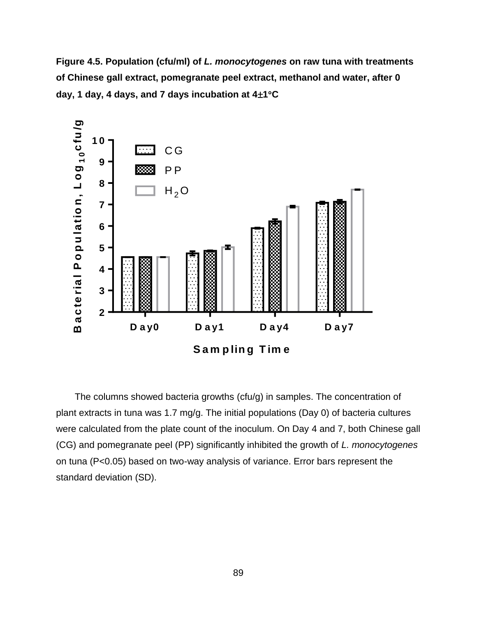**Figure 4.5. Population (cfu/ml) of** *L. monocytogenes* **on raw tuna with treatments of Chinese gall extract, pomegranate peel extract, methanol and water, after 0**  day, 1 day, 4 days, and 7 days incubation at  $4\pm1$ <sup>o</sup>C



The columns showed bacteria growths (cfu/g) in samples. The concentration of plant extracts in tuna was 1.7 mg/g. The initial populations (Day 0) of bacteria cultures were calculated from the plate count of the inoculum. On Day 4 and 7, both Chinese gall (CG) and pomegranate peel (PP) significantly inhibited the growth of *L. monocytogenes* on tuna (P<0.05) based on two-way analysis of variance. Error bars represent the standard deviation (SD).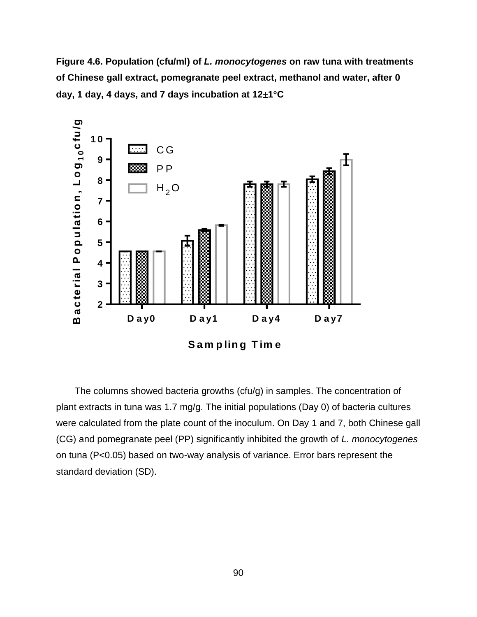**Figure 4.6. Population (cfu/ml) of** *L. monocytogenes* **on raw tuna with treatments of Chinese gall extract, pomegranate peel extract, methanol and water, after 0 day, 1 day, 4 days, and 7 days incubation at 121C**



The columns showed bacteria growths (cfu/g) in samples. The concentration of plant extracts in tuna was 1.7 mg/g. The initial populations (Day 0) of bacteria cultures were calculated from the plate count of the inoculum. On Day 1 and 7, both Chinese gall (CG) and pomegranate peel (PP) significantly inhibited the growth of *L. monocytogenes* on tuna (P<0.05) based on two-way analysis of variance. Error bars represent the standard deviation (SD).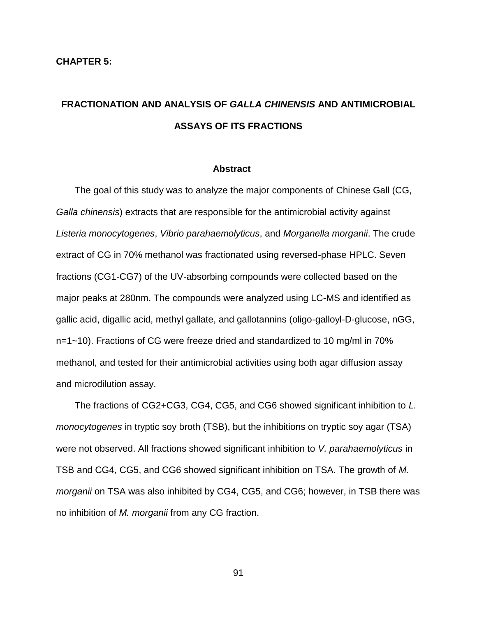## **FRACTIONATION AND ANALYSIS OF** *GALLA CHINENSIS* **AND ANTIMICROBIAL ASSAYS OF ITS FRACTIONS**

#### **Abstract**

The goal of this study was to analyze the major components of Chinese Gall (CG, *Galla chinensis*) extracts that are responsible for the antimicrobial activity against *Listeria monocytogenes*, *Vibrio parahaemolyticus*, and *Morganella morganii*. The crude extract of CG in 70% methanol was fractionated using reversed-phase HPLC. Seven fractions (CG1-CG7) of the UV-absorbing compounds were collected based on the major peaks at 280nm. The compounds were analyzed using LC-MS and identified as gallic acid, digallic acid, methyl gallate, and gallotannins (oligo-galloyl-D-glucose, nGG, n=1~10). Fractions of CG were freeze dried and standardized to 10 mg/ml in 70% methanol, and tested for their antimicrobial activities using both agar diffusion assay and microdilution assay.

The fractions of CG2+CG3, CG4, CG5, and CG6 showed significant inhibition to *L. monocytogenes* in tryptic soy broth (TSB), but the inhibitions on tryptic soy agar (TSA) were not observed. All fractions showed significant inhibition to *V. parahaemolyticus* in TSB and CG4, CG5, and CG6 showed significant inhibition on TSA. The growth of *M. morganii* on TSA was also inhibited by CG4, CG5, and CG6; however, in TSB there was no inhibition of *M. morganii* from any CG fraction.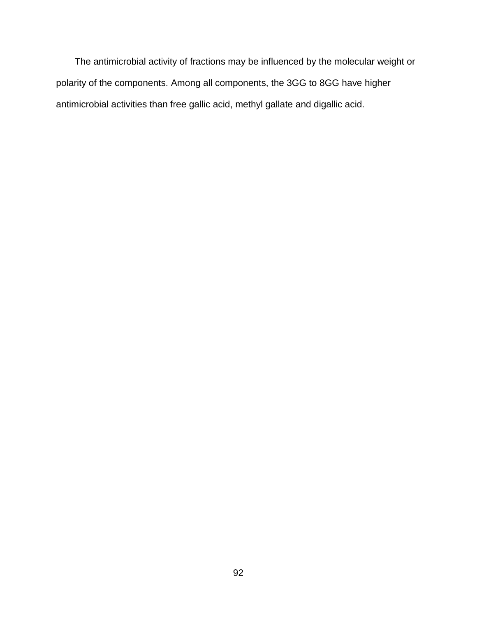The antimicrobial activity of fractions may be influenced by the molecular weight or polarity of the components. Among all components, the 3GG to 8GG have higher antimicrobial activities than free gallic acid, methyl gallate and digallic acid.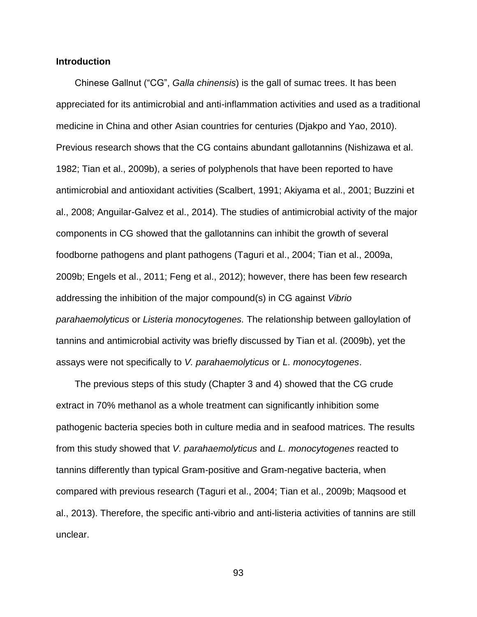## **Introduction**

Chinese Gallnut ("CG", *Galla chinensis*) is the gall of sumac trees. It has been appreciated for its antimicrobial and anti-inflammation activities and used as a traditional medicine in China and other Asian countries for centuries (Djakpo and Yao, 2010). Previous research shows that the CG contains abundant gallotannins (Nishizawa et al. 1982; Tian et al., 2009b), a series of polyphenols that have been reported to have antimicrobial and antioxidant activities (Scalbert, 1991; Akiyama et al., 2001; Buzzini et al., 2008; Anguilar-Galvez et al., 2014). The studies of antimicrobial activity of the major components in CG showed that the gallotannins can inhibit the growth of several foodborne pathogens and plant pathogens (Taguri et al., 2004; Tian et al., 2009a, 2009b; Engels et al., 2011; Feng et al., 2012); however, there has been few research addressing the inhibition of the major compound(s) in CG against *Vibrio parahaemolyticus* or *Listeria monocytogenes.* The relationship between galloylation of tannins and antimicrobial activity was briefly discussed by Tian et al. (2009b), yet the assays were not specifically to *V. parahaemolyticus* or *L. monocytogenes*.

The previous steps of this study (Chapter 3 and 4) showed that the CG crude extract in 70% methanol as a whole treatment can significantly inhibition some pathogenic bacteria species both in culture media and in seafood matrices. The results from this study showed that *V. parahaemolyticus* and *L. monocytogenes* reacted to tannins differently than typical Gram-positive and Gram-negative bacteria, when compared with previous research (Taguri et al., 2004; Tian et al., 2009b; Maqsood et al., 2013). Therefore, the specific anti-vibrio and anti-listeria activities of tannins are still unclear.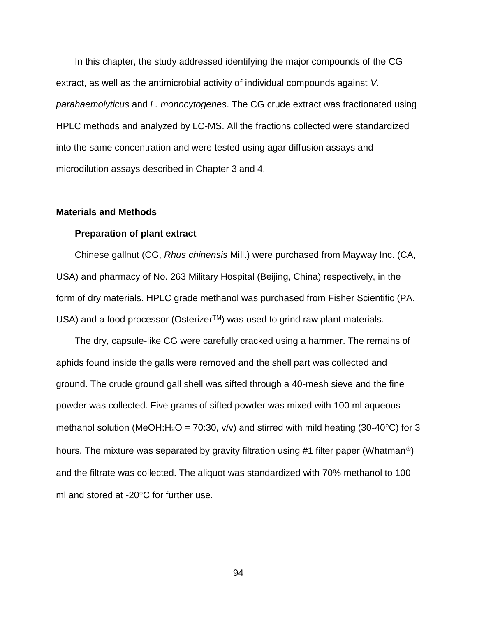In this chapter, the study addressed identifying the major compounds of the CG extract, as well as the antimicrobial activity of individual compounds against *V. parahaemolyticus* and *L. monocytogenes*. The CG crude extract was fractionated using HPLC methods and analyzed by LC-MS. All the fractions collected were standardized into the same concentration and were tested using agar diffusion assays and microdilution assays described in Chapter 3 and 4.

#### **Materials and Methods**

#### **Preparation of plant extract**

Chinese gallnut (CG, *Rhus chinensis* Mill.) were purchased from Mayway Inc. (CA, USA) and pharmacy of No. 263 Military Hospital (Beijing, China) respectively, in the form of dry materials. HPLC grade methanol was purchased from Fisher Scientific (PA, USA) and a food processor (Osterizer<sup>TM</sup>) was used to grind raw plant materials.

The dry, capsule-like CG were carefully cracked using a hammer. The remains of aphids found inside the galls were removed and the shell part was collected and ground. The crude ground gall shell was sifted through a 40-mesh sieve and the fine powder was collected. Five grams of sifted powder was mixed with 100 ml aqueous methanol solution (MeOH:H<sub>2</sub>O = 70:30, v/v) and stirred with mild heating (30-40<sup>o</sup>C) for 3 hours. The mixture was separated by gravity filtration using #1 filter paper (Whatman<sup>®</sup>) and the filtrate was collected. The aliquot was standardized with 70% methanol to 100 ml and stored at -20 $\degree$ C for further use.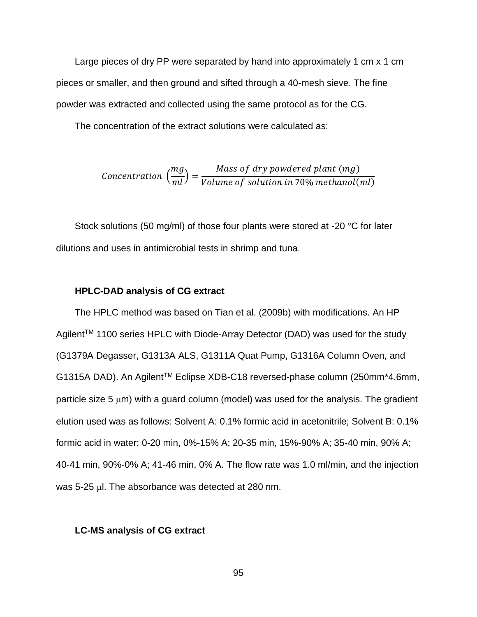Large pieces of dry PP were separated by hand into approximately 1 cm x 1 cm pieces or smaller, and then ground and sifted through a 40-mesh sieve. The fine powder was extracted and collected using the same protocol as for the CG.

The concentration of the extract solutions were calculated as:

$$
Concentration\left(\frac{mg}{ml}\right) = \frac{Mass\ of\ dry\ powdered\ plant\ (mg)}{Volume\ of\ solution\ in\ 70\%\ methanol(ml)}
$$

Stock solutions (50 mg/ml) of those four plants were stored at -20  $\degree$ C for later dilutions and uses in antimicrobial tests in shrimp and tuna.

## **HPLC-DAD analysis of CG extract**

The HPLC method was based on Tian et al. (2009b) with modifications. An HP Agilent<sup>™</sup> 1100 series HPLC with Diode-Array Detector (DAD) was used for the study (G1379A Degasser, G1313A ALS, G1311A Quat Pump, G1316A Column Oven, and G1315A DAD). An AgilentTM Eclipse XDB-C18 reversed-phase column (250mm\*4.6mm, particle size 5  $\mu$ m) with a guard column (model) was used for the analysis. The gradient elution used was as follows: Solvent A: 0.1% formic acid in acetonitrile; Solvent B: 0.1% formic acid in water; 0-20 min, 0%-15% A; 20-35 min, 15%-90% A; 35-40 min, 90% A; 40-41 min, 90%-0% A; 41-46 min, 0% A. The flow rate was 1.0 ml/min, and the injection was 5-25 µl. The absorbance was detected at 280 nm.

#### **LC-MS analysis of CG extract**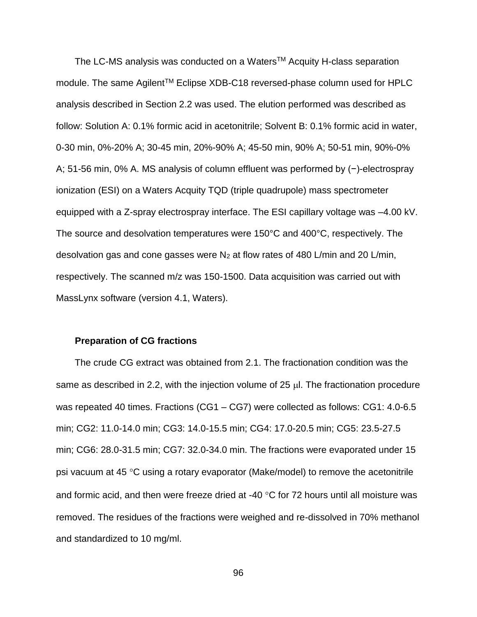The LC-MS analysis was conducted on a Waters<sup>™</sup> Acquity H-class separation module. The same Agilent<sup>™</sup> Eclipse XDB-C18 reversed-phase column used for HPLC analysis described in Section 2.2 was used. The elution performed was described as follow: Solution A: 0.1% formic acid in acetonitrile; Solvent B: 0.1% formic acid in water, 0-30 min, 0%-20% A; 30-45 min, 20%-90% A; 45-50 min, 90% A; 50-51 min, 90%-0% A; 51-56 min, 0% A. MS analysis of column effluent was performed by (−)-electrospray ionization (ESI) on a Waters Acquity TQD (triple quadrupole) mass spectrometer equipped with a Z-spray electrospray interface. The ESI capillary voltage was –4.00 kV. The source and desolvation temperatures were 150°C and 400°C, respectively. The desolvation gas and cone gasses were  $N_2$  at flow rates of 480 L/min and 20 L/min, respectively. The scanned m/z was 150-1500. Data acquisition was carried out with MassLynx software (version 4.1, Waters).

#### **Preparation of CG fractions**

The crude CG extract was obtained from 2.1. The fractionation condition was the same as described in 2.2, with the injection volume of 25  $\mu$ . The fractionation procedure was repeated 40 times. Fractions (CG1 – CG7) were collected as follows: CG1: 4.0-6.5 min; CG2: 11.0-14.0 min; CG3: 14.0-15.5 min; CG4: 17.0-20.5 min; CG5: 23.5-27.5 min; CG6: 28.0-31.5 min; CG7: 32.0-34.0 min. The fractions were evaporated under 15 psi vacuum at 45  $\degree$ C using a rotary evaporator (Make/model) to remove the acetonitrile and formic acid, and then were freeze dried at -40  $\degree$ C for 72 hours until all moisture was removed. The residues of the fractions were weighed and re-dissolved in 70% methanol and standardized to 10 mg/ml.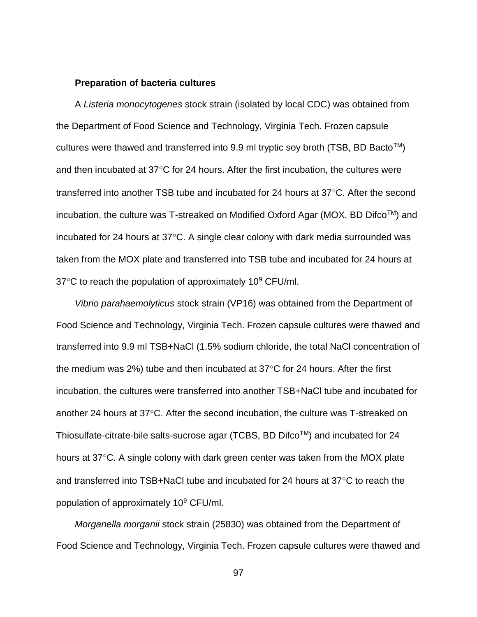#### **Preparation of bacteria cultures**

A *Listeria monocytogenes* stock strain (isolated by local CDC) was obtained from the Department of Food Science and Technology, Virginia Tech. Frozen capsule cultures were thawed and transferred into 9.9 ml tryptic soy broth (TSB, BD Bacto<sup>TM</sup>) and then incubated at  $37^{\circ}$ C for 24 hours. After the first incubation, the cultures were transferred into another TSB tube and incubated for 24 hours at  $37^{\circ}$ C. After the second incubation, the culture was T-streaked on Modified Oxford Agar (MOX, BD DifcoTM) and incubated for 24 hours at  $37^{\circ}$ C. A single clear colony with dark media surrounded was taken from the MOX plate and transferred into TSB tube and incubated for 24 hours at  $37^{\circ}$ C to reach the population of approximately 10 $^{\circ}$  CFU/ml.

*Vibrio parahaemolyticus* stock strain (VP16) was obtained from the Department of Food Science and Technology, Virginia Tech. Frozen capsule cultures were thawed and transferred into 9.9 ml TSB+NaCl (1.5% sodium chloride, the total NaCl concentration of the medium was 2%) tube and then incubated at  $37^{\circ}$ C for 24 hours. After the first incubation, the cultures were transferred into another TSB+NaCl tube and incubated for another 24 hours at  $37^{\circ}$ C. After the second incubation, the culture was T-streaked on Thiosulfate-citrate-bile salts-sucrose agar (TCBS, BD DifcoTM) and incubated for 24 hours at 37°C. A single colony with dark green center was taken from the MOX plate and transferred into  $TSB+NaCl$  tube and incubated for 24 hours at  $37^{\circ}C$  to reach the population of approximately 10<sup>9</sup> CFU/ml.

*Morganella morganii* stock strain (25830) was obtained from the Department of Food Science and Technology, Virginia Tech. Frozen capsule cultures were thawed and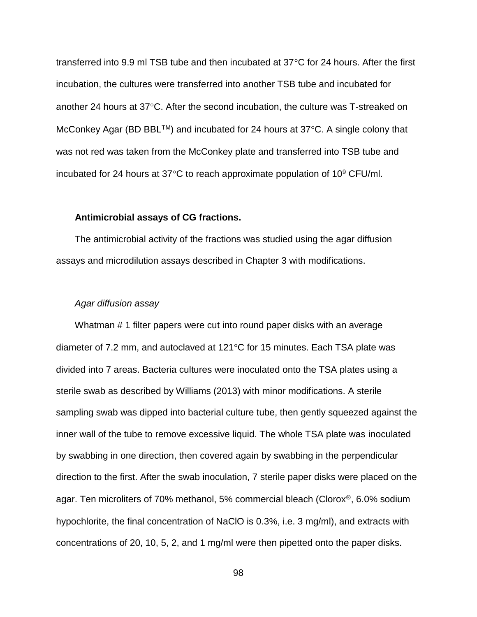transferred into 9.9 ml TSB tube and then incubated at  $37^{\circ}$ C for 24 hours. After the first incubation, the cultures were transferred into another TSB tube and incubated for another 24 hours at  $37^{\circ}$ C. After the second incubation, the culture was T-streaked on McConkey Agar (BD BBL<sup>TM</sup>) and incubated for 24 hours at  $37^{\circ}$ C. A single colony that was not red was taken from the McConkey plate and transferred into TSB tube and incubated for 24 hours at 37 $\degree$ C to reach approximate population of 10 $\degree$  CFU/ml.

#### **Antimicrobial assays of CG fractions.**

The antimicrobial activity of the fractions was studied using the agar diffusion assays and microdilution assays described in Chapter 3 with modifications.

#### *Agar diffusion assay*

Whatman # 1 filter papers were cut into round paper disks with an average diameter of 7.2 mm, and autoclaved at  $121^{\circ}$ C for 15 minutes. Each TSA plate was divided into 7 areas. Bacteria cultures were inoculated onto the TSA plates using a sterile swab as described by Williams (2013) with minor modifications. A sterile sampling swab was dipped into bacterial culture tube, then gently squeezed against the inner wall of the tube to remove excessive liquid. The whole TSA plate was inoculated by swabbing in one direction, then covered again by swabbing in the perpendicular direction to the first. After the swab inoculation, 7 sterile paper disks were placed on the agar. Ten microliters of 70% methanol, 5% commercial bleach (Clorox<sup>®</sup>, 6.0% sodium hypochlorite, the final concentration of NaClO is 0.3%, i.e. 3 mg/ml), and extracts with concentrations of 20, 10, 5, 2, and 1 mg/ml were then pipetted onto the paper disks.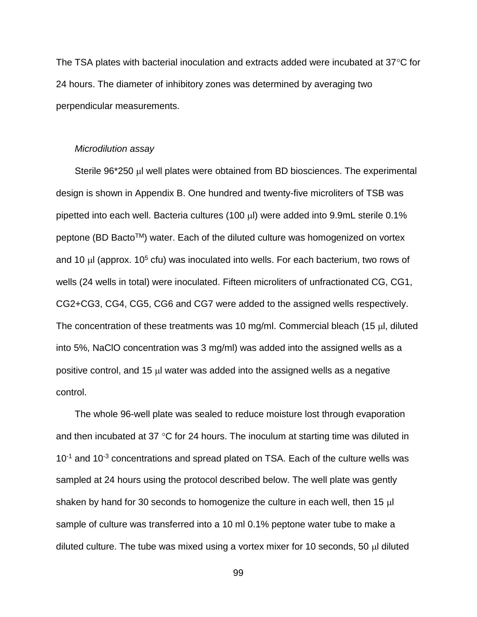The TSA plates with bacterial inoculation and extracts added were incubated at  $37^{\circ}$ C for 24 hours. The diameter of inhibitory zones was determined by averaging two perpendicular measurements.

#### *Microdilution assay*

Sterile  $96*250$   $\mu$  well plates were obtained from BD biosciences. The experimental design is shown in Appendix B. One hundred and twenty-five microliters of TSB was pipetted into each well. Bacteria cultures (100 µl) were added into 9.9mL sterile 0.1% peptone (BD Bacto™) water. Each of the diluted culture was homogenized on vortex and 10  $\mu$  (approx. 10<sup>5</sup> cfu) was inoculated into wells. For each bacterium, two rows of wells (24 wells in total) were inoculated. Fifteen microliters of unfractionated CG, CG1, CG2+CG3, CG4, CG5, CG6 and CG7 were added to the assigned wells respectively. The concentration of these treatments was 10 mg/ml. Commercial bleach (15 µl, diluted into 5%, NaClO concentration was 3 mg/ml) was added into the assigned wells as a positive control, and 15  $\mu$  water was added into the assigned wells as a negative control.

The whole 96-well plate was sealed to reduce moisture lost through evaporation and then incubated at 37  $\degree$ C for 24 hours. The inoculum at starting time was diluted in  $10^{-1}$  and  $10^{-3}$  concentrations and spread plated on TSA. Each of the culture wells was sampled at 24 hours using the protocol described below. The well plate was gently shaken by hand for 30 seconds to homogenize the culture in each well, then 15  $\mu$ l sample of culture was transferred into a 10 ml 0.1% peptone water tube to make a diluted culture. The tube was mixed using a vortex mixer for 10 seconds, 50  $\mu$  diluted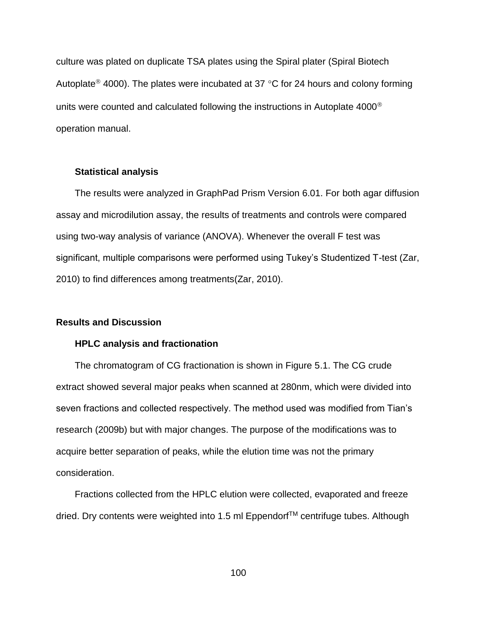culture was plated on duplicate TSA plates using the Spiral plater (Spiral Biotech Autoplate<sup>®</sup> 4000). The plates were incubated at 37 °C for 24 hours and colony forming units were counted and calculated following the instructions in Autoplate 4000<sup>®</sup> operation manual.

# **Statistical analysis**

The results were analyzed in GraphPad Prism Version 6.01. For both agar diffusion assay and microdilution assay, the results of treatments and controls were compared using two-way analysis of variance (ANOVA). Whenever the overall F test was significant, multiple comparisons were performed using Tukey's Studentized T-test (Zar, 2010) to find differences among treatments(Zar, 2010).

## **Results and Discussion**

#### **HPLC analysis and fractionation**

The chromatogram of CG fractionation is shown in Figure 5.1. The CG crude extract showed several major peaks when scanned at 280nm, which were divided into seven fractions and collected respectively. The method used was modified from Tian's research (2009b) but with major changes. The purpose of the modifications was to acquire better separation of peaks, while the elution time was not the primary consideration.

Fractions collected from the HPLC elution were collected, evaporated and freeze dried. Dry contents were weighted into 1.5 ml Eppendorf™ centrifuge tubes. Although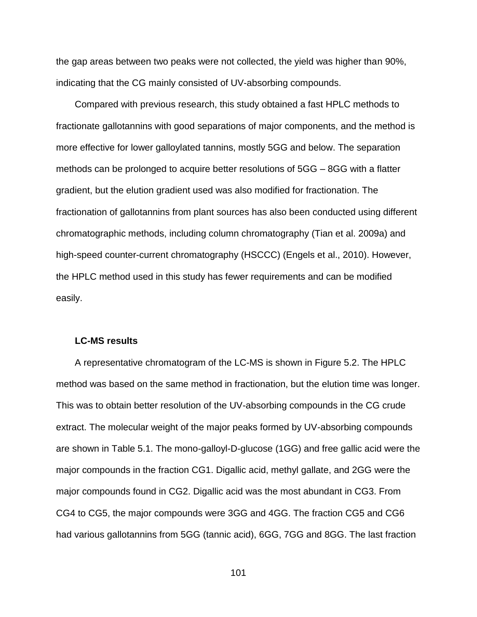the gap areas between two peaks were not collected, the yield was higher than 90%, indicating that the CG mainly consisted of UV-absorbing compounds.

Compared with previous research, this study obtained a fast HPLC methods to fractionate gallotannins with good separations of major components, and the method is more effective for lower galloylated tannins, mostly 5GG and below. The separation methods can be prolonged to acquire better resolutions of 5GG – 8GG with a flatter gradient, but the elution gradient used was also modified for fractionation. The fractionation of gallotannins from plant sources has also been conducted using different chromatographic methods, including column chromatography (Tian et al. 2009a) and high-speed counter-current chromatography (HSCCC) (Engels et al., 2010). However, the HPLC method used in this study has fewer requirements and can be modified easily.

#### **LC-MS results**

A representative chromatogram of the LC-MS is shown in Figure 5.2. The HPLC method was based on the same method in fractionation, but the elution time was longer. This was to obtain better resolution of the UV-absorbing compounds in the CG crude extract. The molecular weight of the major peaks formed by UV-absorbing compounds are shown in Table 5.1. The mono-galloyl-D-glucose (1GG) and free gallic acid were the major compounds in the fraction CG1. Digallic acid, methyl gallate, and 2GG were the major compounds found in CG2. Digallic acid was the most abundant in CG3. From CG4 to CG5, the major compounds were 3GG and 4GG. The fraction CG5 and CG6 had various gallotannins from 5GG (tannic acid), 6GG, 7GG and 8GG. The last fraction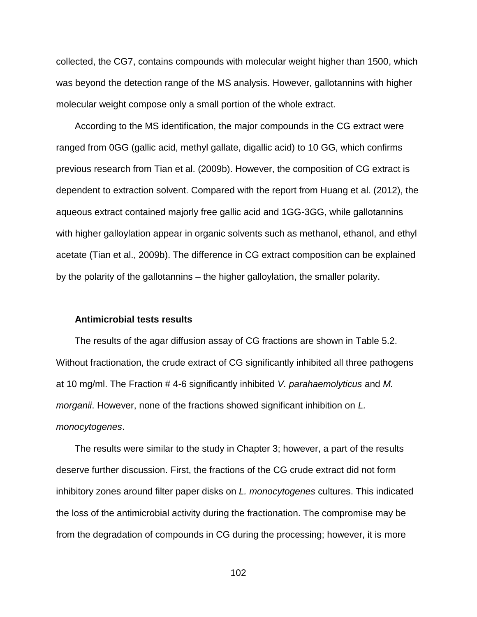collected, the CG7, contains compounds with molecular weight higher than 1500, which was beyond the detection range of the MS analysis. However, gallotannins with higher molecular weight compose only a small portion of the whole extract.

According to the MS identification, the major compounds in the CG extract were ranged from 0GG (gallic acid, methyl gallate, digallic acid) to 10 GG, which confirms previous research from Tian et al. (2009b). However, the composition of CG extract is dependent to extraction solvent. Compared with the report from Huang et al. (2012), the aqueous extract contained majorly free gallic acid and 1GG-3GG, while gallotannins with higher galloylation appear in organic solvents such as methanol, ethanol, and ethyl acetate (Tian et al., 2009b). The difference in CG extract composition can be explained by the polarity of the gallotannins – the higher galloylation, the smaller polarity.

#### **Antimicrobial tests results**

The results of the agar diffusion assay of CG fractions are shown in Table 5.2. Without fractionation, the crude extract of CG significantly inhibited all three pathogens at 10 mg/ml. The Fraction # 4-6 significantly inhibited *V. parahaemolyticus* and *M. morganii*. However, none of the fractions showed significant inhibition on *L. monocytogenes*.

The results were similar to the study in Chapter 3; however, a part of the results deserve further discussion. First, the fractions of the CG crude extract did not form inhibitory zones around filter paper disks on *L. monocytogenes* cultures. This indicated the loss of the antimicrobial activity during the fractionation. The compromise may be from the degradation of compounds in CG during the processing; however, it is more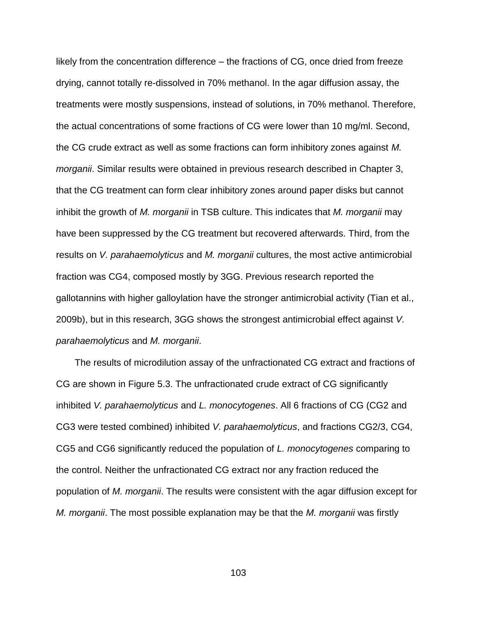likely from the concentration difference – the fractions of CG, once dried from freeze drying, cannot totally re-dissolved in 70% methanol. In the agar diffusion assay, the treatments were mostly suspensions, instead of solutions, in 70% methanol. Therefore, the actual concentrations of some fractions of CG were lower than 10 mg/ml. Second, the CG crude extract as well as some fractions can form inhibitory zones against *M. morganii*. Similar results were obtained in previous research described in Chapter 3, that the CG treatment can form clear inhibitory zones around paper disks but cannot inhibit the growth of *M. morganii* in TSB culture. This indicates that *M. morganii* may have been suppressed by the CG treatment but recovered afterwards. Third, from the results on *V. parahaemolyticus* and *M. morganii* cultures, the most active antimicrobial fraction was CG4, composed mostly by 3GG. Previous research reported the gallotannins with higher galloylation have the stronger antimicrobial activity (Tian et al., 2009b), but in this research, 3GG shows the strongest antimicrobial effect against *V. parahaemolyticus* and *M. morganii*.

The results of microdilution assay of the unfractionated CG extract and fractions of CG are shown in Figure 5.3. The unfractionated crude extract of CG significantly inhibited *V. parahaemolyticus* and *L. monocytogenes*. All 6 fractions of CG (CG2 and CG3 were tested combined) inhibited *V. parahaemolyticus*, and fractions CG2/3, CG4, CG5 and CG6 significantly reduced the population of *L. monocytogenes* comparing to the control. Neither the unfractionated CG extract nor any fraction reduced the population of *M. morganii*. The results were consistent with the agar diffusion except for *M. morganii*. The most possible explanation may be that the *M. morganii* was firstly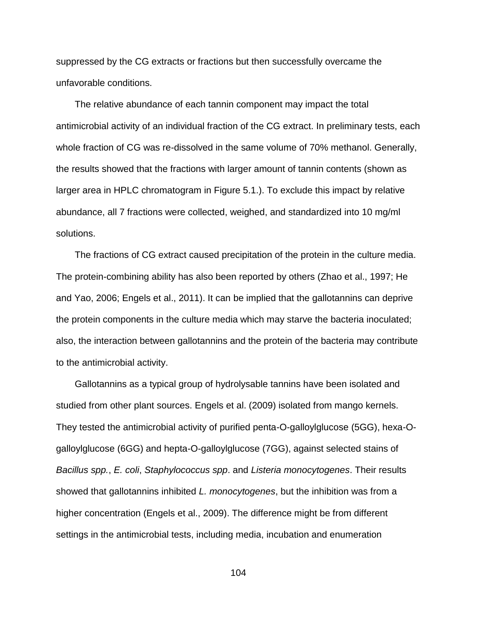suppressed by the CG extracts or fractions but then successfully overcame the unfavorable conditions.

The relative abundance of each tannin component may impact the total antimicrobial activity of an individual fraction of the CG extract. In preliminary tests, each whole fraction of CG was re-dissolved in the same volume of 70% methanol. Generally, the results showed that the fractions with larger amount of tannin contents (shown as larger area in HPLC chromatogram in Figure 5.1.). To exclude this impact by relative abundance, all 7 fractions were collected, weighed, and standardized into 10 mg/ml solutions.

The fractions of CG extract caused precipitation of the protein in the culture media. The protein-combining ability has also been reported by others (Zhao et al., 1997; He and Yao, 2006; Engels et al., 2011). It can be implied that the gallotannins can deprive the protein components in the culture media which may starve the bacteria inoculated; also, the interaction between gallotannins and the protein of the bacteria may contribute to the antimicrobial activity.

Gallotannins as a typical group of hydrolysable tannins have been isolated and studied from other plant sources. Engels et al. (2009) isolated from mango kernels. They tested the antimicrobial activity of purified penta-O-galloylglucose (5GG), hexa-Ogalloylglucose (6GG) and hepta-O-galloylglucose (7GG), against selected stains of *Bacillus spp.*, *E. coli*, *Staphylococcus spp*. and *Listeria monocytogenes*. Their results showed that gallotannins inhibited *L. monocytogenes*, but the inhibition was from a higher concentration (Engels et al., 2009). The difference might be from different settings in the antimicrobial tests, including media, incubation and enumeration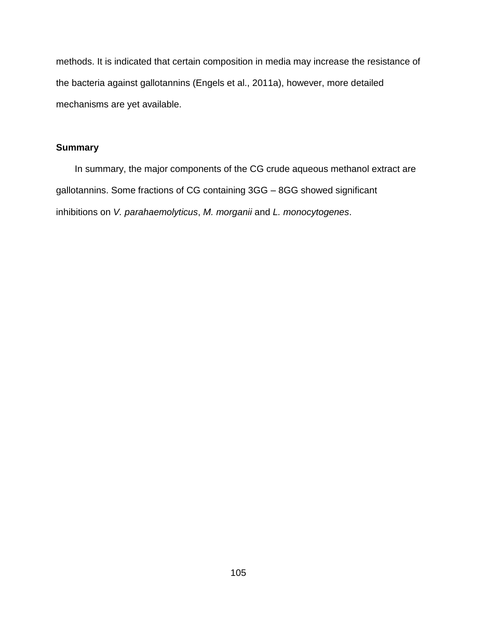methods. It is indicated that certain composition in media may increase the resistance of the bacteria against gallotannins (Engels et al., 2011a), however, more detailed mechanisms are yet available.

# **Summary**

In summary, the major components of the CG crude aqueous methanol extract are gallotannins. Some fractions of CG containing 3GG – 8GG showed significant inhibitions on *V. parahaemolyticus*, *M. morganii* and *L. monocytogenes*.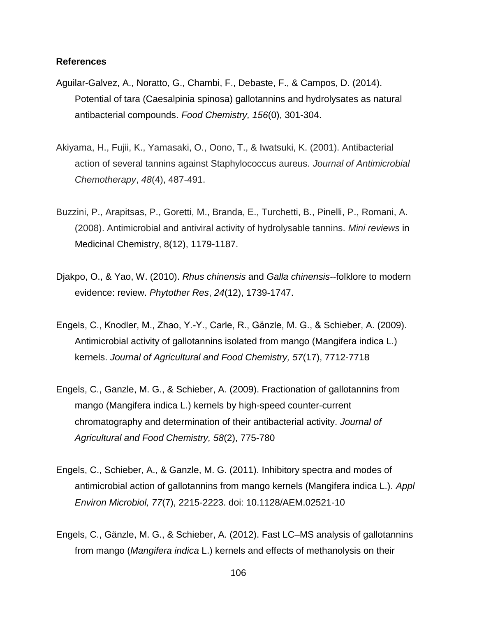## **References**

- Aguilar-Galvez, A., Noratto, G., Chambi, F., Debaste, F., & Campos, D. (2014). Potential of tara (Caesalpinia spinosa) gallotannins and hydrolysates as natural antibacterial compounds. *Food Chemistry, 156*(0), 301-304.
- Akiyama, H., Fujii, K., Yamasaki, O., Oono, T., & Iwatsuki, K. (2001). Antibacterial action of several tannins against Staphylococcus aureus. *Journal of Antimicrobial Chemotherapy*, *48*(4), 487-491.
- Buzzini, P., Arapitsas, P., Goretti, M., Branda, E., Turchetti, B., Pinelli, P., Romani, A. (2008). Antimicrobial and antiviral activity of hydrolysable tannins. *Mini reviews* in Medicinal Chemistry, 8(12), 1179-1187.
- Djakpo, O., & Yao, W. (2010). *Rhus chinensis* and *Galla chinensis*--folklore to modern evidence: review. *Phytother Res*, *24*(12), 1739-1747.
- Engels, C., Knodler, M., Zhao, Y.-Y., Carle, R., Gänzle, M. G., & Schieber, A. (2009). Antimicrobial activity of gallotannins isolated from mango (Mangifera indica L.) kernels. *Journal of Agricultural and Food Chemistry, 57*(17), 7712-7718
- Engels, C., Ganzle, M. G., & Schieber, A. (2009). Fractionation of gallotannins from mango (Mangifera indica L.) kernels by high-speed counter-current chromatography and determination of their antibacterial activity. *Journal of Agricultural and Food Chemistry, 58*(2), 775-780
- Engels, C., Schieber, A., & Ganzle, M. G. (2011). Inhibitory spectra and modes of antimicrobial action of gallotannins from mango kernels (Mangifera indica L.). *Appl Environ Microbiol, 77*(7), 2215-2223. doi: 10.1128/AEM.02521-10
- Engels, C., Gänzle, M. G., & Schieber, A. (2012). Fast LC–MS analysis of gallotannins from mango (*Mangifera indica* L.) kernels and effects of methanolysis on their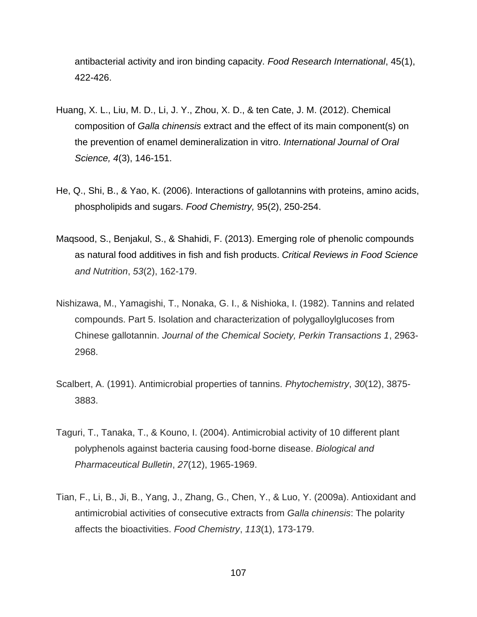antibacterial activity and iron binding capacity. *Food Research International*, 45(1), 422-426.

- Huang, X. L., Liu, M. D., Li, J. Y., Zhou, X. D., & ten Cate, J. M. (2012). Chemical composition of *Galla chinensis* extract and the effect of its main component(s) on the prevention of enamel demineralization in vitro. *International Journal of Oral Science, 4*(3), 146-151.
- He, Q., Shi, B., & Yao, K. (2006). Interactions of gallotannins with proteins, amino acids, phospholipids and sugars. *Food Chemistry,* 95(2), 250-254.
- Maqsood, S., Benjakul, S., & Shahidi, F. (2013). Emerging role of phenolic compounds as natural food additives in fish and fish products. *Critical Reviews in Food Science and Nutrition*, *53*(2), 162-179.
- Nishizawa, M., Yamagishi, T., Nonaka, G. I., & Nishioka, I. (1982). Tannins and related compounds. Part 5. Isolation and characterization of polygalloylglucoses from Chinese gallotannin. *Journal of the Chemical Society, Perkin Transactions 1*, 2963- 2968.
- Scalbert, A. (1991). Antimicrobial properties of tannins. *Phytochemistry*, *30*(12), 3875- 3883.
- Taguri, T., Tanaka, T., & Kouno, I. (2004). Antimicrobial activity of 10 different plant polyphenols against bacteria causing food-borne disease. *Biological and Pharmaceutical Bulletin*, *27*(12), 1965-1969.
- Tian, F., Li, B., Ji, B., Yang, J., Zhang, G., Chen, Y., & Luo, Y. (2009a). Antioxidant and antimicrobial activities of consecutive extracts from *Galla chinensis*: The polarity affects the bioactivities. *Food Chemistry*, *113*(1), 173-179.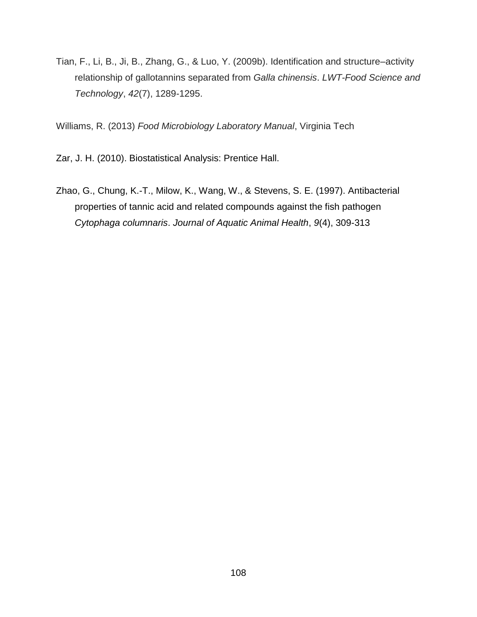Tian, F., Li, B., Ji, B., Zhang, G., & Luo, Y. (2009b). Identification and structure–activity relationship of gallotannins separated from *Galla chinensis*. *LWT-Food Science and Technology*, *42*(7), 1289-1295.

Williams, R. (2013) *Food Microbiology Laboratory Manual*, Virginia Tech

Zar, J. H. (2010). Biostatistical Analysis: Prentice Hall.

Zhao, G., Chung, K.-T., Milow, K., Wang, W., & Stevens, S. E. (1997). Antibacterial properties of tannic acid and related compounds against the fish pathogen *Cytophaga columnaris*. *Journal of Aquatic Animal Health*, *9*(4), 309-313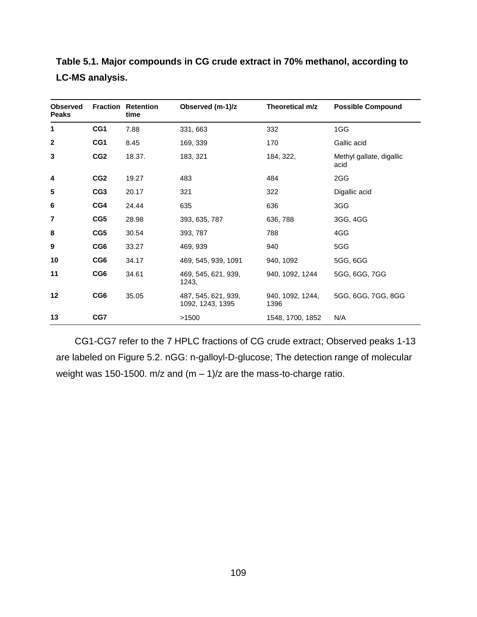| <b>Observed</b><br><b>Peaks</b> |                 | <b>Fraction Retention</b><br>time | Observed (m-1)/z                        | Theoretical m/z          | <b>Possible Compound</b>         |  |
|---------------------------------|-----------------|-----------------------------------|-----------------------------------------|--------------------------|----------------------------------|--|
| 1                               | CG1             | 7.88                              | 331, 663                                | 332                      | 1GG                              |  |
| $\mathbf{2}$                    | CG1             | 8.45                              | 169, 339                                | 170                      | Gallic acid                      |  |
| 3                               | CG <sub>2</sub> | 18.37.                            | 183, 321                                | 184, 322,                | Methyl gallate, digallic<br>acid |  |
| 4                               | CG <sub>2</sub> | 19.27                             | 483                                     | 484                      | 2GG                              |  |
| 5                               | CG <sub>3</sub> | 20.17                             | 321                                     | 322                      | Digallic acid                    |  |
| 6                               | CG4             | 24.44                             | 635                                     | 636                      | 3GG                              |  |
| 7                               | CG5             | 28.98                             | 393, 635, 787                           | 636, 788                 | 3GG, 4GG                         |  |
| 8                               | CG5             | 30.54                             | 393, 787                                | 788                      | 4GG                              |  |
| 9                               | CG6             | 33.27                             | 469, 939                                | 940                      | 5GG                              |  |
| 10                              | CG6             | 34.17                             | 469, 545, 939, 1091                     | 940, 1092                | 5GG, 6GG                         |  |
| 11                              | CG <sub>6</sub> | 34.61                             | 469, 545, 621, 939,<br>1243,            | 940, 1092, 1244          | 5GG, 6GG, 7GG                    |  |
| 12                              | CG <sub>6</sub> | 35.05                             | 487, 545, 621, 939,<br>1092, 1243, 1395 | 940, 1092, 1244,<br>1396 | 5GG, 6GG, 7GG, 8GG               |  |
| 13                              | CG7             |                                   | >1500                                   | 1548, 1700, 1852         | N/A                              |  |

**Table 5.1. Major compounds in CG crude extract in 70% methanol, according to LC-MS analysis.** 

CG1-CG7 refer to the 7 HPLC fractions of CG crude extract; Observed peaks 1-13 are labeled on Figure 5.2. nGG: n-galloyl-D-glucose; The detection range of molecular weight was 150-1500. m/z and  $(m - 1)/z$  are the mass-to-charge ratio.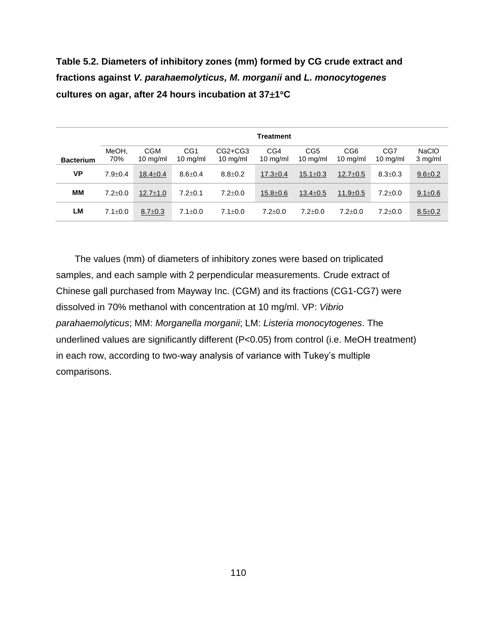**Table 5.2. Diameters of inhibitory zones (mm) formed by CG crude extract and fractions against** *V. parahaemolyticus, M. morganii* **and** *L. monocytogenes* **cultures on agar, after 24 hours incubation at 371C**

|                  | <b>Treatment</b> |                                  |                                       |                               |                           |                                       |                                       |                           |                         |
|------------------|------------------|----------------------------------|---------------------------------------|-------------------------------|---------------------------|---------------------------------------|---------------------------------------|---------------------------|-------------------------|
| <b>Bacterium</b> | MeOH,<br>70%     | <b>CGM</b><br>$10 \text{ mg/ml}$ | CG <sub>1</sub><br>$10 \text{ mg/ml}$ | CG2+CG3<br>$10 \text{ mg/ml}$ | CG4<br>$10 \text{ mg/ml}$ | CG <sub>5</sub><br>$10 \text{ mg/ml}$ | CG <sub>6</sub><br>$10 \text{ mg/ml}$ | CG7<br>$10 \text{ mg/ml}$ | <b>NaCIO</b><br>3 mg/ml |
| VP               | $7.9 \pm 0.4$    | $18.4 \pm 0.4$                   | $8.6 \pm 0.4$                         | $8.8 \pm 0.2$                 | $17.3 \pm 0.4$            | $15.1 \pm 0.3$                        | $12.7 \pm 0.5$                        | $8.3 \pm 0.3$             | $9.6 + 0.2$             |
| MМ               | $7.2 \pm 0.0$    | $12.7 \pm 1.0$                   | $7.2 \pm 0.1$                         | $7.2 \pm 0.0$                 | $15.8 \pm 0.6$            | $13.4 \pm 0.5$                        | $11.9 \pm 0.5$                        | $7.2 \pm 0.0$             | $9.1 \pm 0.6$           |
| LM               | $7.1 \pm 0.0$    | $8.7 \pm 0.3$                    | $7.1 \pm 0.0$                         | $7.1 \pm 0.0$                 | $7.2 + 0.0$               | $7.2{\pm}0.0$                         | $7.2 \pm 0.0$                         | $7.2 + 0.0$               | $8.5 \pm 0.2$           |

The values (mm) of diameters of inhibitory zones were based on triplicated samples, and each sample with 2 perpendicular measurements. Crude extract of Chinese gall purchased from Mayway Inc. (CGM) and its fractions (CG1-CG7) were dissolved in 70% methanol with concentration at 10 mg/ml. VP: *Vibrio parahaemolyticus*; MM: *Morganella morganii*; LM: *Listeria monocytogenes*. The underlined values are significantly different (P<0.05) from control (i.e. MeOH treatment) in each row, according to two-way analysis of variance with Tukey's multiple comparisons.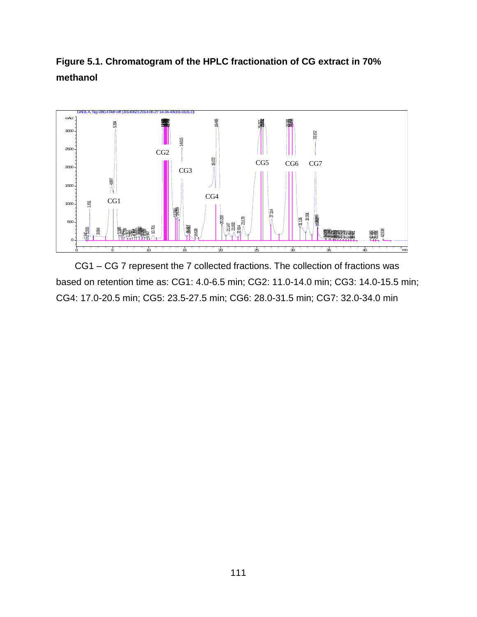



CG1 – CG 7 represent the 7 collected fractions. The collection of fractions was based on retention time as: CG1: 4.0-6.5 min; CG2: 11.0-14.0 min; CG3: 14.0-15.5 min; CG4: 17.0-20.5 min; CG5: 23.5-27.5 min; CG6: 28.0-31.5 min; CG7: 32.0-34.0 min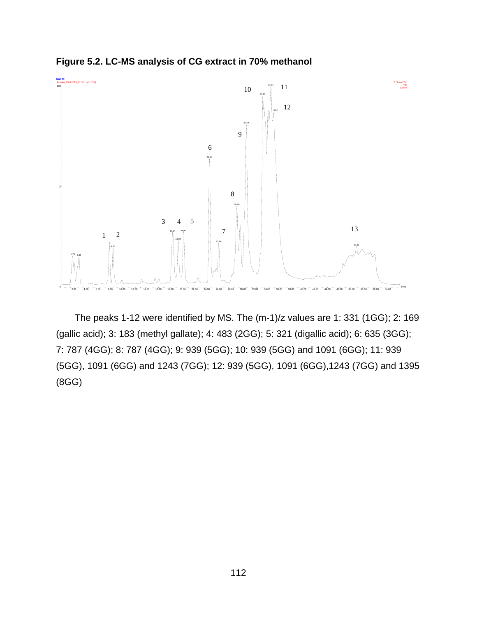**Figure 5.2. LC-MS analysis of CG extract in 70% methanol**



The peaks 1-12 were identified by MS. The (m-1)/z values are 1: 331 (1GG); 2: 169 (gallic acid); 3: 183 (methyl gallate); 4: 483 (2GG); 5: 321 (digallic acid); 6: 635 (3GG); 7: 787 (4GG); 8: 787 (4GG); 9: 939 (5GG); 10: 939 (5GG) and 1091 (6GG); 11: 939 (5GG), 1091 (6GG) and 1243 (7GG); 12: 939 (5GG), 1091 (6GG),1243 (7GG) and 1395 (8GG)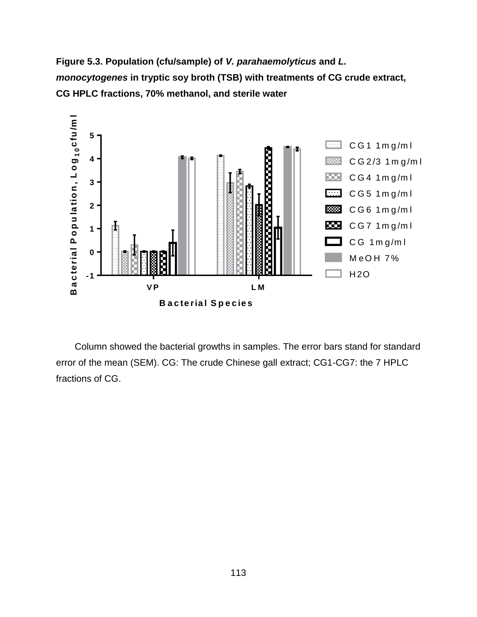**Figure 5.3. Population (cfu/sample) of** *V. parahaemolyticus* **and** *L. monocytogenes* **in tryptic soy broth (TSB) with treatments of CG crude extract, CG HPLC fractions, 70% methanol, and sterile water** 



Column showed the bacterial growths in samples. The error bars stand for standard error of the mean (SEM). CG: The crude Chinese gall extract; CG1-CG7: the 7 HPLC fractions of CG.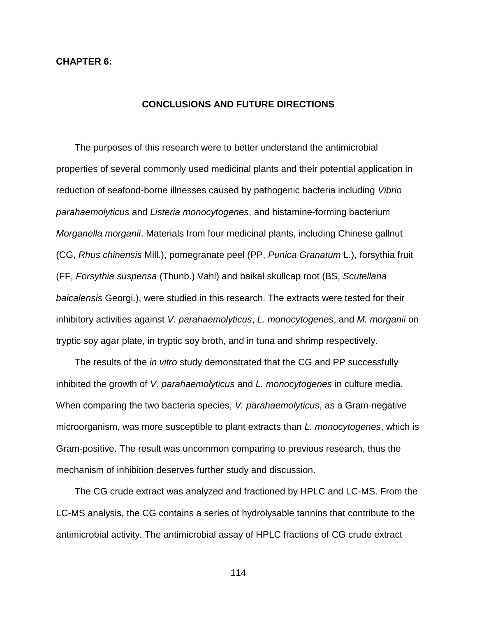## **CHAPTER 6:**

## **CONCLUSIONS AND FUTURE DIRECTIONS**

The purposes of this research were to better understand the antimicrobial properties of several commonly used medicinal plants and their potential application in reduction of seafood-borne illnesses caused by pathogenic bacteria including *Vibrio parahaemolyticus* and *Listeria monocytogenes*, and histamine-forming bacterium *Morganella morganii*. Materials from four medicinal plants, including Chinese gallnut (CG, *Rhus chinensis* Mill.), pomegranate peel (PP, *Punica Granatum* L.), forsythia fruit (FF, *Forsythia suspensa* (Thunb.) Vahl) and baikal skullcap root (BS, *Scutellaria baicalensis* Georgi.), were studied in this research. The extracts were tested for their inhibitory activities against *V. parahaemolyticus*, *L. monocytogenes*, and *M. morganii* on tryptic soy agar plate, in tryptic soy broth, and in tuna and shrimp respectively.

The results of the *in vitro* study demonstrated that the CG and PP successfully inhibited the growth of *V. parahaemolyticus* and *L. monocytogenes* in culture media. When comparing the two bacteria species, *V. parahaemolyticus*, as a Gram-negative microorganism, was more susceptible to plant extracts than *L. monocytogenes*, which is Gram-positive. The result was uncommon comparing to previous research, thus the mechanism of inhibition deserves further study and discussion.

The CG crude extract was analyzed and fractioned by HPLC and LC-MS. From the LC-MS analysis, the CG contains a series of hydrolysable tannins that contribute to the antimicrobial activity. The antimicrobial assay of HPLC fractions of CG crude extract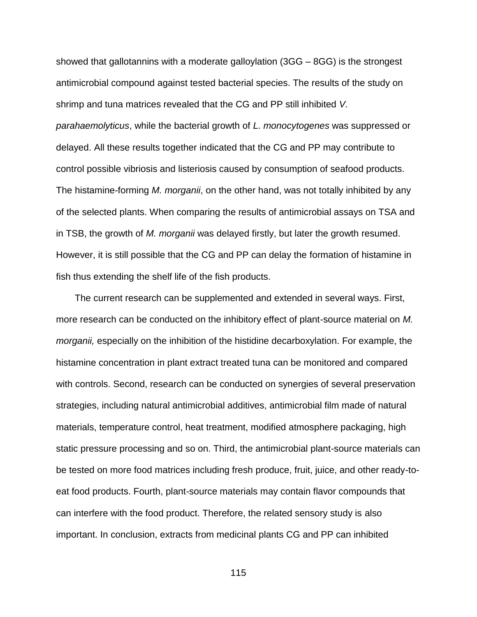showed that gallotannins with a moderate galloylation (3GG – 8GG) is the strongest antimicrobial compound against tested bacterial species. The results of the study on shrimp and tuna matrices revealed that the CG and PP still inhibited *V. parahaemolyticus*, while the bacterial growth of *L. monocytogenes* was suppressed or delayed. All these results together indicated that the CG and PP may contribute to control possible vibriosis and listeriosis caused by consumption of seafood products. The histamine-forming *M. morganii*, on the other hand, was not totally inhibited by any of the selected plants. When comparing the results of antimicrobial assays on TSA and in TSB, the growth of *M. morganii* was delayed firstly, but later the growth resumed. However, it is still possible that the CG and PP can delay the formation of histamine in fish thus extending the shelf life of the fish products.

The current research can be supplemented and extended in several ways. First, more research can be conducted on the inhibitory effect of plant-source material on *M. morganii,* especially on the inhibition of the histidine decarboxylation. For example, the histamine concentration in plant extract treated tuna can be monitored and compared with controls. Second, research can be conducted on synergies of several preservation strategies, including natural antimicrobial additives, antimicrobial film made of natural materials, temperature control, heat treatment, modified atmosphere packaging, high static pressure processing and so on. Third, the antimicrobial plant-source materials can be tested on more food matrices including fresh produce, fruit, juice, and other ready-toeat food products. Fourth, plant-source materials may contain flavor compounds that can interfere with the food product. Therefore, the related sensory study is also important. In conclusion, extracts from medicinal plants CG and PP can inhibited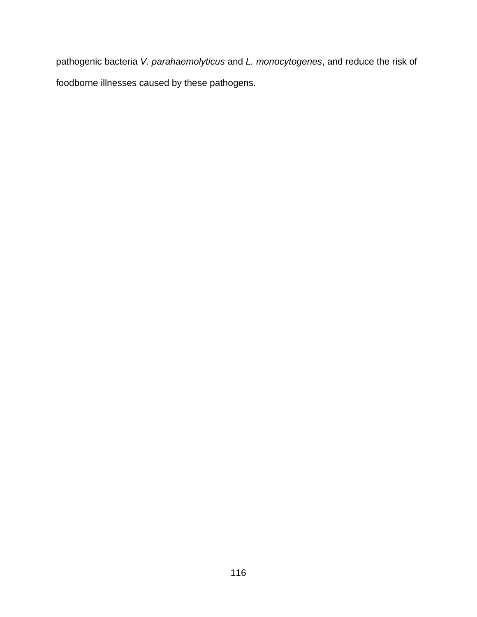pathogenic bacteria *V. parahaemolyticus* and *L. monocytogenes*, and reduce the risk of foodborne illnesses caused by these pathogens.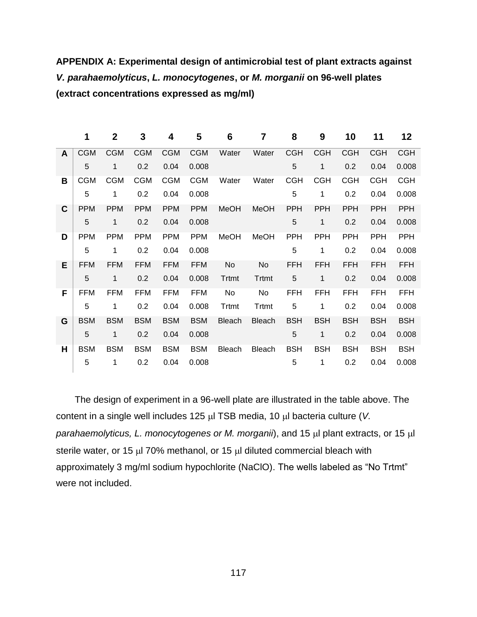**APPENDIX A: Experimental design of antimicrobial test of plant extracts against**  *V. parahaemolyticus***,** *L. monocytogenes***, or** *M. morganii* **on 96-well plates (extract concentrations expressed as mg/ml)**

|              | 1          | $\mathbf 2$  | 3          | 4          | 5          | 6             | 7             | 8          | 9            | 10         | 11         | 12         |
|--------------|------------|--------------|------------|------------|------------|---------------|---------------|------------|--------------|------------|------------|------------|
| $\mathsf{A}$ | <b>CGM</b> | <b>CGM</b>   | <b>CGM</b> | <b>CGM</b> | <b>CGM</b> | Water         | Water         | <b>CGH</b> | <b>CGH</b>   | <b>CGH</b> | <b>CGH</b> | <b>CGH</b> |
|              | 5          | 1            | 0.2        | 0.04       | 0.008      |               |               | 5          | 1            | 0.2        | 0.04       | 0.008      |
| В            | <b>CGM</b> | <b>CGM</b>   | <b>CGM</b> | <b>CGM</b> | <b>CGM</b> | Water         | Water         | <b>CGH</b> | <b>CGH</b>   | <b>CGH</b> | <b>CGH</b> | <b>CGH</b> |
|              | 5          | 1            | 0.2        | 0.04       | 0.008      |               |               | 5          | 1            | 0.2        | 0.04       | 0.008      |
| C            | <b>PPM</b> | <b>PPM</b>   | <b>PPM</b> | <b>PPM</b> | <b>PPM</b> | <b>MeOH</b>   | MeOH          | <b>PPH</b> | <b>PPH</b>   | <b>PPH</b> | <b>PPH</b> | PPH        |
|              | 5          | $\mathbf{1}$ | 0.2        | 0.04       | 0.008      |               |               | 5          | $\mathbf{1}$ | 0.2        | 0.04       | 0.008      |
| D            | <b>PPM</b> | <b>PPM</b>   | <b>PPM</b> | <b>PPM</b> | <b>PPM</b> | MeOH          | MeOH          | <b>PPH</b> | <b>PPH</b>   | <b>PPH</b> | <b>PPH</b> | PPH        |
|              | 5          | 1            | 0.2        | 0.04       | 0.008      |               |               | 5          | 1            | 0.2        | 0.04       | 0.008      |
| Е            | <b>FFM</b> | <b>FFM</b>   | <b>FFM</b> | <b>FFM</b> | <b>FFM</b> | No            | No            | <b>FFH</b> | <b>FFH</b>   | <b>FFH</b> | <b>FFH</b> | <b>FFH</b> |
|              | 5          | 1            | 0.2        | 0.04       | 0.008      | Trtmt         | Trtmt         | 5          | 1            | 0.2        | 0.04       | 0.008      |
| F            | <b>FFM</b> | <b>FFM</b>   | <b>FFM</b> | <b>FFM</b> | <b>FFM</b> | No            | No            | <b>FFH</b> | <b>FFH</b>   | <b>FFH</b> | <b>FFH</b> | <b>FFH</b> |
|              | 5          | 1            | 0.2        | 0.04       | 0.008      | Trtmt         | Trtmt         | 5          | 1            | 0.2        | 0.04       | 0.008      |
| G            | <b>BSM</b> | <b>BSM</b>   | <b>BSM</b> | <b>BSM</b> | <b>BSM</b> | <b>Bleach</b> | <b>Bleach</b> | <b>BSH</b> | <b>BSH</b>   | <b>BSH</b> | <b>BSH</b> | <b>BSH</b> |
|              | 5          | 1            | 0.2        | 0.04       | 0.008      |               |               | 5          | 1            | 0.2        | 0.04       | 0.008      |
| H            | <b>BSM</b> | <b>BSM</b>   | <b>BSM</b> | <b>BSM</b> | <b>BSM</b> | Bleach        | Bleach        | <b>BSH</b> | <b>BSH</b>   | <b>BSH</b> | <b>BSH</b> | <b>BSH</b> |
|              | 5          | 1            | 0.2        | 0.04       | 0.008      |               |               | 5          | 1            | 0.2        | 0.04       | 0.008      |

The design of experiment in a 96-well plate are illustrated in the table above. The content in a single well includes 125 µl TSB media, 10 µl bacteria culture (*V. parahaemolyticus, L. monocytogenes or M. morganii*), and 15 µl plant extracts, or 15 µl sterile water, or 15  $\mu$  70% methanol, or 15  $\mu$  diluted commercial bleach with approximately 3 mg/ml sodium hypochlorite (NaClO). The wells labeled as "No Trtmt" were not included.